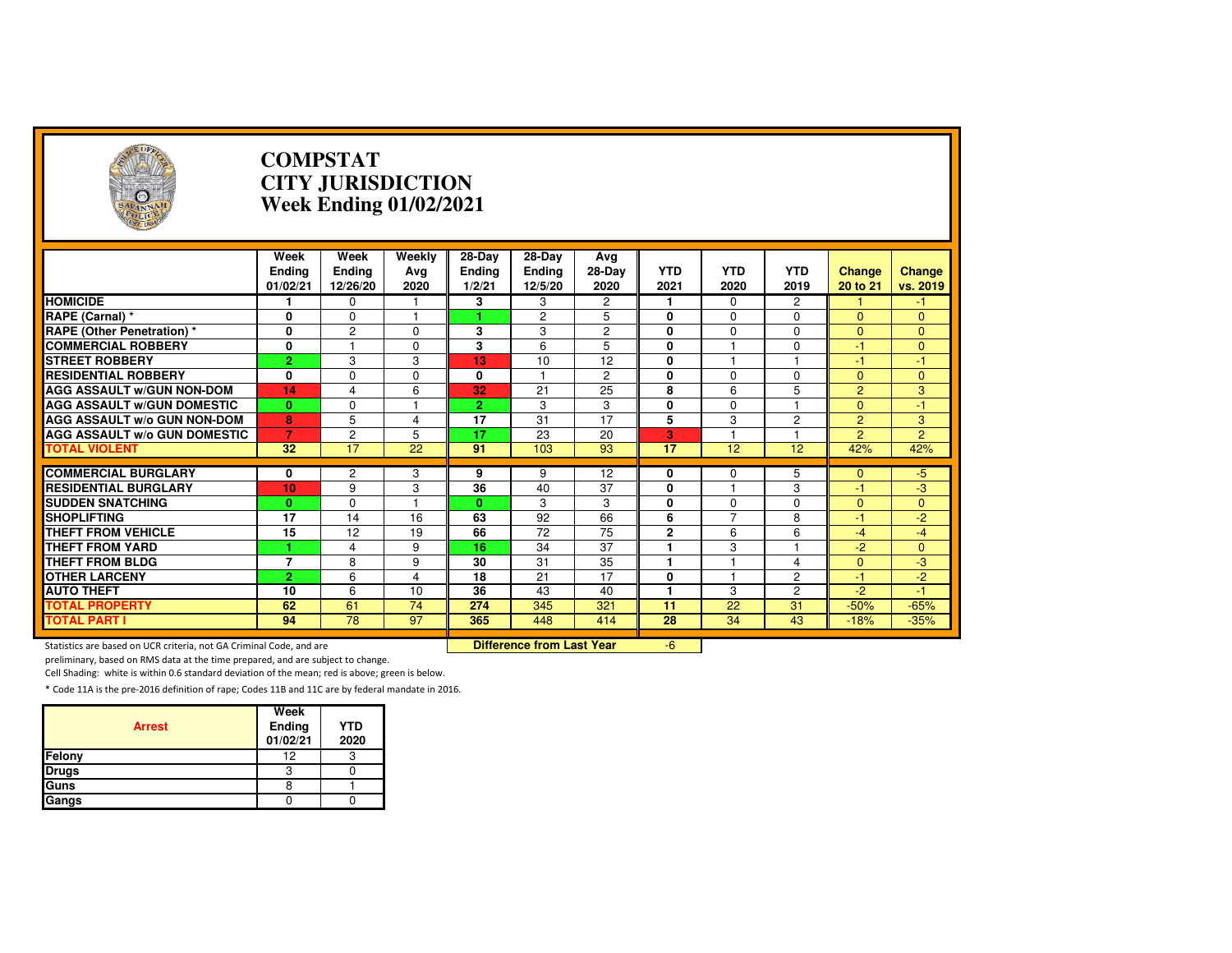

### **COMPSTAT CITY JURISDICTIONWeek Ending 01/02/2021**

|                                     | Week               | Week                      | Weekly      | 28-Day           | 28-Day                   | Ava            |                    | <b>YTD</b>     |                    |                           |                    |
|-------------------------------------|--------------------|---------------------------|-------------|------------------|--------------------------|----------------|--------------------|----------------|--------------------|---------------------------|--------------------|
|                                     | Endina<br>01/02/21 | <b>Ending</b><br>12/26/20 | Avg<br>2020 | Endina<br>1/2/21 | <b>Ending</b><br>12/5/20 | 28-Day<br>2020 | <b>YTD</b><br>2021 | 2020           | <b>YTD</b><br>2019 | <b>Change</b><br>20 to 21 | Change<br>vs. 2019 |
| <b>HOMICIDE</b>                     |                    | 0                         |             | 3                | 3                        | 2              |                    | $\Omega$       | 2                  |                           | $-1$               |
| RAPE (Carnal) *                     | 0                  | $\mathbf 0$               | н           |                  | $\overline{c}$           | 5              | $\mathbf{0}$       | $\Omega$       | $\Omega$           | $\Omega$                  | $\overline{0}$     |
| <b>RAPE (Other Penetration)*</b>    | 0                  | $\overline{2}$            | $\Omega$    | 3                | 3                        | $\overline{2}$ | 0                  | $\Omega$       | 0                  | $\Omega$                  | $\overline{0}$     |
| <b>COMMERCIAL ROBBERY</b>           | 0                  |                           | $\Omega$    | 3                | 6                        | 5              | $\mathbf{0}$       |                | $\Omega$           | -1                        | $\overline{0}$     |
| <b>STREET ROBBERY</b>               | $\overline{2}$     | 3                         | 3           | 13               | 10                       | 12             | $\mathbf{0}$       |                |                    | -1                        | 47                 |
| <b>RESIDENTIAL ROBBERY</b>          | 0                  | $\mathbf 0$               | 0           | 0                |                          | $\overline{2}$ | 0                  | $\mathbf 0$    | 0                  | $\mathbf{0}$              | $\mathbf{0}$       |
| <b>AGG ASSAULT w/GUN NON-DOM</b>    | 14                 | $\overline{4}$            | 6           | 32               | 21                       | 25             | 8                  | 6              | 5                  | $\overline{2}$            | 3                  |
| <b>AGG ASSAULT W/GUN DOMESTIC</b>   | $\bf{0}$           | $\Omega$                  |             | $\overline{2}$   | 3                        | 3              | $\mathbf{0}$       | $\Omega$       |                    | $\Omega$                  | $-1$               |
| <b>AGG ASSAULT W/o GUN NON-DOM</b>  | 8                  | 5                         | 4           | 17               | 31                       | 17             | 5                  | 3              | 2                  | $\overline{2}$            | 3                  |
| <b>AGG ASSAULT W/o GUN DOMESTIC</b> | $\overline{7}$     | $\overline{2}$            | 5           | 17               | 23                       | 20             | 3                  |                |                    | $\overline{2}$            | $\overline{2}$     |
| <b>TOTAL VIOLENT</b>                | 32                 | 17                        | 22          | 91               | 103                      | 93             | 17                 | 12             | 12                 | 42%                       | 42%                |
|                                     |                    |                           |             |                  |                          |                |                    |                |                    |                           |                    |
| <b>COMMERCIAL BURGLARY</b>          | 0                  | 2                         | 3           | 9                | 9                        | 12             | $\mathbf{0}$       | $\Omega$       | 5                  | $\mathbf{0}$              | $-5$               |
| <b>RESIDENTIAL BURGLARY</b>         | 10                 | 9                         | 3           | 36               | 40                       | 37             | $\mathbf{0}$       |                | 3                  | -1                        | $-3$               |
| <b>SUDDEN SNATCHING</b>             | $\bf{0}$           | $\Omega$                  |             | 0.               | 3                        | 3              | $\mathbf{0}$       | $\Omega$       | $\Omega$           | $\Omega$                  | $\overline{0}$     |
| <b>SHOPLIFTING</b>                  | 17                 | 14                        | 16          | 63               | 92                       | 66             | 6                  | $\overline{ }$ | 8                  | $-1$                      | $-2$               |
| <b>THEFT FROM VEHICLE</b>           | 15                 | 12                        | 19          | 66               | 72                       | 75             | $\mathbf{2}$       | 6              | 6                  | $-4$                      | $-4$               |
| <b>THEFT FROM YARD</b>              |                    | $\overline{4}$            | 9           | 16               | 34                       | 37             |                    | 3              |                    | $-2$                      | $\overline{0}$     |
| <b>THEFT FROM BLDG</b>              | $\overline{7}$     | 8                         | 9           | 30               | 31                       | 35             | н                  |                | 4                  | $\Omega$                  | -3                 |
| <b>OTHER LARCENY</b>                | $\overline{2}$     | 6                         | 4           | 18               | 21                       | 17             | $\mathbf{0}$       |                | $\overline{2}$     | -1                        | $-2$               |
| <b>AUTO THEFT</b>                   | 10                 | 6                         | 10          | 36               | 43                       | 40             |                    | 3              | 2                  | $-2$                      | $-1$               |
| <b>TOTAL PROPERTY</b>               | 62                 | 61                        | 74          | 274              | 345                      | 321            | 11                 | 22             | 31                 | $-50%$                    | $-65%$             |
| <b>TOTAL PART I</b>                 | 94                 | 78                        | 97          | 365              | 448                      | 414            | 28                 | 34             | 43                 | $-18%$                    | $-35%$             |

Statistics are based on UCR criteria, not GA Criminal Code, and are **Difference from Last Year** 

-6

preliminary, based on RMS data at the time prepared, and are subject to change.

Cell Shading: white is within 0.6 standard deviation of the mean; red is above; green is below.

| <b>Arrest</b> | Week<br>Ending<br>01/02/21 | <b>YTD</b><br>2020 |
|---------------|----------------------------|--------------------|
| Felony        | 12                         |                    |
| <b>Drugs</b>  |                            |                    |
| Guns          |                            |                    |
| Gangs         |                            |                    |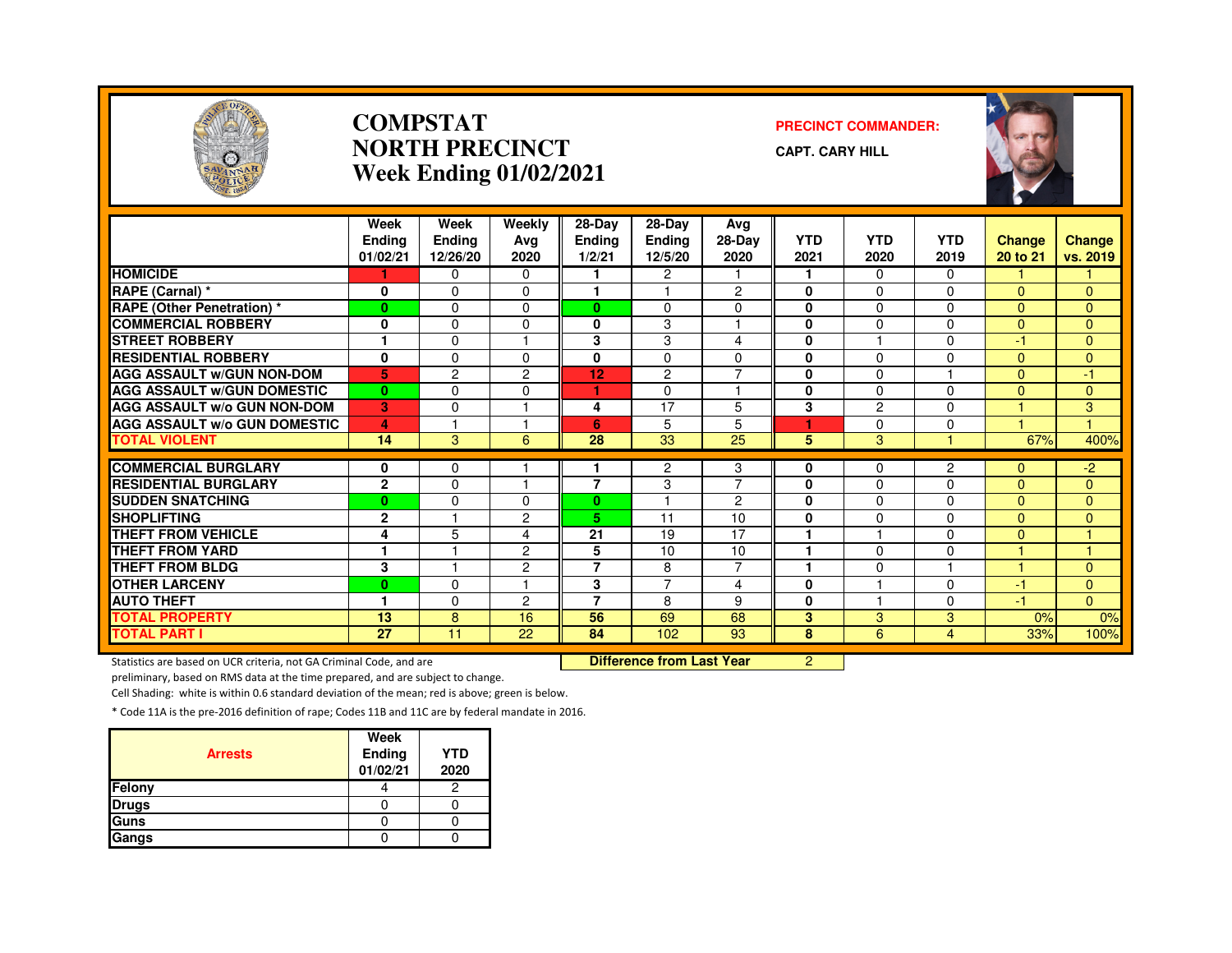

### **COMPSTATNORTH PRECINCTWeek Ending 01/02/2021**

### **PRECINCT COMMANDER:**

**CAPT. CARY HILL**



|                                               | Week<br><b>Ending</b><br>01/02/21 | Week<br><b>Ending</b><br>12/26/20 | Weekly<br>Ava<br>2020 | 28-Day<br><b>Ending</b><br>1/2/21 | 28-Day<br>Ending<br>12/5/20 | Avg<br>28-Day<br>2020 | <b>YTD</b><br>2021 | <b>YTD</b><br>2020 | <b>YTD</b><br>2019 | <b>Change</b><br>20 to 21 | <b>Change</b><br>vs. 2019 |
|-----------------------------------------------|-----------------------------------|-----------------------------------|-----------------------|-----------------------------------|-----------------------------|-----------------------|--------------------|--------------------|--------------------|---------------------------|---------------------------|
| <b>HOMICIDE</b>                               |                                   | $\Omega$                          | 0                     |                                   | $\overline{2}$              |                       |                    | $\Omega$           | $\Omega$           |                           |                           |
| RAPE (Carnal) *                               | 0                                 | $\Omega$                          | 0                     | ٠                                 |                             | $\overline{c}$        | $\bf{0}$           | $\Omega$           | 0                  | $\Omega$                  | 0                         |
| RAPE (Other Penetration) *                    | $\mathbf{0}$                      | $\Omega$                          | 0                     | 0                                 | $\Omega$                    | $\Omega$              | 0                  | $\Omega$           | 0                  | $\Omega$                  | 0                         |
| <b>COMMERCIAL ROBBERY</b>                     | 0                                 | $\Omega$                          | 0                     | 0                                 | 3                           |                       | 0                  | $\Omega$           | 0                  | $\Omega$                  | 0                         |
| <b>STREET ROBBERY</b>                         | 1                                 | $\Omega$                          |                       | 3                                 | 3                           | 4                     | $\bf{0}$           |                    | 0                  | $-1$                      | $\Omega$                  |
| <b>RESIDENTIAL ROBBERY</b>                    | $\bf{0}$                          | $\Omega$                          | 0                     | 0                                 | 0                           | $\Omega$              | $\bf{0}$           | $\Omega$           | 0                  | $\Omega$                  | $\Omega$                  |
| <b>AGG ASSAULT W/GUN NON-DOM</b>              | 5                                 | $\overline{2}$                    | 2                     | 12                                | $\overline{c}$              | $\overline{7}$        | $\mathbf 0$        | 0                  |                    | $\overline{0}$            | 47                        |
| <b>AGG ASSAULT W/GUN DOMESTIC</b>             | $\mathbf{0}$                      | $\Omega$                          | $\Omega$              | ٠                                 | $\Omega$                    | $\overline{1}$        | $\bf{0}$           | $\Omega$           | $\Omega$           | $\Omega$                  | $\Omega$                  |
| <b>AGG ASSAULT W/o GUN NON-DOM</b>            | 3                                 | $\Omega$                          |                       | 4                                 | 17                          | 5                     | 3                  | $\overline{c}$     | 0                  |                           | 3                         |
| <b>AGG ASSAULT W/o GUN DOMESTIC</b>           | 4                                 |                                   |                       | 6                                 | 5                           | 5                     |                    | $\Omega$           | 0                  |                           |                           |
| <b>TOTAL VIOLENT</b>                          | 14                                | $\mathbf{3}$                      | 6                     | 28                                | 33                          | 25                    | 5                  | $\mathbf{3}$       |                    | 67%                       | 400%                      |
| <b>COMMERCIAL BURGLARY</b>                    |                                   |                                   |                       |                                   |                             |                       |                    |                    |                    |                           |                           |
| <b>RESIDENTIAL BURGLARY</b>                   | 0                                 | 0                                 | $\overline{ }$        | 7                                 | 2                           | 3<br>$\overline{7}$   | 0                  | 0                  | 2                  | 0                         | $-2$                      |
|                                               | $\mathbf{2}$                      | $\Omega$                          | 0                     | $\mathbf{0}$                      | 3                           | $\overline{c}$        | 0                  | $\Omega$           | 0<br>0             | $\Omega$                  | $\Omega$                  |
| <b>SUDDEN SNATCHING</b><br><b>SHOPLIFTING</b> | $\bf{0}$                          | $\Omega$                          |                       |                                   |                             |                       | 0                  | $\Omega$           |                    | $\Omega$                  | $\Omega$                  |
|                                               | $\mathbf{2}$                      |                                   | 2                     | 5.                                | 11                          | 10<br>17              | 0                  | $\Omega$           | 0<br><sup>n</sup>  | $\Omega$                  | $\Omega$                  |
| <b>THEFT FROM VEHICLE</b>                     | 4                                 | 5                                 | 4                     | 21                                | 19                          |                       |                    |                    |                    | $\overline{0}$            |                           |
| THEFT FROM YARD                               | 1                                 |                                   | 2                     | 5<br>$\overline{7}$               | 10                          | 10<br>$\overline{7}$  | ۴                  | $\Omega$           | $\Omega$           |                           |                           |
| <b>THEFT FROM BLDG</b>                        | 3                                 |                                   | 2                     |                                   | 8                           |                       |                    | $\Omega$           |                    |                           | $\Omega$                  |
| <b>OTHER LARCENY</b>                          | $\bf{0}$                          | $\Omega$                          |                       | 3                                 | $\overline{7}$              | 4                     | $\bf{0}$           |                    | 0                  | -1                        | $\Omega$                  |
| <b>AUTO THEFT</b>                             | ٠                                 | $\Omega$                          | 2                     | 7                                 | 8                           | 9                     | 0                  |                    | 0                  | $-1$                      | $\mathbf{0}$              |
| <b>TOTAL PROPERTY</b>                         | 13                                | 8                                 | 16                    | 56                                | 69                          | 68                    | $\overline{3}$     | 3                  | 3                  | 0%                        | 0%                        |
| <b>TOTAL PART I</b>                           | $\overline{27}$                   | 11                                | $\overline{22}$       | 84                                | 102                         | $\overline{93}$       | 8                  | 6                  | 4                  | 33%                       | 100%                      |

Statistics are based on UCR criteria, not GA Criminal Code, and are **Difference from Last Year** 

<sup>2</sup>

preliminary, based on RMS data at the time prepared, and are subject to change.

Cell Shading: white is within 0.6 standard deviation of the mean; red is above; green is below.

| <b>Arrests</b> | Week<br>Ending<br>01/02/21 | <b>YTD</b><br>2020 |
|----------------|----------------------------|--------------------|
| Felony         |                            |                    |
| <b>Drugs</b>   |                            |                    |
| Guns           |                            |                    |
| Gangs          |                            |                    |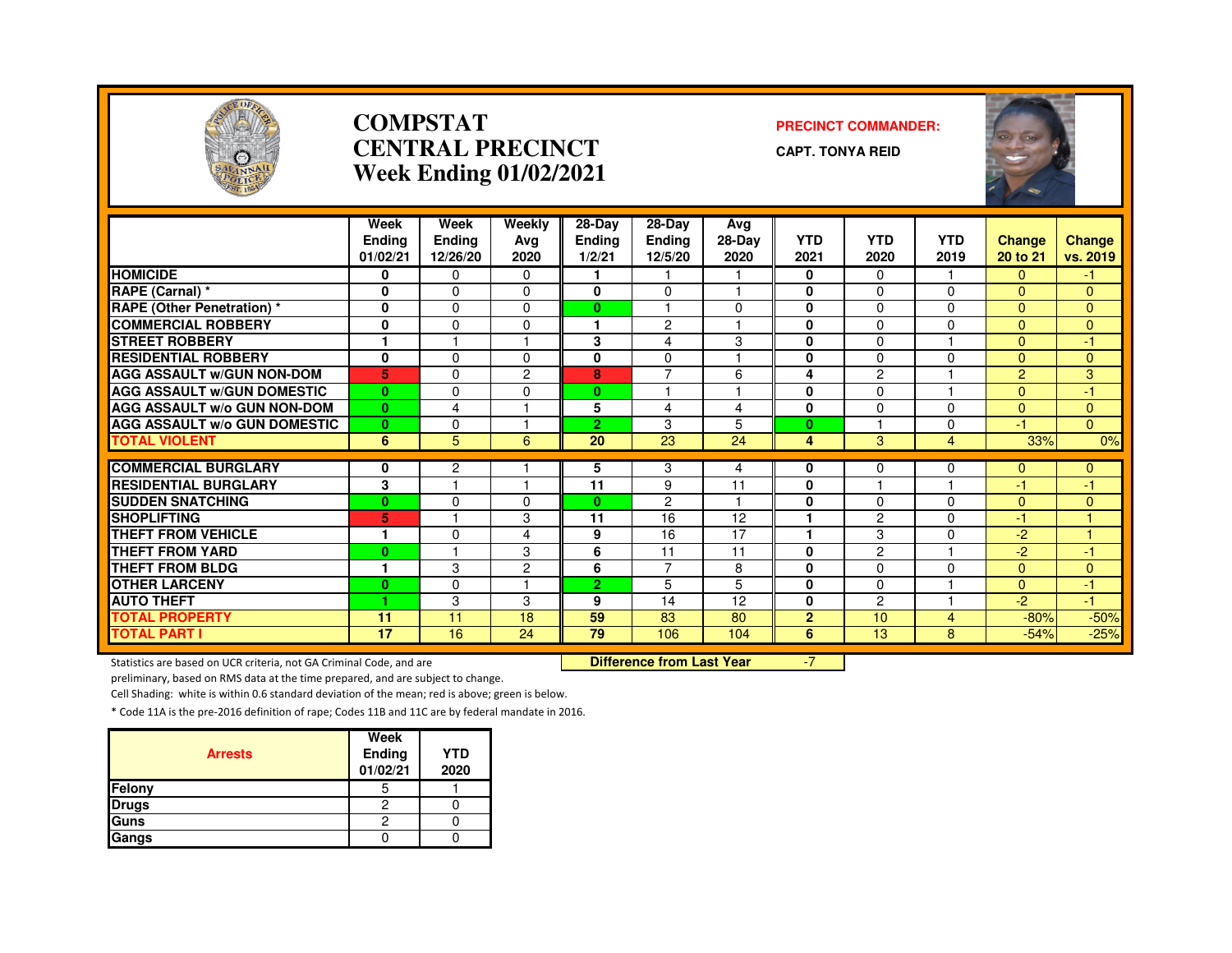

### **COMPSTATCENTRAL PRECINCTWeek Ending 01/02/2021**

#### **PRECINCT COMMANDER:**

**CAPT. TONYA REID**

| <b>ENT. 1854</b>                                          |                                   | $\frac{1}{2}$                     |                       |                            |                                    |                       |                    |                    |                    | ×<br><b>SED</b>    |                      |
|-----------------------------------------------------------|-----------------------------------|-----------------------------------|-----------------------|----------------------------|------------------------------------|-----------------------|--------------------|--------------------|--------------------|--------------------|----------------------|
|                                                           | Week<br><b>Ending</b><br>01/02/21 | Week<br><b>Ending</b><br>12/26/20 | Weekly<br>Avg<br>2020 | 28-Day<br>Ending<br>1/2/21 | 28-Day<br><b>Ending</b><br>12/5/20 | Ava<br>28-Day<br>2020 | <b>YTD</b><br>2021 | <b>YTD</b><br>2020 | <b>YTD</b><br>2019 | Change<br>20 to 21 | Change<br>vs. 2019   |
| <b>HOMICIDE</b>                                           | 0                                 | 0                                 | $\Omega$              |                            |                                    |                       | 0                  | 0                  |                    | 0                  | -1.                  |
| RAPE (Carnal) *                                           | 0                                 | $\Omega$                          | $\Omega$              | 0                          | $\Omega$                           | -4                    | $\bf{0}$           | 0                  | $\mathbf 0$        | $\overline{0}$     | $\mathbf{0}$         |
| <b>RAPE (Other Penetration)</b> *                         | $\mathbf{0}$                      | $\Omega$                          | $\Omega$              | $\mathbf{0}$               |                                    | $\Omega$              | 0                  | 0                  | $\Omega$           | $\Omega$           | $\mathbf{0}$         |
| <b>COMMERCIAL ROBBERY</b>                                 | 0                                 | $\Omega$                          | $\Omega$              |                            | $\overline{c}$                     |                       | 0                  | 0                  | 0                  | $\Omega$           | $\Omega$             |
| <b>STREET ROBBERY</b>                                     | 1                                 |                                   |                       | 3                          | 4                                  | 3                     | $\bf{0}$           | 0                  | $\overline{1}$     | $\Omega$           | $-1$                 |
| <b>RESIDENTIAL ROBBERY</b>                                | 0                                 | $\Omega$                          | $\Omega$              | $\mathbf{0}$               | $\Omega$                           |                       | $\bf{0}$           | 0                  | 0                  | $\Omega$           | $\mathbf{0}$         |
| <b>AGG ASSAULT w/GUN NON-DOM</b>                          | 5                                 | $\Omega$                          | $\overline{c}$        | 8                          | $\overline{7}$                     | 6                     | 4                  | $\overline{c}$     |                    | $\overline{2}$     | 3                    |
| <b>AGG ASSAULT w/GUN DOMESTIC</b>                         | $\mathbf{0}$                      | $\Omega$                          | $\Omega$              | $\mathbf{0}$               |                                    | $\overline{1}$        | 0                  | 0                  | 1                  | $\overline{0}$     | $-1$                 |
| <b>AGG ASSAULT w/o GUN NON-DOM</b>                        | $\mathbf{0}$                      | 4                                 |                       | 5                          | 4                                  | 4                     | 0                  | 0                  | 0                  | $\Omega$           | $\mathbf{0}$         |
| <b>AGG ASSAULT w/o GUN DOMESTIC</b>                       | $\bf{0}$                          | $\mathbf 0$                       |                       | $\overline{2}$             | 3                                  | 5                     | $\mathbf{0}$       |                    | $\mathbf 0$        | $-1$               | $\overline{0}$       |
| <b>TOTAL VIOLENT</b>                                      | 6                                 | 5                                 | 6                     | 20                         | 23                                 | 24                    | 4                  | 3                  | $\overline{4}$     | 33%                | 0%                   |
|                                                           |                                   | $\overline{2}$                    |                       |                            | 3                                  |                       | 0                  | 0                  |                    | $\Omega$           |                      |
| <b>COMMERCIAL BURGLARY</b><br><b>RESIDENTIAL BURGLARY</b> | 0<br>3                            |                                   |                       | 5<br>11                    | 9                                  | 4<br>11               | 0                  | ٠                  | 0<br>1             | $-1$               | $\mathbf{0}$<br>$-1$ |
| <b>SUDDEN SNATCHING</b>                                   | $\mathbf{0}$                      | $\Omega$                          | $\Omega$              | $\mathbf{0}$               | $\overline{c}$                     |                       | $\bf{0}$           | 0                  | $\Omega$           | $\overline{0}$     | $\Omega$             |
| <b>SHOPLIFTING</b>                                        | 5                                 |                                   | 3                     | 11                         | 16                                 | 12                    | 1                  | $\overline{c}$     | $\Omega$           | $-1$               |                      |
| <b>THEFT FROM VEHICLE</b>                                 | 1                                 | $\Omega$                          | 4                     | 9                          | 16                                 | 17                    | 1                  | 3                  | $\Omega$           | $-2$               |                      |
| <b>THEFT FROM YARD</b>                                    | $\bf{0}$                          |                                   | 3                     | 6                          | 11                                 | 11                    | $\bf{0}$           | 2                  |                    | $-2$               | $-1$                 |
| <b>THEFT FROM BLDG</b>                                    | 1                                 | 3                                 | 2                     | 6                          | $\overline{7}$                     | 8                     | $\mathbf{0}$       | $\Omega$           | $\Omega$           | $\overline{0}$     | $\overline{0}$       |
| <b>OTHER LARCENY</b>                                      | $\bf{0}$                          | $\Omega$                          |                       | $\overline{2}$             | 5                                  | 5                     | $\mathbf{0}$       | 0                  | 1                  | $\Omega$           | $-1$                 |
| <b>AUTO THEFT</b>                                         | 4.                                | 3                                 | 3                     | 9                          | 14                                 | 12                    | 0                  | $\overline{c}$     | 1                  | $-2$               | $-1$                 |
| <b>TOTAL PROPERTY</b>                                     | 11                                | 11                                | 18                    | 59                         | 83                                 | 80                    | $\overline{2}$     | 10                 | $\overline{4}$     | $-80%$             | $-50%$               |
| <b>TOTAL PART I</b>                                       | 17                                | 16                                | 24                    | 79                         | 106                                | 104                   | 6                  | 13                 | 8                  | $-54%$             | $-25%$               |

Statistics are based on UCR criteria, not GA Criminal Code, and are **Difference from Last Year** 

-7

preliminary, based on RMS data at the time prepared, and are subject to change.

Cell Shading: white is within 0.6 standard deviation of the mean; red is above; green is below.

| <b>Arrests</b> | Week<br>Ending<br>01/02/21 | <b>YTD</b><br>2020 |
|----------------|----------------------------|--------------------|
| Felony         |                            |                    |
| <b>Drugs</b>   |                            |                    |
| Guns           | 2                          |                    |
| Gangs          |                            |                    |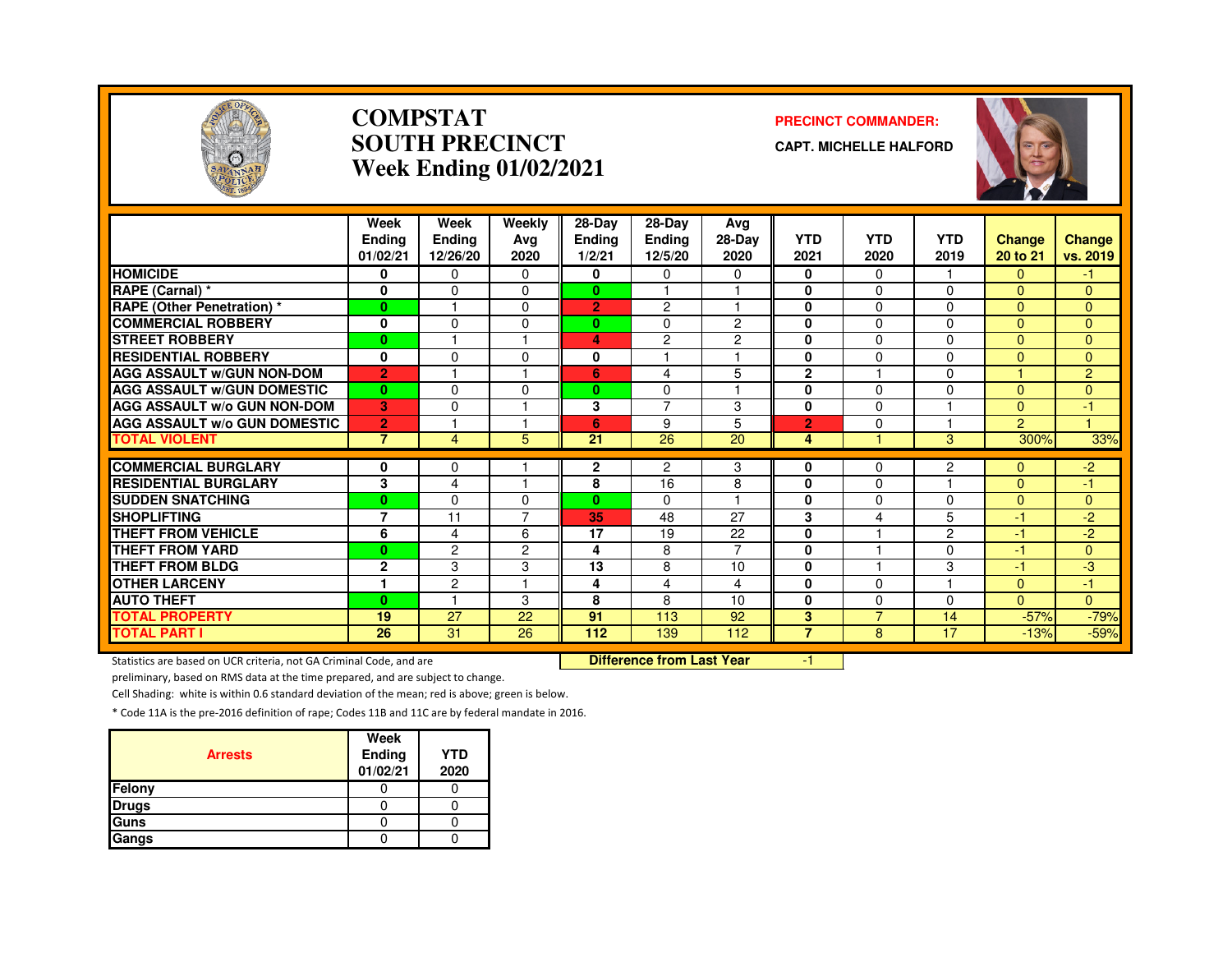

### **COMPSTATSOUTH PRECINCTWeek Ending 01/02/2021**

#### **PRECINCT COMMANDER:**

**CAPT. MICHELLE HALFORD**



|                                     | Week<br><b>Ending</b><br>01/02/21 | Week<br><b>Ending</b><br>12/26/20 | Weekly<br>Ava<br>2020 | $28 - Day$<br><b>Ending</b><br>1/2/21 | $28-Dav$<br><b>Ending</b><br>12/5/20 | Avg<br>$28-Dav$<br>2020 | <b>YTD</b><br>2021 | <b>YTD</b><br>2020 | <b>YTD</b><br>2019 | Change<br>20 to 21 | <b>Change</b><br>vs. 2019 |
|-------------------------------------|-----------------------------------|-----------------------------------|-----------------------|---------------------------------------|--------------------------------------|-------------------------|--------------------|--------------------|--------------------|--------------------|---------------------------|
| <b>HOMICIDE</b>                     | 0                                 | $\Omega$                          | $\Omega$              | 0                                     | $\Omega$                             | 0                       | 0                  | $\Omega$           |                    | $\overline{0}$     | $-1$                      |
| RAPE (Carnal) *                     | $\bf{0}$                          | $\Omega$                          | $\Omega$              | $\mathbf{0}$                          |                                      | $\overline{4}$          | $\mathbf 0$        | $\Omega$           | 0                  | $\Omega$           | $\mathbf{0}$              |
| <b>RAPE (Other Penetration)</b> *   | $\bf{0}$                          |                                   | 0                     | $\overline{2}$                        | 2                                    |                         | $\mathbf{0}$       | 0                  | 0                  | $\Omega$           | $\mathbf{0}$              |
| <b>COMMERCIAL ROBBERY</b>           | 0                                 | $\Omega$                          | $\Omega$              | $\bf{0}$                              | $\Omega$                             | $\overline{2}$          | 0                  | $\Omega$           | 0                  | $\Omega$           | $\overline{0}$            |
| <b>STREET ROBBERY</b>               | $\bf{0}$                          |                                   |                       | 4                                     | $\overline{c}$                       | $\overline{2}$          | $\mathbf 0$        | $\Omega$           | $\mathbf 0$        | $\Omega$           | $\mathbf{0}$              |
| <b>RESIDENTIAL ROBBERY</b>          | $\bf{0}$                          | $\Omega$                          | 0                     | 0                                     |                                      |                         | $\mathbf{0}$       | 0                  | 0                  | $\Omega$           | $\Omega$                  |
| <b>AGG ASSAULT W/GUN NON-DOM</b>    | $\overline{2}$                    |                                   |                       | 6                                     | 4                                    | 5                       | $\overline{2}$     |                    | 0                  |                    | 2                         |
| <b>AGG ASSAULT W/GUN DOMESTIC</b>   | $\bf{0}$                          | $\Omega$                          | $\Omega$              | $\bf{0}$                              | $\Omega$                             | $\overline{4}$          | $\mathbf 0$        | $\Omega$           | 0                  | $\Omega$           | $\Omega$                  |
| <b>AGG ASSAULT w/o GUN NON-DOM</b>  | 3                                 | 0                                 |                       | 3                                     | $\overline{7}$                       | 3                       | $\mathbf 0$        | 0                  |                    | $\Omega$           | -1                        |
| <b>AGG ASSAULT w/o GUN DOMESTIC</b> | $\overline{2}$                    |                                   |                       | 6                                     | 9                                    | 5                       | $\overline{2}$     | 0                  |                    | $\overline{2}$     |                           |
| <b>TOTAL VIOLENT</b>                | $\overline{7}$                    | $\overline{4}$                    | 5                     | 21                                    | 26                                   | 20                      | 4                  |                    | 3                  | 300%               | 33%                       |
|                                     |                                   |                                   |                       |                                       |                                      |                         |                    |                    |                    |                    |                           |
| <b>COMMERCIAL BURGLARY</b>          | 0                                 | $\mathbf 0$                       |                       | $\mathbf{2}$                          | 2                                    | 3                       | 0                  | $\Omega$           | 2<br>٠             | $\mathbf{0}$       | $-2$                      |
| <b>RESIDENTIAL BURGLARY</b>         | 3                                 | 4                                 |                       | 8                                     | 16                                   | 8                       | $\mathbf{0}$       | 0                  |                    | $\Omega$           | -1                        |
| <b>ISUDDEN SNATCHING</b>            | $\bf{0}$                          | 0                                 | 0                     | $\mathbf{0}$                          | $\Omega$                             |                         | 0                  | 0                  | 0                  | $\Omega$           | $\mathbf{0}$              |
| <b>SHOPLIFTING</b>                  | $\overline{7}$                    | 11                                | ⇁                     | 35                                    | 48                                   | 27                      | 3                  | 4                  | 5                  | $-1$               | $-2$                      |
| <b>THEFT FROM VEHICLE</b>           | 6                                 | 4                                 | 6                     | 17                                    | 19                                   | 22                      | 0                  |                    | $\overline{2}$     | $-1$               | $-2$                      |
| <b>THEFT FROM YARD</b>              | $\mathbf{0}$                      | $\overline{c}$                    | $\overline{2}$        | 4                                     | 8                                    | $\overline{7}$          | $\mathbf 0$        |                    | 0                  | $-1$               | $\overline{0}$            |
| <b>THEFT FROM BLDG</b>              | $\mathbf{2}$                      | 3                                 | 3                     | 13                                    | 8                                    | 10                      | $\mathbf{0}$       |                    | 3                  | $-1$               | -3                        |
| <b>OTHER LARCENY</b>                | 1                                 | $\overline{c}$                    |                       | 4                                     | 4                                    | 4                       | $\mathbf 0$        | 0                  |                    | $\Omega$           | $-1$                      |
| <b>AUTO THEFT</b>                   | $\bf{0}$                          |                                   | 3                     | 8                                     | 8                                    | 10                      | $\Omega$           | 0                  | 0                  | $\Omega$           | $\Omega$                  |
| <b>TOTAL PROPERTY</b>               | 19                                | 27                                | 22                    | 91                                    | 113                                  | 92                      | 3                  | $\overline{7}$     | 14                 | $-57%$             | $-79%$                    |
| <b>TOTAL PART I</b>                 | 26                                | 31                                | 26                    | 112                                   | 139                                  | 112                     | $\overline{7}$     | 8                  | 17                 | $-13%$             | $-59%$                    |

Statistics are based on UCR criteria, not GA Criminal Code, and are **Difference from Last Year** 

-1

preliminary, based on RMS data at the time prepared, and are subject to change.

Cell Shading: white is within 0.6 standard deviation of the mean; red is above; green is below.

| <b>Arrests</b> | Week<br>Ending<br>01/02/21 | <b>YTD</b><br>2020 |
|----------------|----------------------------|--------------------|
| Felony         |                            |                    |
| <b>Drugs</b>   |                            |                    |
| Guns           |                            |                    |
| Gangs          |                            |                    |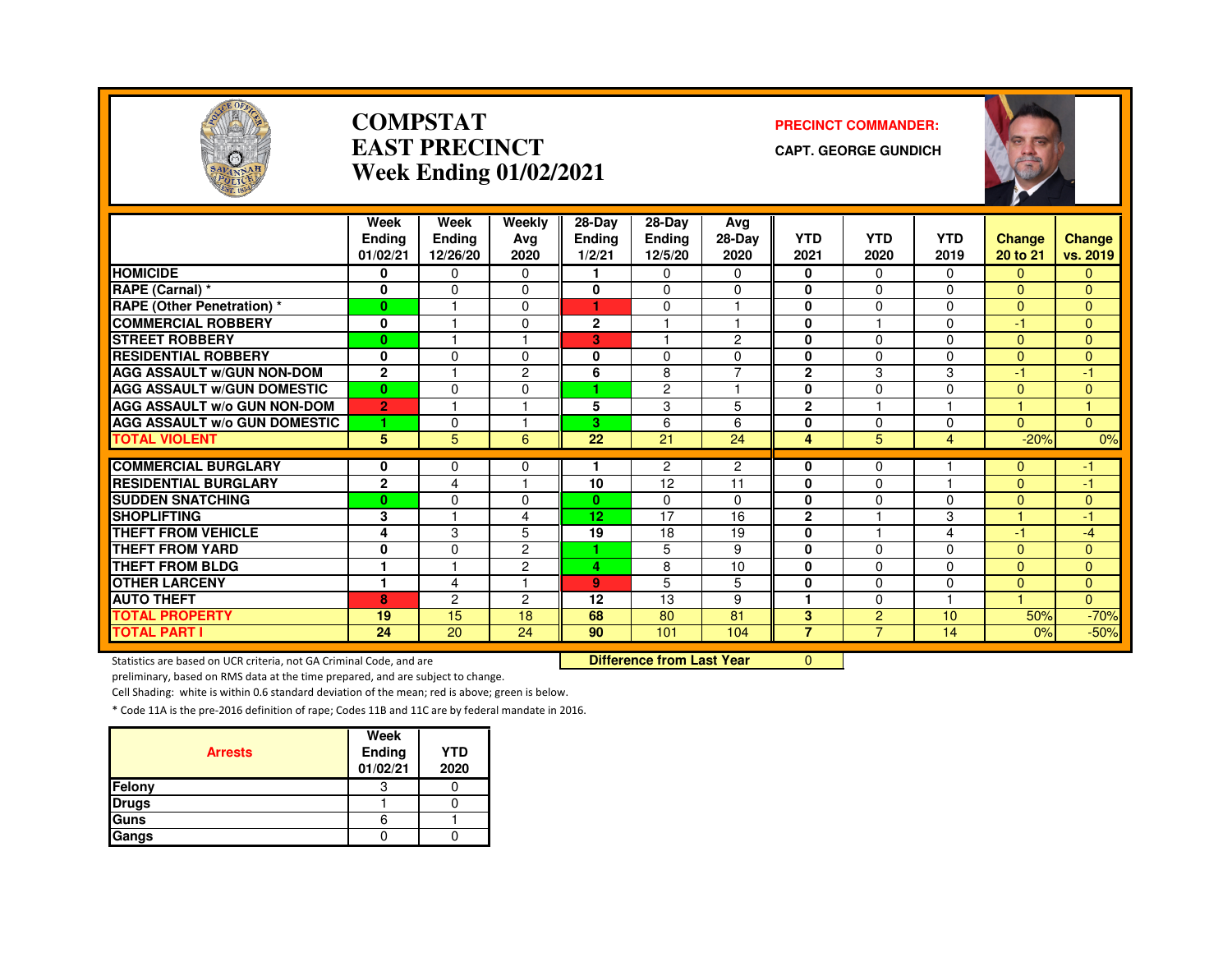

### **COMPSTATEAST PRECINCTWeek Ending 01/02/2021**

#### **PRECINCT COMMANDER:**

**CAPT. GEORGE GUNDICH**



|                                              | Week<br><b>Ending</b><br>01/02/21 | Week<br>Ending<br>12/26/20 | Weekly<br>Avg<br>2020 | $28-Dav$<br><b>Ending</b><br>1/2/21 | 28-Dav<br><b>Ending</b><br>12/5/20 | Ava<br>28-Day<br>2020 | <b>YTD</b><br>2021 | <b>YTD</b><br>2020      | <b>YTD</b><br>2019 | <b>Change</b><br>20 to 21  | <b>Change</b><br>vs. 2019 |
|----------------------------------------------|-----------------------------------|----------------------------|-----------------------|-------------------------------------|------------------------------------|-----------------------|--------------------|-------------------------|--------------------|----------------------------|---------------------------|
| <b>HOMICIDE</b>                              | 0                                 | 0                          | $\Omega$              |                                     | 0                                  | 0                     | 0                  | $\Omega$                | $\Omega$           | 0                          | 0                         |
| RAPE (Carnal) *                              | 0                                 | $\Omega$                   | $\Omega$              | $\bf{0}$                            | 0                                  | $\Omega$              | $\bf{0}$           | $\Omega$                | $\Omega$           | $\Omega$                   | $\Omega$                  |
| <b>RAPE (Other Penetration) *</b>            | $\bf{0}$                          |                            | $\Omega$              | 4                                   | 0                                  | и                     | $\bf{0}$           | $\Omega$                | $\Omega$           | $\Omega$                   | $\Omega$                  |
| <b>COMMERCIAL ROBBERY</b>                    | 0                                 |                            | $\Omega$              | $\mathbf{2}$                        | $\overline{1}$                     | 1                     | $\bf{0}$           | -1                      | $\Omega$           | $-1$                       | $\Omega$                  |
| <b>STREET ROBBERY</b>                        | $\bf{0}$                          |                            |                       | 3.                                  |                                    | 2                     | 0                  | $\Omega$                | $\Omega$           | $\Omega$                   | 0                         |
| <b>RESIDENTIAL ROBBERY</b>                   | 0                                 | $\Omega$                   | 0                     | $\bf{0}$                            | 0                                  | 0                     | $\bf{0}$           | $\Omega$                | $\Omega$           | $\Omega$                   | 0                         |
| <b>AGG ASSAULT W/GUN NON-DOM</b>             | $\mathbf{2}$                      |                            | $\overline{c}$        | 6                                   | 8                                  | $\overline{7}$        | $\overline{2}$     | 3                       | 3                  | $-1$                       | -1                        |
| <b>AGG ASSAULT W/GUN DOMESTIC</b>            | $\bf{0}$                          | $\Omega$                   | $\Omega$              | ٠                                   | $\overline{c}$                     | н                     | $\bf{0}$           | $\Omega$                | $\Omega$           | $\Omega$                   | $\Omega$                  |
| <b>AGG ASSAULT W/o GUN NON-DOM</b>           | $\overline{2}$                    | м                          | н                     | 5                                   | 3                                  | 5                     | $\mathbf{2}$       | $\overline{\mathbf{1}}$ | н                  |                            | $\blacktriangleleft$      |
| <b>AGG ASSAULT w/o GUN DOMESTIC</b>          | 1                                 | $\Omega$                   | м                     | 3                                   | 6                                  | 6                     | $\bf{0}$           | $\Omega$                | $\Omega$           | $\Omega$                   | $\Omega$                  |
| <b>TOTAL VIOLENT</b>                         | 5                                 | 5                          | 6                     | 22                                  | 21                                 | 24                    | 4                  | 5                       | 4                  | $-20%$                     | 0%                        |
| <b>COMMERCIAL BURGLARY</b>                   |                                   |                            |                       |                                     | $\overline{c}$                     | $\overline{2}$        |                    | $\Omega$                |                    |                            |                           |
| <b>RESIDENTIAL BURGLARY</b>                  | 0<br>$\mathbf{2}$                 | 0<br>4                     | 0<br>и                | 10                                  | 12                                 | 11                    | 0<br>$\bf{0}$      | $\Omega$                |                    | $\overline{0}$<br>$\Omega$ | -1.<br>-1                 |
| <b>SUDDEN SNATCHING</b>                      |                                   | $\Omega$                   | $\Omega$              | $\mathbf{0}$                        | 0                                  | 0                     | $\bf{0}$           | $\Omega$                | $\Omega$           | $\Omega$                   |                           |
| <b>SHOPLIFTING</b>                           | $\bf{0}$<br>3                     |                            | 4                     | 12                                  | 17                                 | 16                    | $\mathbf{2}$       |                         | 3                  |                            | 0<br>-1                   |
| <b>THEFT FROM VEHICLE</b>                    | 4                                 | 3                          | 5                     | 19                                  | 18                                 | 19                    | $\bf{0}$           |                         | 4                  | $-1$                       | $-4$                      |
| <b>THEFT FROM YARD</b>                       | 0                                 | $\Omega$                   | 2                     | 4                                   | 5                                  | 9                     | $\mathbf 0$        | $\Omega$                | $\Omega$           | $\Omega$                   |                           |
| <b>THEFT FROM BLDG</b>                       | 1                                 |                            | $\overline{c}$        |                                     | 8                                  |                       | $\bf{0}$           | $\Omega$                | $\Omega$           |                            | 0<br>$\Omega$             |
| <b>OTHER LARCENY</b>                         | 1                                 | 4                          | н                     | 4<br>9                              | 5                                  | 10<br>5               | $\bf{0}$           | $\Omega$                | $\Omega$           | $\Omega$<br>$\Omega$       |                           |
| <b>AUTO THEFT</b>                            |                                   | 2                          |                       | 12                                  | 13                                 | 9                     | 1                  | $\Omega$                |                    |                            | 0<br>$\Omega$             |
|                                              | 8                                 | 15                         | 2<br>18               | 68                                  | 80                                 | 81                    | 3                  | $\overline{2}$          | 10 <sup>1</sup>    |                            |                           |
| <b>TOTAL PROPERTY</b><br><b>TOTAL PART I</b> | 19<br>24                          | 20                         | 24                    | 90                                  | 101                                | 104                   | $\overline{7}$     | $\overline{7}$          | 14                 | 50%<br>0%                  | $-70%$<br>$-50%$          |
|                                              |                                   |                            |                       |                                     |                                    |                       |                    |                         |                    |                            |                           |

Statistics are based on UCR criteria, not GA Criminal Code, and are

Difference from Last Year 0

preliminary, based on RMS data at the time prepared, and are subject to change.

Cell Shading: white is within 0.6 standard deviation of the mean; red is above; green is below.

| <b>Arrests</b> | Week<br>Ending<br>01/02/21 | <b>YTD</b><br>2020 |
|----------------|----------------------------|--------------------|
| Felony         | Э                          |                    |
| <b>Drugs</b>   |                            |                    |
| Guns           | 6                          |                    |
| Gangs          |                            |                    |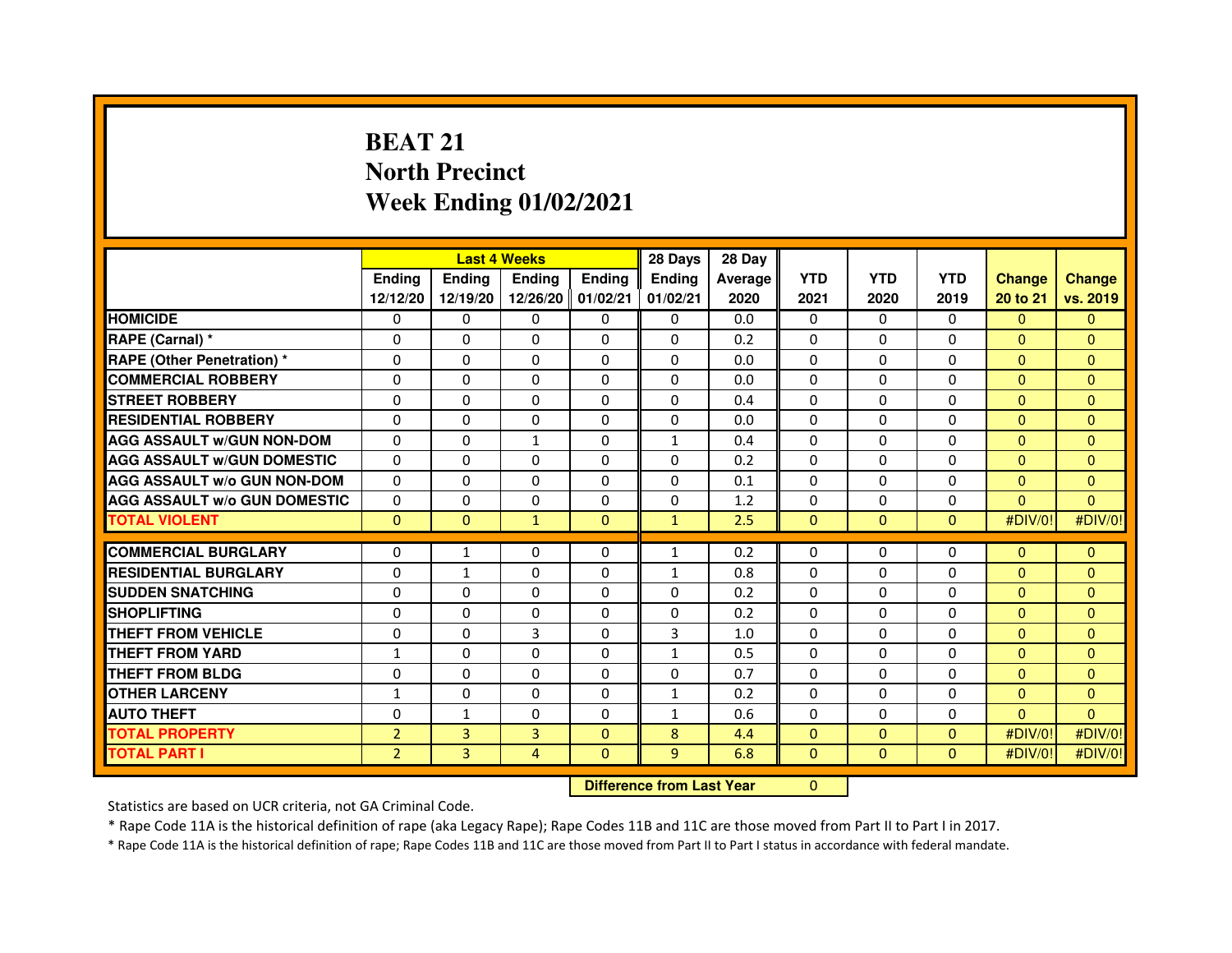# **BEAT 21 North PrecinctWeek Ending 01/02/2021**

|                                     |                | <b>Last 4 Weeks</b> |                                  |               | 28 Days       | 28 Day  |                |              |              |               |                |
|-------------------------------------|----------------|---------------------|----------------------------------|---------------|---------------|---------|----------------|--------------|--------------|---------------|----------------|
|                                     | <b>Ending</b>  | Ending              | <b>Ending</b>                    | <b>Ending</b> | <b>Ending</b> | Average | <b>YTD</b>     | <b>YTD</b>   | <b>YTD</b>   | <b>Change</b> | <b>Change</b>  |
|                                     | 12/12/20       | 12/19/20            | 12/26/20 01/02/21                |               | 01/02/21      | 2020    | 2021           | 2020         | 2019         | 20 to 21      | vs. 2019       |
| <b>HOMICIDE</b>                     | 0              | 0                   | 0                                | 0             | 0             | 0.0     | $\Omega$       | $\Omega$     | 0            | $\Omega$      | $\mathbf{0}$   |
| RAPE (Carnal) *                     | 0              | $\mathbf{0}$        | 0                                | 0             | $\Omega$      | 0.2     | 0              | $\Omega$     | $\Omega$     | $\mathbf{0}$  | $\Omega$       |
| <b>RAPE (Other Penetration) *</b>   | 0              | 0                   | 0                                | $\mathbf{0}$  | $\Omega$      | 0.0     | $\Omega$       | $\mathbf{0}$ | $\Omega$     | $\mathbf{0}$  | $\Omega$       |
| <b>COMMERCIAL ROBBERY</b>           | $\mathbf 0$    | 0                   | $\Omega$                         | $\mathbf{0}$  | $\mathbf{0}$  | 0.0     | $\mathbf{0}$   | $\mathbf{0}$ | $\Omega$     | $\Omega$      | $\mathbf{0}$   |
| <b>STREET ROBBERY</b>               | 0              | $\Omega$            | $\Omega$                         | $\Omega$      | $\Omega$      | 0.4     | $\Omega$       | $\Omega$     | $\Omega$     | $\Omega$      | $\Omega$       |
| <b>RESIDENTIAL ROBBERY</b>          | 0              | 0                   | 0                                | 0             | $\Omega$      | 0.0     | $\Omega$       | $\Omega$     | $\Omega$     | $\Omega$      | $\Omega$       |
| <b>AGG ASSAULT W/GUN NON-DOM</b>    | $\Omega$       | $\Omega$            | $\mathbf{1}$                     | $\Omega$      | $\mathbf{1}$  | 0.4     | $\Omega$       | $\Omega$     | $\Omega$     | $\mathbf{0}$  | $\Omega$       |
| <b>AGG ASSAULT W/GUN DOMESTIC</b>   | $\Omega$       | $\Omega$            | $\Omega$                         | $\Omega$      | $\Omega$      | 0.2     | $\Omega$       | $\Omega$     | $\Omega$     | $\Omega$      | $\Omega$       |
| <b>AGG ASSAULT W/o GUN NON-DOM</b>  | $\Omega$       | $\Omega$            | $\Omega$                         | $\Omega$      | $\Omega$      | 0.1     | $\Omega$       | $\Omega$     | $\Omega$     | $\Omega$      | $\Omega$       |
| <b>AGG ASSAULT W/o GUN DOMESTIC</b> | $\Omega$       | 0                   | 0                                | $\Omega$      | 0             | 1.2     | 0              | $\Omega$     | $\Omega$     | $\Omega$      | $\Omega$       |
| <b>TOTAL VIOLENT</b>                | $\mathbf{0}$   | $\mathbf{0}$        | $\mathbf{1}$                     | $\mathbf{0}$  | $\mathbf{1}$  | 2.5     | $\mathbf{0}$   | $\mathbf{0}$ | $\mathbf{0}$ | #DIV/0!       | #DIV/0!        |
| <b>COMMERCIAL BURGLARY</b>          | 0              | 1                   | 0                                | 0             | $\mathbf{1}$  | 0.2     | 0              | 0            | 0            | $\mathbf{0}$  | $\mathbf{0}$   |
| <b>RESIDENTIAL BURGLARY</b>         | $\mathbf 0$    | $\mathbf{1}$        | $\Omega$                         | $\mathbf{0}$  | $\mathbf{1}$  | 0.8     | $\Omega$       | $\Omega$     | $\Omega$     | $\mathbf{0}$  | $\mathbf{0}$   |
| <b>SUDDEN SNATCHING</b>             | 0              | $\Omega$            | $\Omega$                         | $\Omega$      | $\Omega$      | 0.2     | $\Omega$       | $\Omega$     | $\Omega$     | $\Omega$      | $\Omega$       |
| <b>SHOPLIFTING</b>                  | 0              | $\mathbf{0}$        | 0                                | $\mathbf{0}$  | $\Omega$      | 0.2     | $\mathbf{0}$   | 0            | 0            | $\mathbf{0}$  | $\Omega$       |
| THEFT FROM VEHICLE                  | 0              | 0                   | 3                                | $\Omega$      | 3             | 1.0     | 0              | $\Omega$     | $\Omega$     | $\Omega$      | $\Omega$       |
| <b>THEFT FROM YARD</b>              | $\mathbf{1}$   | 0                   | $\Omega$                         | $\Omega$      | $\mathbf 1$   | 0.5     | $\Omega$       | $\Omega$     | $\Omega$     | $\Omega$      | $\overline{0}$ |
| <b>THEFT FROM BLDG</b>              | 0              | $\Omega$            | 0                                | $\Omega$      | 0             | 0.7     | $\Omega$       | $\Omega$     | $\Omega$     | $\Omega$      | $\Omega$       |
| <b>OTHER LARCENY</b>                | 1              | $\Omega$            | $\Omega$                         | $\Omega$      | $\mathbf{1}$  | 0.2     | $\Omega$       | $\Omega$     | 0            | $\Omega$      | $\Omega$       |
| <b>AUTO THEFT</b>                   | $\Omega$       | 1                   | $\Omega$                         | $\Omega$      | $\mathbf{1}$  | 0.6     | $\Omega$       | $\Omega$     | $\Omega$     | $\Omega$      | $\Omega$       |
| <b>TOTAL PROPERTY</b>               | $\overline{2}$ | 3                   | $\overline{3}$                   | $\mathbf{0}$  | 8             | 4.4     | $\mathbf{0}$   | $\mathbf{0}$ | $\Omega$     | #DIV/0!       | #DIV/0!        |
| <b>TOTAL PART I</b>                 | $\overline{2}$ | 3                   | $\overline{4}$                   | $\Omega$      | 9             | 6.8     | $\overline{0}$ | $\mathbf{0}$ | $\mathbf{0}$ | #DIV/0!       | #DIV/0!        |
|                                     |                |                     |                                  |               |               |         |                |              |              |               |                |
|                                     |                |                     | <b>Difference from Last Year</b> |               | $\Omega$      |         |                |              |              |               |                |

Statistics are based on UCR criteria, not GA Criminal Code.

\* Rape Code 11A is the historical definition of rape (aka Legacy Rape); Rape Codes 11B and 11C are those moved from Part II to Part I in 2017.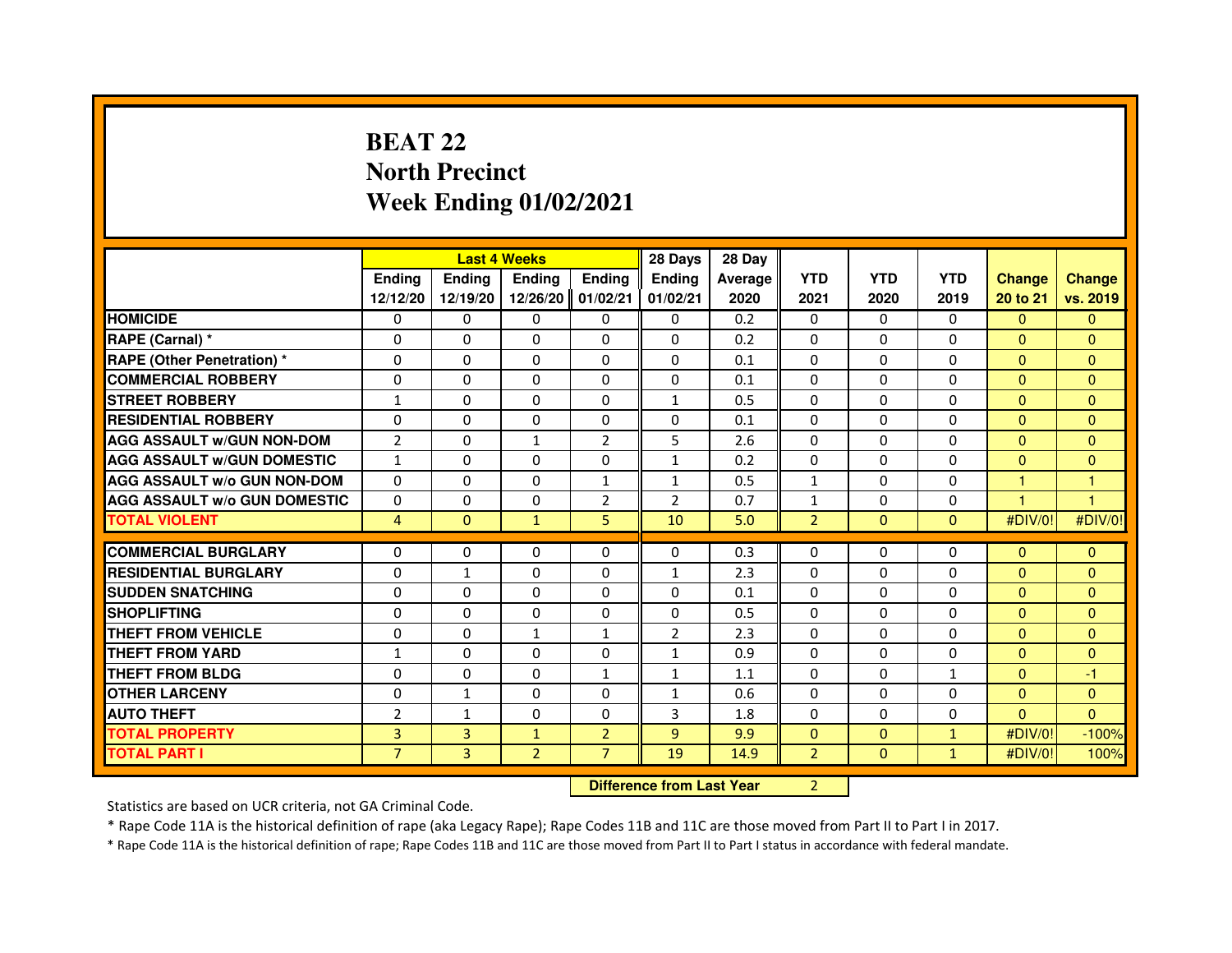## **BEAT 22 North PrecinctWeek Ending 01/02/2021**

|                                     |                |               | <b>Last 4 Weeks</b>              |                | 28 Days        | 28 Day  |                |              |              |                |                |
|-------------------------------------|----------------|---------------|----------------------------------|----------------|----------------|---------|----------------|--------------|--------------|----------------|----------------|
|                                     | <b>Endina</b>  | <b>Endina</b> | <b>Ending</b>                    | <b>Ending</b>  | <b>Ending</b>  | Average | <b>YTD</b>     | <b>YTD</b>   | <b>YTD</b>   | <b>Change</b>  | <b>Change</b>  |
|                                     | 12/12/20       | 12/19/20      | 12/26/20                         | 01/02/21       | 01/02/21       | 2020    | 2021           | 2020         | 2019         | 20 to 21       | vs. 2019       |
| <b>HOMICIDE</b>                     | $\mathbf{0}$   | $\Omega$      | $\Omega$                         | $\Omega$       | $\mathbf{0}$   | 0.2     | $\mathbf{0}$   | $\Omega$     | $\Omega$     | $\Omega$       | $\mathbf{0}$   |
| RAPE (Carnal) *                     | 0              | $\mathbf{0}$  | 0                                | $\mathbf{0}$   | 0              | 0.2     | 0              | 0            | 0            | $\Omega$       | $\mathbf{0}$   |
| <b>RAPE (Other Penetration) *</b>   | $\Omega$       | $\Omega$      | 0                                | $\Omega$       | $\Omega$       | 0.1     | $\Omega$       | $\Omega$     | 0            | $\Omega$       | $\mathbf{0}$   |
| <b>COMMERCIAL ROBBERY</b>           | 0              | $\Omega$      | $\Omega$                         | $\Omega$       | 0              | 0.1     | 0              | $\Omega$     | 0            | $\mathbf{0}$   | $\mathbf{0}$   |
| <b>STREET ROBBERY</b>               | $\mathbf{1}$   | $\Omega$      | $\Omega$                         | $\Omega$       | $\mathbf{1}$   | 0.5     | $\Omega$       | $\Omega$     | $\Omega$     | $\Omega$       | $\Omega$       |
| <b>RESIDENTIAL ROBBERY</b>          | 0              | 0             | 0                                | 0              | 0              | 0.1     | 0              | 0            | $\Omega$     | $\overline{0}$ | $\mathbf{0}$   |
| <b>AGG ASSAULT W/GUN NON-DOM</b>    | $\overline{2}$ | $\Omega$      | 1                                | $\overline{2}$ | 5              | 2.6     | 0              | $\Omega$     | 0            | $\mathbf{0}$   | $\overline{0}$ |
| <b>AGG ASSAULT W/GUN DOMESTIC</b>   | $\mathbf{1}$   | 0             | $\Omega$                         | 0              | $\mathbf{1}$   | 0.2     | $\mathbf{0}$   | $\mathbf{0}$ | $\mathbf{0}$ | $\mathbf{0}$   | $\mathbf{0}$   |
| <b>AGG ASSAULT W/o GUN NON-DOM</b>  | $\Omega$       | $\Omega$      | $\Omega$                         | $\mathbf{1}$   | $\mathbf{1}$   | 0.5     | $\mathbf{1}$   | $\Omega$     | $\Omega$     | $\mathbf{1}$   | $\mathbf{1}$   |
| <b>AGG ASSAULT W/o GUN DOMESTIC</b> | 0              | 0             | 0                                | $\overline{2}$ | $\overline{2}$ | 0.7     | $\mathbf{1}$   | $\Omega$     | $\Omega$     | 4              | $\overline{1}$ |
| <b>TOTAL VIOLENT</b>                | $\overline{4}$ | $\mathbf{0}$  | $\mathbf{1}$                     | 5              | 10             | 5.0     | $\overline{2}$ | $\mathbf{0}$ | $\mathbf{0}$ | #DIV/0!        | #DIV/0!        |
| <b>COMMERCIAL BURGLARY</b>          | 0              | 0             | 0                                | $\mathbf{0}$   | 0              | 0.3     | $\Omega$       | 0            | 0            | $\mathbf{0}$   | $\mathbf{0}$   |
| <b>RESIDENTIAL BURGLARY</b>         | $\Omega$       | $\mathbf{1}$  | $\Omega$                         | $\Omega$       | $\mathbf{1}$   | 2.3     | $\Omega$       | $\Omega$     | 0            | $\mathbf{0}$   | $\overline{0}$ |
| <b>SUDDEN SNATCHING</b>             | $\Omega$       | $\Omega$      | $\Omega$                         | $\Omega$       | $\Omega$       | 0.1     | $\Omega$       | $\Omega$     | $\Omega$     | $\Omega$       | $\Omega$       |
| <b>SHOPLIFTING</b>                  | 0              | $\mathbf{0}$  | 0                                | 0              | 0              | 0.5     | $\mathbf{0}$   | 0            | 0            | $\mathbf{0}$   | $\mathbf{0}$   |
| THEFT FROM VEHICLE                  | 0              | $\Omega$      | $\mathbf{1}$                     | $\mathbf{1}$   | $\overline{2}$ | 2.3     | 0              | $\Omega$     | 0            | $\Omega$       | $\Omega$       |
| THEFT FROM YARD                     | $\mathbf{1}$   | $\Omega$      | $\Omega$                         | 0              | $\mathbf{1}$   | 0.9     | 0              | $\Omega$     | 0            | $\mathbf{0}$   | $\mathbf{0}$   |
| <b>THEFT FROM BLDG</b>              | $\Omega$       | $\Omega$      | $\Omega$                         | $\mathbf{1}$   | $\mathbf{1}$   | 1.1     | $\Omega$       | $\Omega$     | $\mathbf{1}$ | $\Omega$       | $-1$           |
| <b>OTHER LARCENY</b>                | 0              | 1             | 0                                | 0              | 1              | 0.6     | 0              | 0            | 0            | $\mathbf{0}$   | $\mathbf{0}$   |
| <b>AUTO THEFT</b>                   | $\overline{2}$ | $\mathbf{1}$  | $\Omega$                         | $\Omega$       | 3              | 1.8     | $\mathbf{0}$   | $\mathbf{0}$ | $\mathbf{0}$ | $\Omega$       | $\Omega$       |
| <b>TOTAL PROPERTY</b>               | $\overline{3}$ | 3             | $\mathbf{1}$                     | $\overline{2}$ | 9              | 9.9     | $\mathbf{0}$   | $\mathbf{0}$ | $\mathbf{1}$ | #DIV/0!        | $-100%$        |
| <b>TOTAL PART I</b>                 | $\overline{7}$ | 3             | $\overline{2}$                   | $\overline{7}$ | 19             | 14.9    | $\overline{2}$ | $\mathbf{0}$ | $\mathbf{1}$ | #DIV/0!        | 100%           |
|                                     |                |               | <b>Difference from Last Year</b> |                | $\overline{2}$ |         |                |              |              |                |                |

 **Difference from Last Year**

Statistics are based on UCR criteria, not GA Criminal Code.

\* Rape Code 11A is the historical definition of rape (aka Legacy Rape); Rape Codes 11B and 11C are those moved from Part II to Part I in 2017.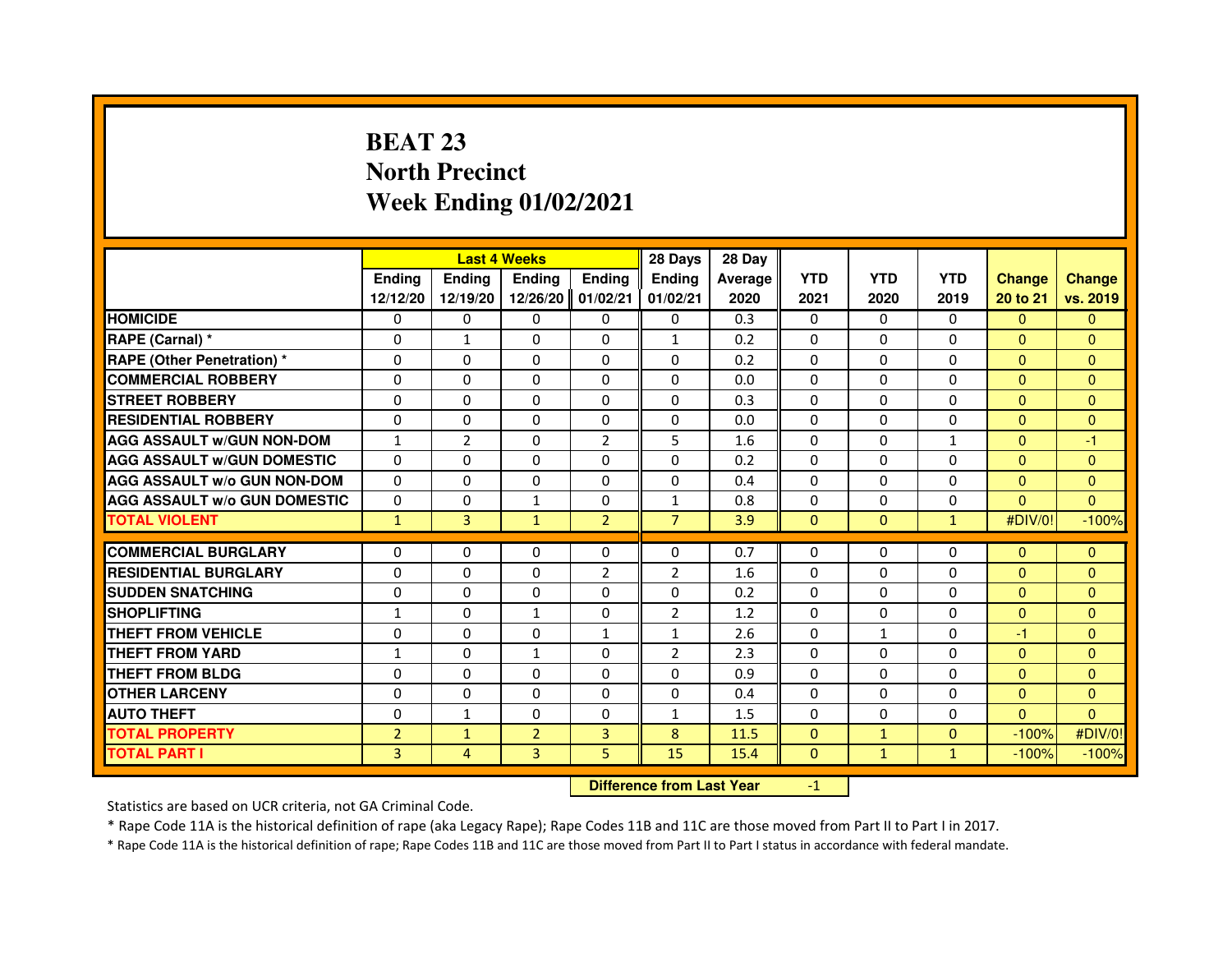# **BEAT 23 North PrecinctWeek Ending 01/02/2021**

|                                     |                |                                  | <b>Last 4 Weeks</b> |                | 28 Days        | 28 Day  |                |              |              |               |               |
|-------------------------------------|----------------|----------------------------------|---------------------|----------------|----------------|---------|----------------|--------------|--------------|---------------|---------------|
|                                     | <b>Ending</b>  | Ending                           | Ending              | Ending         | Ending         | Average | <b>YTD</b>     | <b>YTD</b>   | <b>YTD</b>   | <b>Change</b> | <b>Change</b> |
|                                     | 12/12/20       | 12/19/20                         | 12/26/20            | 01/02/21       | 01/02/21       | 2020    | 2021           | 2020         | 2019         | 20 to 21      | vs. 2019      |
| <b>HOMICIDE</b>                     | 0              | 0                                | $\Omega$            | 0              | 0              | 0.3     | $\Omega$       | $\Omega$     | $\Omega$     | $\Omega$      | $\mathbf{0}$  |
| RAPE (Carnal) *                     | $\Omega$       | $\mathbf{1}$                     | $\Omega$            | $\Omega$       | $\mathbf{1}$   | 0.2     | $\Omega$       | $\Omega$     | $\Omega$     | $\Omega$      | $\Omega$      |
| <b>RAPE (Other Penetration) *</b>   | $\Omega$       | $\Omega$                         | $\Omega$            | $\Omega$       | $\Omega$       | 0.2     | $\Omega$       | $\Omega$     | $\Omega$     | $\Omega$      | $\Omega$      |
| <b>COMMERCIAL ROBBERY</b>           | 0              | 0                                | 0                   | 0              | 0              | 0.0     | $\Omega$       | 0            | 0            | $\Omega$      | $\Omega$      |
| <b>STREET ROBBERY</b>               | $\Omega$       | $\Omega$                         | $\Omega$            | $\Omega$       | $\Omega$       | 0.3     | $\Omega$       | $\Omega$     | $\Omega$     | $\Omega$      | $\Omega$      |
| <b>RESIDENTIAL ROBBERY</b>          | 0              | 0                                | 0                   | 0              | 0              | 0.0     | $\Omega$       | 0            | 0            | $\Omega$      | $\mathbf{0}$  |
| <b>AGG ASSAULT W/GUN NON-DOM</b>    | $\mathbf{1}$   | $\overline{2}$                   | 0                   | $\overline{2}$ | 5              | 1.6     | $\Omega$       | $\Omega$     | $\mathbf{1}$ | $\Omega$      | $-1$          |
| <b>AGG ASSAULT W/GUN DOMESTIC</b>   | $\Omega$       | $\Omega$                         | $\Omega$            | $\Omega$       | $\Omega$       | 0.2     | $\Omega$       | $\Omega$     | $\Omega$     | $\Omega$      | $\mathbf{0}$  |
| <b>AGG ASSAULT W/o GUN NON-DOM</b>  | $\Omega$       | $\Omega$                         | $\Omega$            | $\Omega$       | $\Omega$       | 0.4     | $\Omega$       | $\Omega$     | $\Omega$     | $\Omega$      | $\Omega$      |
| <b>AGG ASSAULT W/o GUN DOMESTIC</b> | $\Omega$       | 0                                | 1                   | $\Omega$       | $\mathbf{1}$   | 0.8     | $\Omega$       | $\Omega$     | $\Omega$     | $\Omega$      | $\Omega$      |
| <b>TOTAL VIOLENT</b>                | $\mathbf{1}$   | $\overline{3}$                   | $\mathbf{1}$        | $\overline{2}$ | $\overline{7}$ | 3.9     | $\mathbf{0}$   | $\mathbf{0}$ | $\mathbf{1}$ | #DIV/0!       | $-100%$       |
| <b>COMMERCIAL BURGLARY</b>          | 0              | 0                                | $\Omega$            | 0              | $\Omega$       | 0.7     | $\Omega$       | $\Omega$     | $\Omega$     | $\Omega$      | $\mathbf{0}$  |
| <b>RESIDENTIAL BURGLARY</b>         | $\Omega$       | $\Omega$                         | $\Omega$            | $\overline{2}$ | 2              | 1.6     | $\Omega$       | $\Omega$     | $\Omega$     | $\Omega$      | $\mathbf{0}$  |
| <b>SUDDEN SNATCHING</b>             | $\Omega$       | $\Omega$                         | $\Omega$            | $\Omega$       | 0              | 0.2     | $\Omega$       | $\Omega$     | $\Omega$     | $\Omega$      | $\Omega$      |
| <b>SHOPLIFTING</b>                  | $\mathbf{1}$   | 0                                | 1                   | 0              | $\overline{2}$ | 1.2     | $\Omega$       | $\Omega$     | 0            | $\mathbf{0}$  | $\mathbf{0}$  |
| <b>THEFT FROM VEHICLE</b>           | 0              | $\Omega$                         | $\Omega$            | $\mathbf{1}$   | $\mathbf{1}$   | 2.6     | $\Omega$       | $\mathbf{1}$ | $\Omega$     | $-1$          | $\Omega$      |
| THEFT FROM YARD                     | $\mathbf{1}$   | 0                                | $\mathbf{1}$        | 0              | $\overline{2}$ | 2.3     | 0              | $\Omega$     | $\Omega$     | $\mathbf{0}$  | $\mathbf{0}$  |
| <b>THEFT FROM BLDG</b>              | $\Omega$       | $\Omega$                         | $\Omega$            | $\Omega$       | $\Omega$       | 0.9     | $\Omega$       | $\Omega$     | $\Omega$     | $\Omega$      | $\Omega$      |
| <b>OTHER LARCENY</b>                | 0              | $\Omega$                         | $\Omega$            | $\Omega$       | 0              | 0.4     | $\Omega$       | $\Omega$     | $\Omega$     | $\mathbf{0}$  | $\mathbf{0}$  |
| <b>AUTO THEFT</b>                   | $\Omega$       | $\mathbf{1}$                     | $\Omega$            | $\Omega$       | $\mathbf{1}$   | 1.5     | $\Omega$       | $\Omega$     | $\Omega$     | $\Omega$      | $\Omega$      |
| <b>TOTAL PROPERTY</b>               | $\overline{2}$ | $\mathbf{1}$                     | $\overline{2}$      | 3              | 8              | 11.5    | $\Omega$       | $\mathbf{1}$ | $\Omega$     | $-100%$       | #DIV/0!       |
| <b>TOTAL PART I</b>                 | 3              | $\overline{4}$                   | 3                   | 5              | 15             | 15.4    | $\overline{0}$ | $\mathbf{1}$ | $\mathbf{1}$ | $-100%$       | $-100%$       |
|                                     |                | <b>Difference from Last Year</b> |                     | $-1$           |                |         |                |              |              |               |               |

 **Difference from Last Year**

Statistics are based on UCR criteria, not GA Criminal Code.

\* Rape Code 11A is the historical definition of rape (aka Legacy Rape); Rape Codes 11B and 11C are those moved from Part II to Part I in 2017.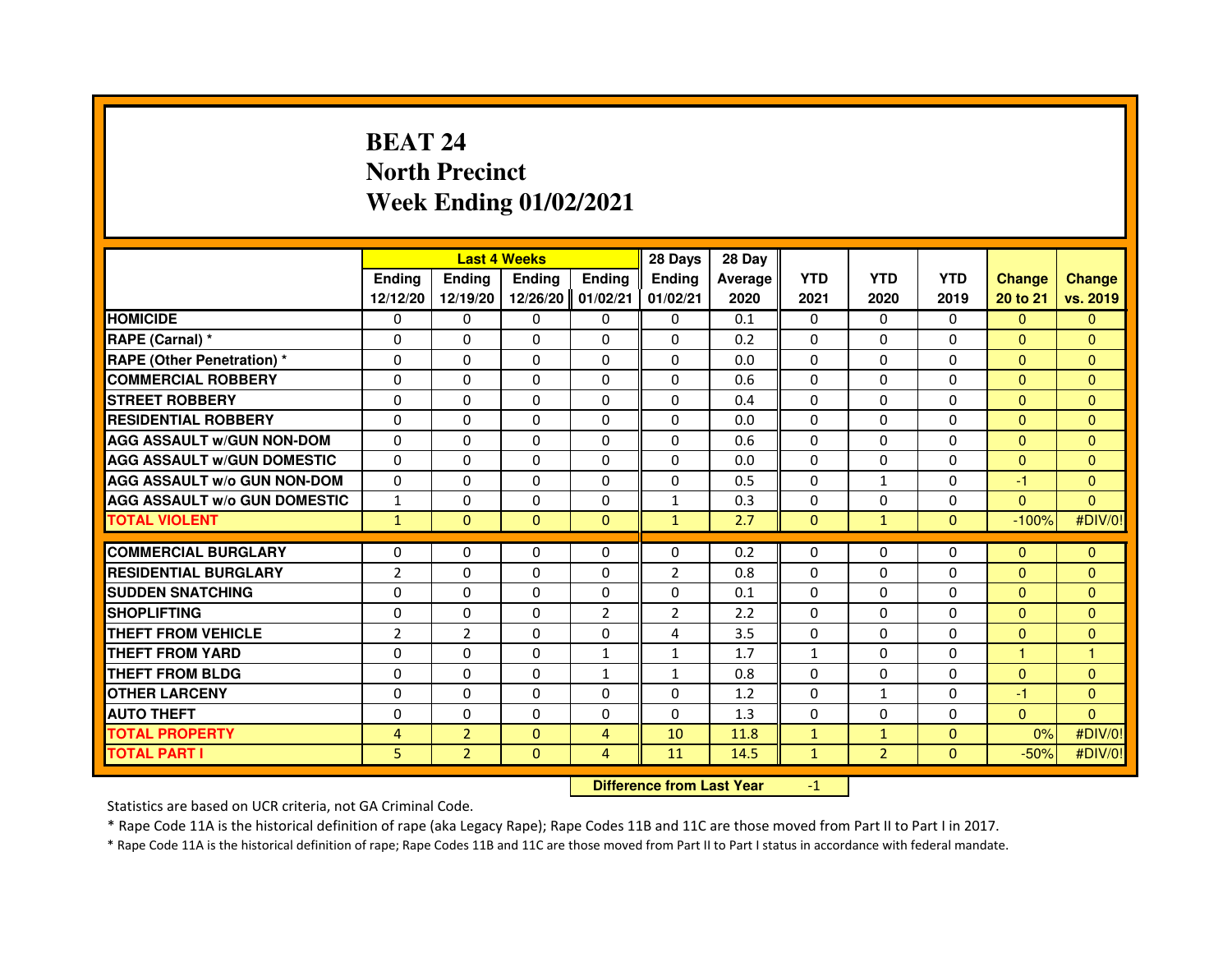# **BEAT 24 North PrecinctWeek Ending 01/02/2021**

|                                     |                | <b>Last 4 Weeks</b>              |               |                |                | 28 Day  |              |                |              |                |                |
|-------------------------------------|----------------|----------------------------------|---------------|----------------|----------------|---------|--------------|----------------|--------------|----------------|----------------|
|                                     | <b>Endina</b>  | <b>Endina</b>                    | <b>Ending</b> | <b>Ending</b>  | <b>Ending</b>  | Average | <b>YTD</b>   | <b>YTD</b>     | <b>YTD</b>   | <b>Change</b>  | <b>Change</b>  |
|                                     | 12/12/20       | 12/19/20                         | 12/26/20      | 01/02/21       | 01/02/21       | 2020    | 2021         | 2020           | 2019         | 20 to 21       | vs. 2019       |
| <b>HOMICIDE</b>                     | $\mathbf{0}$   | $\Omega$                         | $\Omega$      | $\Omega$       | $\mathbf{0}$   | 0.1     | $\mathbf{0}$ | $\Omega$       | $\Omega$     | $\Omega$       | $\mathbf{0}$   |
| RAPE (Carnal) *                     | 0              | $\mathbf{0}$                     | 0             | $\mathbf{0}$   | 0              | 0.2     | 0            | 0              | 0            | $\Omega$       | $\mathbf{0}$   |
| <b>RAPE (Other Penetration) *</b>   | $\Omega$       | $\mathbf{0}$                     | 0             | $\Omega$       | $\Omega$       | 0.0     | $\Omega$     | $\Omega$       | 0            | $\Omega$       | $\mathbf{0}$   |
| <b>COMMERCIAL ROBBERY</b>           | $\Omega$       | $\Omega$                         | $\Omega$      | $\Omega$       | 0              | 0.6     | $\mathbf 0$  | $\Omega$       | $\Omega$     | $\mathbf{0}$   | $\mathbf{0}$   |
| <b>STREET ROBBERY</b>               | $\Omega$       | $\Omega$                         | $\Omega$      | $\Omega$       | $\Omega$       | 0.4     | $\Omega$     | $\Omega$       | $\Omega$     | $\Omega$       | $\Omega$       |
| <b>RESIDENTIAL ROBBERY</b>          | 0              | 0                                | 0             | 0              | 0              | 0.0     | 0            | 0              | $\Omega$     | $\overline{0}$ | $\mathbf{0}$   |
| <b>AGG ASSAULT W/GUN NON-DOM</b>    | $\Omega$       | $\Omega$                         | 0             | $\Omega$       | $\Omega$       | 0.6     | 0            | $\Omega$       | 0            | $\mathbf{0}$   | $\overline{0}$ |
| <b>AGG ASSAULT W/GUN DOMESTIC</b>   | $\Omega$       | 0                                | $\Omega$      | $\Omega$       | $\mathbf{0}$   | 0.0     | $\mathbf{0}$ | $\mathbf{0}$   | $\mathbf{0}$ | $\mathbf{0}$   | $\mathbf{0}$   |
| <b>AGG ASSAULT W/o GUN NON-DOM</b>  | $\Omega$       | $\Omega$                         | $\Omega$      | $\Omega$       | $\Omega$       | 0.5     | $\Omega$     | $\mathbf{1}$   | $\Omega$     | $-1$           | $\Omega$       |
| <b>AGG ASSAULT W/o GUN DOMESTIC</b> | 1              | 0                                | 0             | $\Omega$       | $\mathbf{1}$   | 0.3     | $\mathbf{0}$ | 0              | $\Omega$     | $\Omega$       | $\Omega$       |
| <b>TOTAL VIOLENT</b>                | $\mathbf{1}$   | $\mathbf{0}$                     | $\mathbf{0}$  | $\mathbf{0}$   | $\mathbf{1}$   | 2.7     | $\mathbf{0}$ | $\mathbf{1}$   | $\mathbf{0}$ | $-100%$        | #DIV/0!        |
| <b>COMMERCIAL BURGLARY</b>          | 0              | 0                                | 0             | $\mathbf{0}$   | 0              | 0.2     | 0            | 0              | 0            | $\mathbf{0}$   | $\mathbf{0}$   |
| <b>RESIDENTIAL BURGLARY</b>         | $\overline{2}$ | $\Omega$                         | $\Omega$      | $\Omega$       | $\overline{2}$ | 0.8     | $\Omega$     | $\mathbf{0}$   | 0            | $\mathbf{0}$   | $\overline{0}$ |
| <b>SUDDEN SNATCHING</b>             | $\Omega$       | $\Omega$                         | $\Omega$      | $\Omega$       | $\Omega$       | 0.1     | $\Omega$     | $\Omega$       | $\Omega$     | $\Omega$       | $\Omega$       |
| <b>SHOPLIFTING</b>                  | 0              | 0                                | 0             | 2              | 2              | 2.2     | $\mathbf{0}$ | 0              | 0            | $\mathbf{0}$   | $\mathbf{0}$   |
| THEFT FROM VEHICLE                  | $\overline{2}$ | $\overline{2}$                   | 0             | $\Omega$       | 4              | 3.5     | 0            | $\Omega$       | 0            | $\Omega$       | $\overline{0}$ |
| THEFT FROM YARD                     | 0              | $\Omega$                         | $\Omega$      | $\mathbf{1}$   | $\mathbf 1$    | 1.7     | $\mathbf{1}$ | $\Omega$       | $\Omega$     | $\mathbf{1}$   | $\mathbf{1}$   |
| <b>THEFT FROM BLDG</b>              | $\Omega$       | $\Omega$                         | $\Omega$      | $\mathbf{1}$   | $\mathbf{1}$   | 0.8     | $\Omega$     | $\Omega$       | $\Omega$     | $\Omega$       | $\mathbf{0}$   |
| <b>OTHER LARCENY</b>                | 0              | $\mathbf{0}$                     | 0             | $\Omega$       | 0              | 1.2     | 0            | 1              | 0            | $-1$           | $\mathbf{0}$   |
| <b>AUTO THEFT</b>                   | $\Omega$       | $\Omega$                         | $\Omega$      | $\Omega$       | $\Omega$       | 1.3     | $\Omega$     | $\Omega$       | $\Omega$     | $\Omega$       | $\Omega$       |
| <b>TOTAL PROPERTY</b>               | 4              | $\overline{2}$                   | $\Omega$      | $\overline{4}$ | 10             | 11.8    | $\mathbf{1}$ | $\mathbf{1}$   | $\mathbf{0}$ | 0%             | #DIV/0!        |
| <b>TOTAL PART I</b>                 | 5              | $\overline{2}$                   | $\mathbf{0}$  | 4              | 11             | 14.5    | $\mathbf{1}$ | $\overline{2}$ | $\mathbf{0}$ | $-50%$         | #DIV/0!        |
|                                     |                | <b>Difference from Last Year</b> |               | $-1$           |                |         |              |                |              |                |                |

 **Difference from Last Year**

Statistics are based on UCR criteria, not GA Criminal Code.

\* Rape Code 11A is the historical definition of rape (aka Legacy Rape); Rape Codes 11B and 11C are those moved from Part II to Part I in 2017.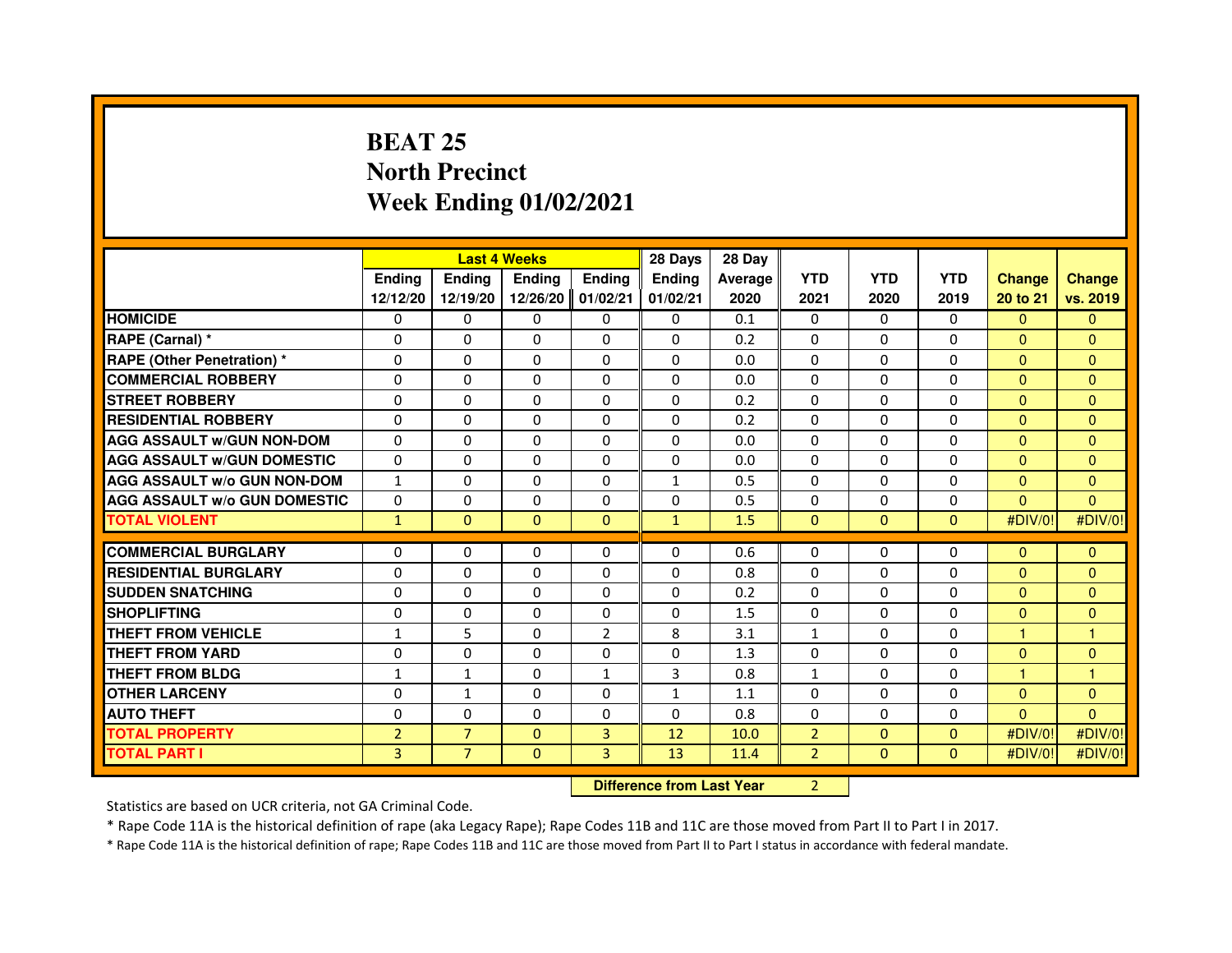## **BEAT 25 North PrecinctWeek Ending 01/02/2021**

|                                     |                | <b>Last 4 Weeks</b>              |               |                | 28 Days       | 28 Day  |                |              |              |                      |               |
|-------------------------------------|----------------|----------------------------------|---------------|----------------|---------------|---------|----------------|--------------|--------------|----------------------|---------------|
|                                     | Ending         | <b>Ending</b>                    | <b>Ending</b> | Ending         | <b>Ending</b> | Average | <b>YTD</b>     | <b>YTD</b>   | <b>YTD</b>   | <b>Change</b>        | <b>Change</b> |
|                                     | 12/12/20       | 12/19/20                         | 12/26/20      | 01/02/21       | 01/02/21      | 2020    | 2021           | 2020         | 2019         | 20 to 21             | vs. 2019      |
| <b>HOMICIDE</b>                     | 0              | $\Omega$                         | $\mathbf{0}$  | $\mathbf{0}$   | 0             | 0.1     | $\Omega$       | 0            | 0            | $\Omega$             | $\Omega$      |
| RAPE (Carnal) *                     | $\Omega$       | $\Omega$                         | $\Omega$      | $\Omega$       | $\Omega$      | 0.2     | $\Omega$       | $\Omega$     | $\Omega$     | $\Omega$             | $\Omega$      |
| <b>RAPE (Other Penetration)*</b>    | $\Omega$       | 0                                | 0             | $\Omega$       | $\Omega$      | 0.0     | $\Omega$       | $\Omega$     | $\Omega$     | $\Omega$             | $\Omega$      |
| <b>COMMERCIAL ROBBERY</b>           | 0              | 0                                | 0             | $\mathbf{0}$   | $\mathbf{0}$  | 0.0     | 0              | 0            | 0            | $\Omega$             | $\Omega$      |
| <b>STREET ROBBERY</b>               | $\Omega$       | $\Omega$                         | $\Omega$      | $\Omega$       | $\Omega$      | 0.2     | $\Omega$       | $\Omega$     | $\Omega$     | $\Omega$             | $\Omega$      |
| <b>RESIDENTIAL ROBBERY</b>          | 0              | 0                                | 0             | 0              | 0             | 0.2     | 0              | 0            | 0            | $\Omega$             | $\mathbf{0}$  |
| <b>AGG ASSAULT W/GUN NON-DOM</b>    | $\Omega$       | $\Omega$                         | 0             | $\Omega$       | $\Omega$      | 0.0     | $\Omega$       | $\Omega$     | $\Omega$     | $\Omega$             | $\Omega$      |
| <b>AGG ASSAULT W/GUN DOMESTIC</b>   | $\mathbf 0$    | 0                                | $\Omega$      | $\Omega$       | $\Omega$      | 0.0     | $\Omega$       | $\Omega$     | $\Omega$     | $\Omega$             | $\mathbf{0}$  |
| <b>AGG ASSAULT W/o GUN NON-DOM</b>  | $\mathbf{1}$   | $\Omega$                         | $\Omega$      | $\Omega$       | $\mathbf{1}$  | 0.5     | $\Omega$       | $\Omega$     | $\Omega$     | $\Omega$             | $\mathbf{0}$  |
| <b>AGG ASSAULT w/o GUN DOMESTIC</b> | 0              | 0                                | 0             | 0              | 0             | 0.5     | 0              | 0            | $\Omega$     | $\Omega$             | $\Omega$      |
| <b>TOTAL VIOLENT</b>                | $\mathbf{1}$   | $\overline{0}$                   | $\mathbf{0}$  | $\mathbf{0}$   | $\mathbf{1}$  | 1.5     | $\mathbf{0}$   | $\mathbf{0}$ | $\Omega$     | #DIV/0!              | #DIV/0!       |
| <b>COMMERCIAL BURGLARY</b>          | 0              | 0                                | 0             | 0              | $\Omega$      | 0.6     | 0              | 0            | $\Omega$     | $\mathbf{0}$         | $\mathbf{0}$  |
| <b>RESIDENTIAL BURGLARY</b>         | 0              | $\Omega$                         | 0             | $\Omega$       | $\Omega$      | 0.8     | $\Omega$       | $\Omega$     | $\Omega$     | $\Omega$             | $\Omega$      |
| <b>SUDDEN SNATCHING</b>             | $\Omega$       | $\Omega$                         | $\Omega$      | $\Omega$       | $\Omega$      | 0.2     | $\Omega$       | $\Omega$     | $\Omega$     | $\Omega$             | $\Omega$      |
| <b>SHOPLIFTING</b>                  | 0              | 0                                | 0             | 0              | 0             | 1.5     | 0              | $\Omega$     | $\Omega$     | $\mathbf{0}$         | $\mathbf{0}$  |
| <b>THEFT FROM VEHICLE</b>           | $\mathbf{1}$   | 5                                | 0             | $\overline{2}$ | 8             | 3.1     | $\mathbf{1}$   | $\Omega$     | $\Omega$     | $\blacktriangleleft$ | 1             |
| <b>THEFT FROM YARD</b>              | 0              | 0                                | 0             | 0              | 0             | 1.3     | 0              | $\Omega$     | $\Omega$     | $\mathbf{0}$         | $\mathbf{0}$  |
| <b>THEFT FROM BLDG</b>              | $\mathbf{1}$   | $\mathbf{1}$                     | $\Omega$      | $\mathbf{1}$   | 3             | 0.8     | $\mathbf{1}$   | $\Omega$     | $\Omega$     | $\mathbf{1}$         | 1             |
| <b>OTHER LARCENY</b>                | 0              | $\mathbf{1}$                     | 0             | 0              | 1             | 1.1     | 0              | $\Omega$     | $\Omega$     | $\mathbf{0}$         | $\mathbf{0}$  |
| <b>AUTO THEFT</b>                   | $\Omega$       | $\Omega$                         | $\Omega$      | $\Omega$       | $\Omega$      | 0.8     | $\Omega$       | 0            | 0            | $\Omega$             | $\Omega$      |
| <b>TOTAL PROPERTY</b>               | $\overline{2}$ | $\overline{7}$                   | $\Omega$      | 3              | 12            | 10.0    | $\overline{2}$ | $\Omega$     | $\Omega$     | #DIV/0!              | #DIV/0!       |
| <b>TOTAL PART I</b>                 | $\overline{3}$ | $\overline{7}$                   | $\mathbf{0}$  | 3              | 13            | 11.4    | $\overline{2}$ | $\mathbf{0}$ | $\mathbf{0}$ | #DIV/0!              | #DIV/0!       |
|                                     |                | <b>Difference from Last Year</b> |               | $\overline{2}$ |               |         |                |              |              |                      |               |

 **Difference from Last Year**

Statistics are based on UCR criteria, not GA Criminal Code.

\* Rape Code 11A is the historical definition of rape (aka Legacy Rape); Rape Codes 11B and 11C are those moved from Part II to Part I in 2017.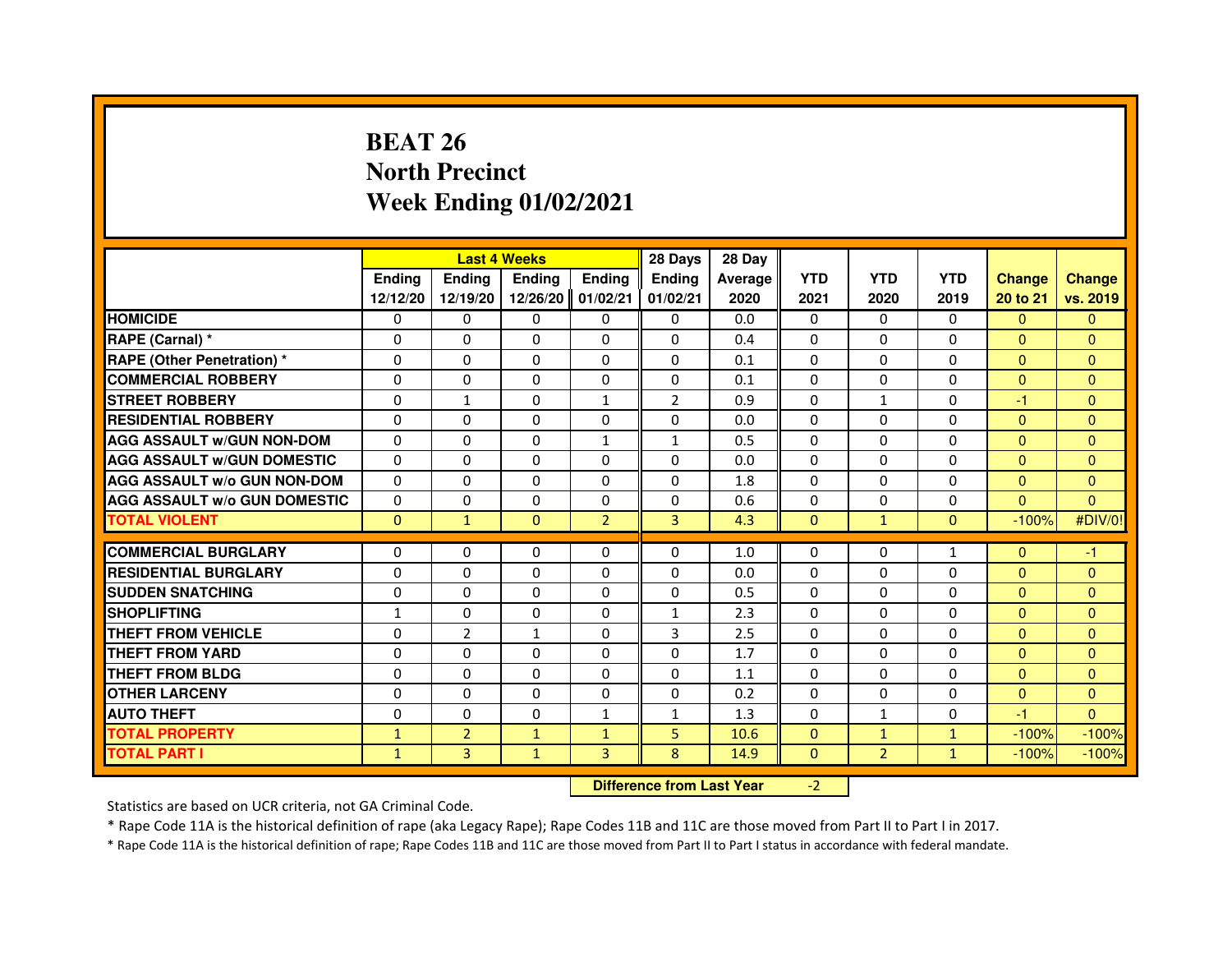# **BEAT 26 North PrecinctWeek Ending 01/02/2021**

|                                     |               | <b>Last 4 Weeks</b>              |               |                |                | 28 Day  |              |                |              |                |                |
|-------------------------------------|---------------|----------------------------------|---------------|----------------|----------------|---------|--------------|----------------|--------------|----------------|----------------|
|                                     | <b>Endina</b> | <b>Endina</b>                    | <b>Ending</b> | <b>Ending</b>  | <b>Ending</b>  | Average | <b>YTD</b>   | <b>YTD</b>     | <b>YTD</b>   | <b>Change</b>  | <b>Change</b>  |
|                                     | 12/12/20      | 12/19/20                         | 12/26/20      | 01/02/21       | 01/02/21       | 2020    | 2021         | 2020           | 2019         | 20 to 21       | vs. 2019       |
| <b>HOMICIDE</b>                     | $\mathbf{0}$  | $\Omega$                         | $\Omega$      | $\mathbf{0}$   | $\mathbf{0}$   | 0.0     | $\mathbf{0}$ | $\Omega$       | $\Omega$     | $\Omega$       | $\mathbf{0}$   |
| RAPE (Carnal) *                     | 0             | $\mathbf{0}$                     | 0             | $\mathbf{0}$   | 0              | 0.4     | 0            | 0              | 0            | $\Omega$       | $\mathbf{0}$   |
| <b>RAPE (Other Penetration) *</b>   | $\Omega$      | $\Omega$                         | 0             | $\Omega$       | $\Omega$       | 0.1     | $\Omega$     | $\Omega$       | 0            | $\Omega$       | $\mathbf{0}$   |
| <b>COMMERCIAL ROBBERY</b>           | $\Omega$      | $\Omega$                         | $\Omega$      | $\Omega$       | 0              | 0.1     | 0            | 0              | $\Omega$     | $\mathbf{0}$   | $\mathbf{0}$   |
| <b>STREET ROBBERY</b>               | $\Omega$      | $\mathbf{1}$                     | $\Omega$      | $\mathbf{1}$   | $\overline{2}$ | 0.9     | $\Omega$     | $\mathbf{1}$   | $\Omega$     | $-1$           | $\mathbf{0}$   |
| <b>RESIDENTIAL ROBBERY</b>          | 0             | 0                                | 0             | 0              | 0              | 0.0     | 0            | 0              | $\Omega$     | $\overline{0}$ | $\mathbf{0}$   |
| <b>AGG ASSAULT W/GUN NON-DOM</b>    | $\Omega$      | $\Omega$                         | 0             | 1              | $\mathbf{1}$   | 0.5     | 0            | $\Omega$       | 0            | $\mathbf{0}$   | $\overline{0}$ |
| <b>AGG ASSAULT W/GUN DOMESTIC</b>   | $\Omega$      | 0                                | $\Omega$      | $\Omega$       | $\mathbf{0}$   | 0.0     | $\mathbf{0}$ | $\mathbf{0}$   | $\mathbf{0}$ | $\Omega$       | $\mathbf{0}$   |
| <b>AGG ASSAULT W/o GUN NON-DOM</b>  | $\Omega$      | $\Omega$                         | $\Omega$      | $\Omega$       | $\Omega$       | 1.8     | $\Omega$     | $\Omega$       | $\Omega$     | $\Omega$       | $\Omega$       |
| <b>AGG ASSAULT W/o GUN DOMESTIC</b> | 0             | 0                                | 0             | $\Omega$       | 0              | 0.6     | $\Omega$     | 0              | $\Omega$     | $\Omega$       | $\Omega$       |
| <b>TOTAL VIOLENT</b>                | $\mathbf{0}$  | $\mathbf{1}$                     | $\mathbf{0}$  | $\overline{2}$ | 3              | 4.3     | $\mathbf{0}$ | $\mathbf{1}$   | $\mathbf{0}$ | $-100%$        | #DIV/0!        |
| <b>COMMERCIAL BURGLARY</b>          | 0             | 0                                | 0             | $\mathbf{0}$   | 0              | 1.0     | 0            | 0              | $\mathbf{1}$ | $\mathbf{0}$   | $-1$           |
| <b>RESIDENTIAL BURGLARY</b>         | $\Omega$      | $\Omega$                         | $\Omega$      | $\Omega$       | $\Omega$       | 0.0     | $\Omega$     | $\Omega$       | 0            | $\mathbf{0}$   | $\mathbf{0}$   |
| <b>SUDDEN SNATCHING</b>             | $\Omega$      | $\Omega$                         | $\Omega$      | $\Omega$       | $\Omega$       | 0.5     | $\Omega$     | $\Omega$       | $\Omega$     | $\Omega$       | $\Omega$       |
| <b>SHOPLIFTING</b>                  | 1             | 0                                | 0             | 0              | $\mathbf{1}$   | 2.3     | $\mathbf{0}$ | 0              | 0            | $\mathbf{0}$   | $\mathbf{0}$   |
| THEFT FROM VEHICLE                  | 0             | $\overline{2}$                   | $\mathbf{1}$  | $\Omega$       | 3              | 2.5     | $\Omega$     | $\Omega$       | 0            | $\Omega$       | $\Omega$       |
| THEFT FROM YARD                     | $\Omega$      | $\Omega$                         | $\Omega$      | $\Omega$       | 0              | 1.7     | 0            | $\Omega$       | $\Omega$     | $\mathbf{0}$   | $\mathbf{0}$   |
| <b>THEFT FROM BLDG</b>              | $\Omega$      | $\Omega$                         | $\Omega$      | $\Omega$       | $\Omega$       | 1.1     | $\Omega$     | $\Omega$       | $\Omega$     | $\Omega$       | $\mathbf{0}$   |
| <b>OTHER LARCENY</b>                | 0             | $\mathbf{0}$                     | 0             | $\Omega$       | 0              | 0.2     | 0            | $\mathbf{0}$   | 0            | $\mathbf{0}$   | $\mathbf{0}$   |
| <b>AUTO THEFT</b>                   | $\Omega$      | $\Omega$                         | $\Omega$      | $\mathbf{1}$   | $\mathbf{1}$   | 1.3     | $\Omega$     | $\mathbf{1}$   | $\Omega$     | $-1$           | $\Omega$       |
| <b>TOTAL PROPERTY</b>               | $\mathbf{1}$  | $\overline{2}$                   | $\mathbf{1}$  | $\mathbf{1}$   | 5              | 10.6    | $\mathbf{0}$ | $\mathbf{1}$   | $\mathbf{1}$ | $-100%$        | $-100%$        |
| <b>TOTAL PART I</b>                 | $\mathbf{1}$  | 3                                | $\mathbf{1}$  | 3              | 8              | 14.9    | $\mathbf{0}$ | $\overline{2}$ | $\mathbf{1}$ | $-100%$        | $-100%$        |
|                                     |               | <b>Difference from Last Year</b> |               | $-2$           |                |         |              |                |              |                |                |

#### **Difference from Last Year**

Statistics are based on UCR criteria, not GA Criminal Code.

\* Rape Code 11A is the historical definition of rape (aka Legacy Rape); Rape Codes 11B and 11C are those moved from Part II to Part I in 2017.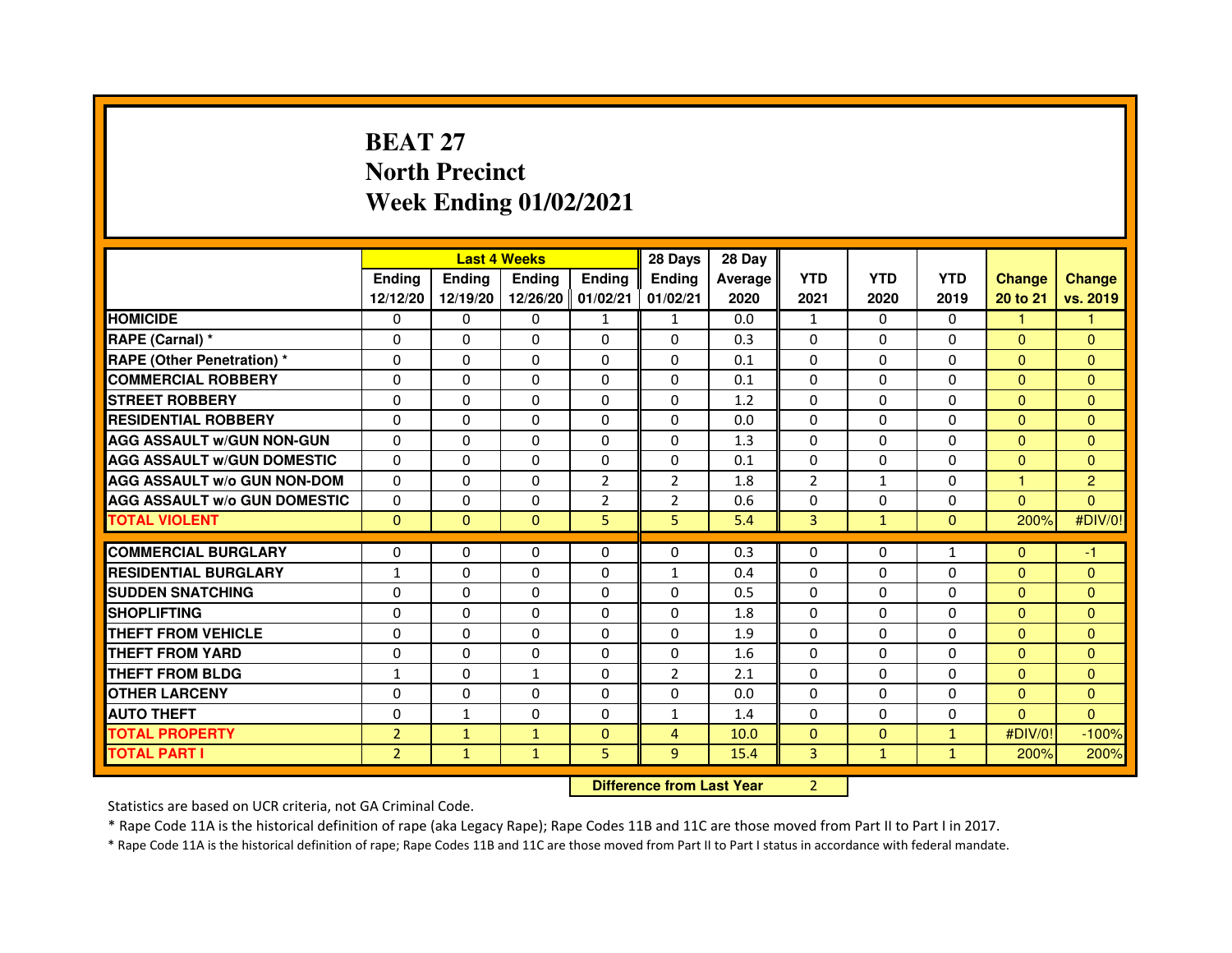# **BEAT 27 North PrecinctWeek Ending 01/02/2021**

|                                     |                | <b>Last 4 Weeks</b>              |                   |                | 28 Days        | 28 Day  |              |              |              |               |                |
|-------------------------------------|----------------|----------------------------------|-------------------|----------------|----------------|---------|--------------|--------------|--------------|---------------|----------------|
|                                     | <b>Ending</b>  | Ending                           | <b>Ending</b>     | <b>Ending</b>  | <b>Ending</b>  | Average | <b>YTD</b>   | <b>YTD</b>   | <b>YTD</b>   | <b>Change</b> | <b>Change</b>  |
|                                     | 12/12/20       | 12/19/20                         | 12/26/20 01/02/21 |                | 01/02/21       | 2020    | 2021         | 2020         | 2019         | 20 to 21      | vs. 2019       |
| <b>HOMICIDE</b>                     | 0              | 0                                | $\mathbf{0}$      | $\mathbf{1}$   | $\mathbf{1}$   | 0.0     | $\mathbf{1}$ | $\Omega$     | 0            | $\mathbf{1}$  | 1.             |
| RAPE (Carnal) *                     | 0              | $\mathbf{0}$                     | 0                 | $\mathbf{0}$   | 0              | 0.3     | 0            | $\Omega$     | $\Omega$     | $\mathbf{0}$  | $\mathbf{0}$   |
| <b>RAPE (Other Penetration) *</b>   | 0              | 0                                | 0                 | $\mathbf{0}$   | $\Omega$       | 0.1     | $\Omega$     | $\mathbf{0}$ | $\Omega$     | $\mathbf{0}$  | $\Omega$       |
| <b>COMMERCIAL ROBBERY</b>           | $\mathbf 0$    | 0                                | $\Omega$          | $\mathbf{0}$   | $\mathbf{0}$   | 0.1     | $\mathbf{0}$ | $\mathbf{0}$ | $\Omega$     | $\Omega$      | $\mathbf{0}$   |
| <b>STREET ROBBERY</b>               | 0              | $\Omega$                         | $\Omega$          | $\mathbf{0}$   | $\Omega$       | 1.2     | $\Omega$     | $\Omega$     | $\Omega$     | $\Omega$      | $\Omega$       |
| <b>RESIDENTIAL ROBBERY</b>          | 0              | 0                                | $\Omega$          | 0              | $\Omega$       | 0.0     | $\Omega$     | $\Omega$     | $\Omega$     | $\Omega$      | $\Omega$       |
| <b>AGG ASSAULT W/GUN NON-GUN</b>    | $\Omega$       | $\Omega$                         | 0                 | $\mathbf{0}$   | $\Omega$       | 1.3     | $\Omega$     | $\Omega$     | $\Omega$     | $\Omega$      | $\Omega$       |
| <b>AGG ASSAULT W/GUN DOMESTIC</b>   | $\Omega$       | $\Omega$                         | $\Omega$          | $\mathbf{0}$   | $\Omega$       | 0.1     | $\Omega$     | $\Omega$     | $\Omega$     | $\Omega$      | $\Omega$       |
| <b>AGG ASSAULT W/o GUN NON-DOM</b>  | $\Omega$       | $\Omega$                         | $\Omega$          | $\overline{2}$ | 2              | 1.8     | 2            | $\mathbf{1}$ | $\Omega$     | $\mathbf{1}$  | $\overline{c}$ |
| <b>AGG ASSAULT W/o GUN DOMESTIC</b> | $\Omega$       | 0                                | 0                 | $\overline{2}$ | $\overline{2}$ | 0.6     | 0            | $\Omega$     | $\Omega$     | $\Omega$      | $\Omega$       |
| <b>TOTAL VIOLENT</b>                | $\mathbf{0}$   | $\mathbf{0}$                     | $\mathbf{0}$      | 5              | 5              | 5.4     | 3            | $\mathbf{1}$ | $\mathbf{0}$ | 200%          | #DIV/0!        |
| <b>COMMERCIAL BURGLARY</b>          | 0              | 0                                | 0                 | 0              | 0              | 0.3     | 0            | 0            | 1            | $\Omega$      | $-1$           |
| <b>RESIDENTIAL BURGLARY</b>         | $\mathbf{1}$   | 0                                | $\Omega$          | $\mathbf{0}$   | $\mathbf{1}$   | 0.4     | $\Omega$     | $\Omega$     | $\Omega$     | $\Omega$      | $\mathbf{0}$   |
| <b>SUDDEN SNATCHING</b>             | 0              | $\Omega$                         | $\Omega$          | $\Omega$       | $\Omega$       | 0.5     | $\Omega$     | $\Omega$     | $\Omega$     | $\Omega$      | $\Omega$       |
| <b>SHOPLIFTING</b>                  | 0              | $\mathbf{0}$                     | 0                 | $\mathbf{0}$   | $\mathbf{0}$   | 1.8     | $\mathbf{0}$ | 0            | 0            | $\Omega$      | $\Omega$       |
| THEFT FROM VEHICLE                  | 0              | 0                                | 0                 | $\Omega$       | 0              | 1.9     | 0            | $\Omega$     | $\Omega$     | $\Omega$      | $\Omega$       |
| <b>THEFT FROM YARD</b>              | $\mathbf 0$    | 0                                | $\Omega$          | $\Omega$       | $\Omega$       | 1.6     | $\Omega$     | $\Omega$     | $\Omega$     | $\Omega$      | $\overline{0}$ |
| <b>THEFT FROM BLDG</b>              | $\mathbf{1}$   | $\Omega$                         | $\mathbf{1}$      | $\Omega$       | $\overline{2}$ | 2.1     | 0            | $\Omega$     | $\Omega$     | $\Omega$      | $\Omega$       |
| <b>OTHER LARCENY</b>                | 0              | $\Omega$                         | $\Omega$          | $\Omega$       | $\Omega$       | 0.0     | $\Omega$     | $\Omega$     | $\Omega$     | $\Omega$      | $\Omega$       |
| <b>AUTO THEFT</b>                   | $\Omega$       | $\mathbf{1}$                     | $\Omega$          | $\Omega$       | $\mathbf{1}$   | 1.4     | $\Omega$     | $\Omega$     | $\Omega$     | $\Omega$      | $\Omega$       |
| <b>TOTAL PROPERTY</b>               | $\overline{2}$ | $\mathbf{1}$                     | $\mathbf{1}$      | $\mathbf{0}$   | $\overline{4}$ | 10.0    | $\mathbf{0}$ | $\mathbf{0}$ | $\mathbf{1}$ | #DIV/0!       | $-100%$        |
| <b>TOTAL PART I</b>                 | $\overline{2}$ | $\mathbf{1}$                     | $\mathbf{1}$      | 5              | 9              | 15.4    | 3            | $\mathbf{1}$ | $\mathbf{1}$ | 200%          | 200%           |
|                                     |                | <b>Difference from Last Year</b> |                   | $\overline{2}$ |                |         |              |              |              |               |                |

 **Difference from Last Year**

Statistics are based on UCR criteria, not GA Criminal Code.

\* Rape Code 11A is the historical definition of rape (aka Legacy Rape); Rape Codes 11B and 11C are those moved from Part II to Part I in 2017.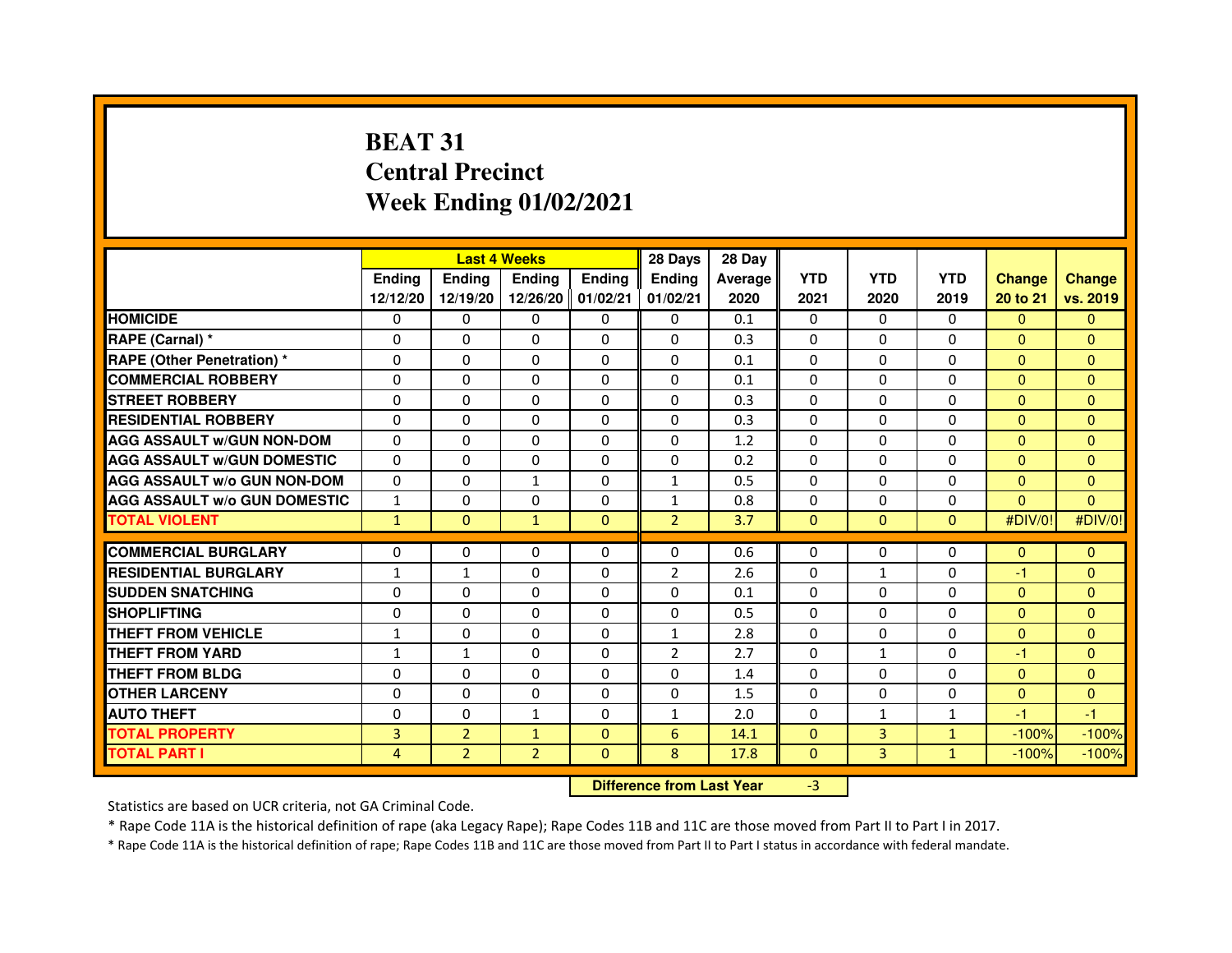# **BEAT 31 Central PrecinctWeek Ending 01/02/2021**

|                                     |               | <b>Last 4 Weeks</b> |                                  |                | 28 Days        | 28 Day  |              |              |              |               |               |
|-------------------------------------|---------------|---------------------|----------------------------------|----------------|----------------|---------|--------------|--------------|--------------|---------------|---------------|
|                                     | <b>Ending</b> | Ending              | <b>Ending</b>                    | <b>Ending</b>  | <b>Ending</b>  | Average | <b>YTD</b>   | <b>YTD</b>   | <b>YTD</b>   | <b>Change</b> | <b>Change</b> |
|                                     | 12/12/20      | 12/19/20            | 12/26/20 01/02/21                |                | 01/02/21       | 2020    | 2021         | 2020         | 2019         | 20 to 21      | vs. 2019      |
| <b>HOMICIDE</b>                     | 0             | 0                   | $\mathbf{0}$                     | 0              | 0              | 0.1     | $\Omega$     | 0            | $\Omega$     | $\Omega$      | $\mathbf{0}$  |
| RAPE (Carnal) *                     | 0             | 0                   | 0                                | 0              | $\Omega$       | 0.3     | 0            | 0            | 0            | $\Omega$      | $\mathbf{0}$  |
| <b>RAPE (Other Penetration) *</b>   | $\Omega$      | 0                   | 0                                | $\Omega$       | $\Omega$       | 0.1     | $\Omega$     | $\Omega$     | $\Omega$     | $\Omega$      | $\mathbf{0}$  |
| <b>COMMERCIAL ROBBERY</b>           | 0             | 0                   | $\Omega$                         | $\mathbf{0}$   | $\mathbf{0}$   | 0.1     | $\Omega$     | $\Omega$     | $\Omega$     | $\Omega$      | $\mathbf{0}$  |
| <b>STREET ROBBERY</b>               | 0             | $\Omega$            | $\Omega$                         | $\Omega$       | $\Omega$       | 0.3     | $\Omega$     | $\Omega$     | $\Omega$     | $\Omega$      | $\mathbf{0}$  |
| <b>RESIDENTIAL ROBBERY</b>          | 0             | 0                   | $\Omega$                         | $\Omega$       | $\Omega$       | 0.3     | $\Omega$     | $\Omega$     | $\Omega$     | $\Omega$      | $\mathbf{0}$  |
| <b>AGG ASSAULT w/GUN NON-DOM</b>    | $\Omega$      | $\Omega$            | 0                                | $\Omega$       | 0              | 1.2     | $\Omega$     | $\Omega$     | $\Omega$     | $\Omega$      | $\Omega$      |
| <b>AGG ASSAULT W/GUN DOMESTIC</b>   | $\Omega$      | $\Omega$            | $\Omega$                         | $\Omega$       | $\Omega$       | 0.2     | $\Omega$     | $\Omega$     | 0            | $\Omega$      | $\Omega$      |
| <b>AGG ASSAULT W/o GUN NON-DOM</b>  | $\Omega$      | $\Omega$            | $\mathbf{1}$                     | $\Omega$       | $\mathbf{1}$   | 0.5     | $\Omega$     | $\Omega$     | $\Omega$     | $\Omega$      | $\Omega$      |
| <b>AGG ASSAULT w/o GUN DOMESTIC</b> | $\mathbf{1}$  | $\Omega$            | 0                                | $\Omega$       | $\mathbf{1}$   | 0.8     | $\Omega$     | $\Omega$     | $\Omega$     | $\Omega$      | $\Omega$      |
| <b>TOTAL VIOLENT</b>                | $\mathbf{1}$  | $\mathbf{0}$        | $\mathbf{1}$                     | $\mathbf{0}$   | $\overline{2}$ | 3.7     | $\mathbf{0}$ | $\mathbf{0}$ | $\mathbf{0}$ | #DIV/0!       | #DIV/0!       |
| <b>COMMERCIAL BURGLARY</b>          | 0             | 0                   | 0                                | $\mathbf{0}$   | 0              | 0.6     | 0            | 0            | 0            | $\mathbf{0}$  | $\mathbf{0}$  |
| <b>RESIDENTIAL BURGLARY</b>         | 1             | 1                   | $\mathbf 0$                      | $\mathbf{0}$   | $\overline{2}$ | 2.6     | $\Omega$     | $\mathbf{1}$ | $\Omega$     | $-1$          | $\mathbf{0}$  |
| <b>SUDDEN SNATCHING</b>             | $\Omega$      | $\Omega$            | $\Omega$                         | $\Omega$       | $\Omega$       | 0.1     | $\Omega$     | $\Omega$     | $\Omega$     | $\Omega$      | $\mathbf{0}$  |
| <b>SHOPLIFTING</b>                  | $\Omega$      | $\Omega$            | 0                                | $\Omega$       | 0              | 0.5     | $\Omega$     | $\Omega$     | $\Omega$     | $\Omega$      | $\mathbf{0}$  |
| THEFT FROM VEHICLE                  | 1             | 0                   | 0                                | 0              | $\mathbf{1}$   | 2.8     | $\Omega$     | $\Omega$     | $\Omega$     | $\Omega$      | $\mathbf{0}$  |
| <b>THEFT FROM YARD</b>              | $\mathbf{1}$  | $\mathbf{1}$        | $\Omega$                         | $\Omega$       | $\overline{2}$ | 2.7     | $\Omega$     | $\mathbf{1}$ | $\Omega$     | $-1$          | $\mathbf{0}$  |
| <b>THEFT FROM BLDG</b>              | 0             | $\Omega$            | 0                                | $\Omega$       | 0              | 1.4     | $\Omega$     | $\Omega$     | $\Omega$     | $\Omega$      | $\Omega$      |
| <b>OTHER LARCENY</b>                | $\Omega$      | $\Omega$            | $\Omega$                         | $\Omega$       | $\Omega$       | 1.5     | $\Omega$     | $\Omega$     | $\Omega$     | $\Omega$      | $\mathbf{0}$  |
| <b>AUTO THEFT</b>                   | $\Omega$      | 0                   | $\mathbf{1}$                     | $\Omega$       | $\mathbf{1}$   | 2.0     | $\Omega$     | $\mathbf{1}$ | $\mathbf{1}$ | $-1$          | $-1$          |
| <b>TOTAL PROPERTY</b>               | 3             | $\overline{2}$      | $\mathbf{1}$                     | $\mathbf{0}$   | 6              | 14.1    | $\Omega$     | 3            | $\mathbf{1}$ | $-100%$       | $-100%$       |
| <b>TOTAL PART I</b>                 | 4             | $\overline{2}$      | $\overline{2}$                   | $\overline{0}$ | 8              | 17.8    | $\mathbf{0}$ | 3            | $\mathbf{1}$ | $-100%$       | $-100%$       |
|                                     |               |                     | <b>Difference from Last Year</b> |                | $-3$           |         |              |              |              |               |               |

 **Difference from Last Year**

Statistics are based on UCR criteria, not GA Criminal Code.

\* Rape Code 11A is the historical definition of rape (aka Legacy Rape); Rape Codes 11B and 11C are those moved from Part II to Part I in 2017.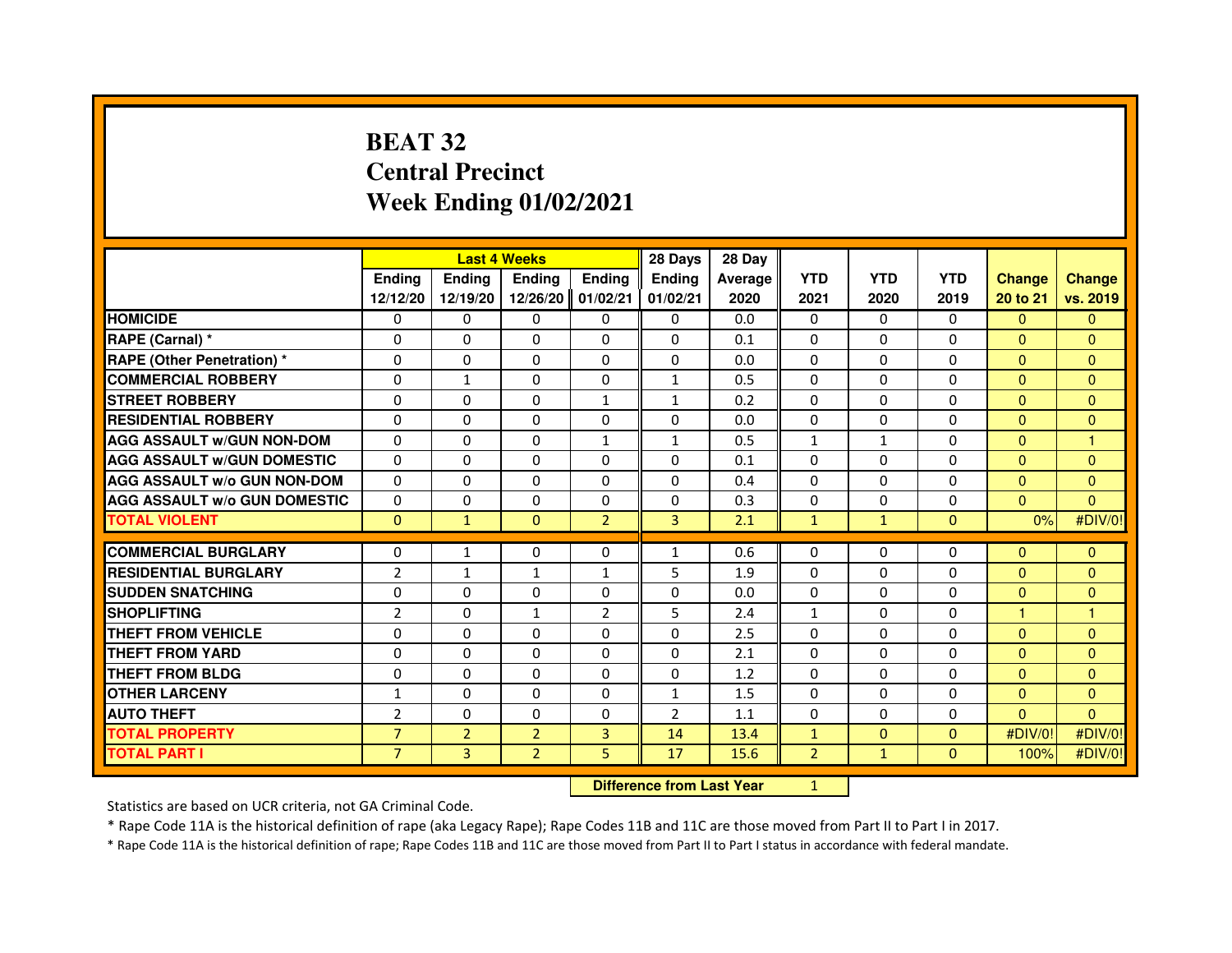### **BEAT 32 Central PrecinctWeek Ending 01/02/2021**

|                                     |                | <b>Last 4 Weeks</b>              |                |                |                | 28 Day  |                |              |              |                |                |
|-------------------------------------|----------------|----------------------------------|----------------|----------------|----------------|---------|----------------|--------------|--------------|----------------|----------------|
|                                     | <b>Endina</b>  | <b>Endina</b>                    | <b>Ending</b>  | <b>Ending</b>  | <b>Ending</b>  | Average | <b>YTD</b>     | <b>YTD</b>   | <b>YTD</b>   | <b>Change</b>  | <b>Change</b>  |
|                                     | 12/12/20       | 12/19/20                         | 12/26/20       | 01/02/21       | 01/02/21       | 2020    | 2021           | 2020         | 2019         | 20 to 21       | vs. 2019       |
| <b>HOMICIDE</b>                     | $\mathbf{0}$   | $\Omega$                         | $\Omega$       | $\mathbf{0}$   | $\mathbf{0}$   | 0.0     | $\mathbf{0}$   | $\Omega$     | $\Omega$     | $\Omega$       | $\mathbf{0}$   |
| RAPE (Carnal) *                     | 0              | $\mathbf{0}$                     | 0              | $\mathbf{0}$   | 0              | 0.1     | 0              | 0            | 0            | $\Omega$       | $\mathbf{0}$   |
| <b>RAPE (Other Penetration) *</b>   | $\Omega$       | $\Omega$                         | 0              | $\Omega$       | $\Omega$       | 0.0     | $\Omega$       | $\Omega$     | 0            | $\Omega$       | $\mathbf{0}$   |
| <b>COMMERCIAL ROBBERY</b>           | $\Omega$       | $\mathbf{1}$                     | $\Omega$       | 0              | $\mathbf{1}$   | 0.5     | 0              | $\Omega$     | 0            | $\mathbf{0}$   | $\mathbf{0}$   |
| <b>STREET ROBBERY</b>               | $\Omega$       | $\Omega$                         | $\Omega$       | $\mathbf{1}$   | $\mathbf{1}$   | 0.2     | $\Omega$       | $\Omega$     | $\Omega$     | $\Omega$       | $\Omega$       |
| <b>RESIDENTIAL ROBBERY</b>          | 0              | 0                                | 0              | 0              | 0              | 0.0     | 0              | 0            | $\Omega$     | $\overline{0}$ | $\mathbf{0}$   |
| <b>AGG ASSAULT W/GUN NON-DOM</b>    | $\Omega$       | $\Omega$                         | 0              | 1              | $\mathbf{1}$   | 0.5     | $\mathbf{1}$   | 1            | 0            | $\Omega$       | 1              |
| <b>AGG ASSAULT W/GUN DOMESTIC</b>   | $\Omega$       | 0                                | $\Omega$       | $\Omega$       | $\Omega$       | 0.1     | $\Omega$       | $\Omega$     | $\Omega$     | $\Omega$       | $\mathbf{0}$   |
| <b>AGG ASSAULT W/o GUN NON-DOM</b>  | $\Omega$       | $\Omega$                         | $\Omega$       | $\Omega$       | $\Omega$       | 0.4     | $\Omega$       | $\Omega$     | $\Omega$     | $\Omega$       | $\Omega$       |
| <b>AGG ASSAULT W/o GUN DOMESTIC</b> | 0              | 0                                | 0              | $\Omega$       | $\Omega$       | 0.3     | $\Omega$       | 0            | $\Omega$     | $\Omega$       | $\Omega$       |
| <b>TOTAL VIOLENT</b>                | $\mathbf{0}$   | $\mathbf{1}$                     | $\mathbf{0}$   | $\overline{2}$ | 3              | 2.1     | $\mathbf{1}$   | $\mathbf{1}$ | $\mathbf{0}$ | 0%             | #DIV/0!        |
| <b>COMMERCIAL BURGLARY</b>          | 0              | 1                                | 0              | 0              | 1              | 0.6     | 0              | 0            | 0            | $\mathbf{0}$   | $\mathbf{0}$   |
| <b>RESIDENTIAL BURGLARY</b>         | $\overline{2}$ | $\mathbf{1}$                     | $\mathbf{1}$   | $\mathbf{1}$   | 5              | 1.9     | $\Omega$       | $\Omega$     | 0            | $\mathbf{0}$   | $\overline{0}$ |
| <b>SUDDEN SNATCHING</b>             | $\Omega$       | $\Omega$                         | $\Omega$       | $\Omega$       | $\mathbf 0$    | 0.0     | $\Omega$       | $\Omega$     | $\Omega$     | $\Omega$       | $\Omega$       |
| <b>SHOPLIFTING</b>                  | 2              | $\mathbf{0}$                     | 1              | $\overline{2}$ | 5              | 2.4     | $\mathbf{1}$   | 0            | 0            | $\mathbf{1}$   | 1              |
| THEFT FROM VEHICLE                  | 0              | $\Omega$                         | 0              | $\Omega$       | 0              | 2.5     | $\Omega$       | $\Omega$     | 0            | $\mathbf{0}$   | $\Omega$       |
| THEFT FROM YARD                     | $\Omega$       | $\Omega$                         | $\Omega$       | $\Omega$       | 0              | 2.1     | 0              | $\Omega$     | $\Omega$     | $\mathbf{0}$   | $\mathbf{0}$   |
| <b>THEFT FROM BLDG</b>              | $\Omega$       | $\Omega$                         | $\Omega$       | $\Omega$       | $\Omega$       | 1.2     | $\Omega$       | $\Omega$     | $\Omega$     | $\Omega$       | $\mathbf{0}$   |
| <b>OTHER LARCENY</b>                | 1              | $\mathbf{0}$                     | 0              | $\Omega$       | 1              | 1.5     | 0              | 0            | 0            | $\mathbf{0}$   | $\mathbf{0}$   |
| <b>AUTO THEFT</b>                   | $\overline{2}$ | $\Omega$                         | $\Omega$       | $\Omega$       | $\overline{2}$ | 1.1     | $\mathbf{0}$   | $\mathbf{0}$ | $\mathbf{0}$ | $\mathbf{0}$   | $\mathbf{0}$   |
| <b>TOTAL PROPERTY</b>               | $\overline{7}$ | $\overline{2}$                   | $\overline{2}$ | 3              | 14             | 13.4    | $\mathbf{1}$   | $\mathbf{0}$ | $\mathbf{0}$ | #DIV/0!        | #DIV/0!        |
| <b>TOTAL PART I</b>                 | $\overline{7}$ | 3                                | $\overline{2}$ | 5              | 17             | 15.6    | $\overline{2}$ | $\mathbf{1}$ | $\mathbf{0}$ | 100%           | #DIV/0!        |
|                                     |                | <b>Difference from Last Year</b> |                | $\mathbf{1}$   |                |         |                |              |              |                |                |

 **Difference from Last Year**

Statistics are based on UCR criteria, not GA Criminal Code.

\* Rape Code 11A is the historical definition of rape (aka Legacy Rape); Rape Codes 11B and 11C are those moved from Part II to Part I in 2017.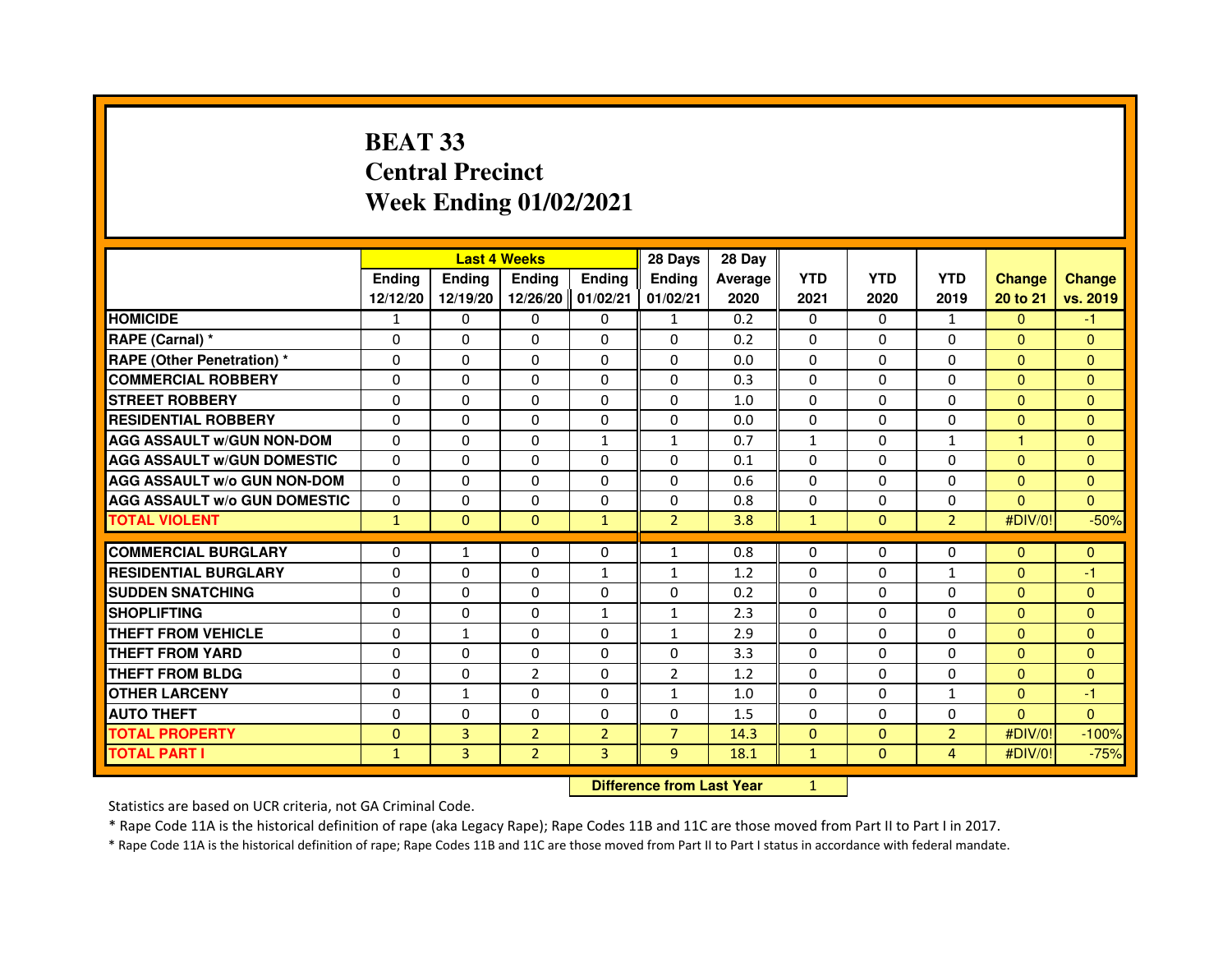## **BEAT 33 Central PrecinctWeek Ending 01/02/2021**

|                                     |               |               | <b>Last 4 Weeks</b> |                   | 28 Days        | 28 Day  |              |              |                |                      |               |
|-------------------------------------|---------------|---------------|---------------------|-------------------|----------------|---------|--------------|--------------|----------------|----------------------|---------------|
|                                     | <b>Endina</b> | <b>Endina</b> | <b>Endina</b>       | <b>Endina</b>     | <b>Ending</b>  | Average | <b>YTD</b>   | <b>YTD</b>   | <b>YTD</b>     | <b>Change</b>        | <b>Change</b> |
|                                     | 12/12/20      | 12/19/20      |                     | 12/26/20 01/02/21 | 01/02/21       | 2020    | 2021         | 2020         | 2019           | 20 to 21             | vs. 2019      |
| <b>HOMICIDE</b>                     | 1             | $\mathbf{0}$  | 0                   | 0                 | $\mathbf{1}$   | 0.2     | 0            | $\Omega$     | $\mathbf{1}$   | $\mathbf{0}$         | $-1$          |
| RAPE (Carnal) *                     | $\mathbf 0$   | $\Omega$      | $\Omega$            | $\Omega$          | $\Omega$       | 0.2     | $\Omega$     | $\Omega$     | $\Omega$       | $\Omega$             | $\mathbf{0}$  |
| <b>RAPE (Other Penetration)*</b>    | $\Omega$      | $\Omega$      | $\Omega$            | $\mathbf{0}$      | $\Omega$       | 0.0     | $\Omega$     | $\Omega$     | $\Omega$       | $\Omega$             | $\Omega$      |
| <b>COMMERCIAL ROBBERY</b>           | 0             | 0             | $\Omega$            | 0                 | $\Omega$       | 0.3     | $\Omega$     | 0            | $\Omega$       | $\mathbf{0}$         | $\mathbf{0}$  |
| <b>STREET ROBBERY</b>               | 0             | 0             | 0                   | $\mathbf{0}$      | 0              | 1.0     | $\Omega$     | $\Omega$     | $\Omega$       | $\Omega$             | $\Omega$      |
| <b>RESIDENTIAL ROBBERY</b>          | 0             | $\Omega$      | 0                   | $\Omega$          | $\Omega$       | 0.0     | 0            | 0            | $\Omega$       | $\Omega$             | $\Omega$      |
| <b>AGG ASSAULT W/GUN NON-DOM</b>    | $\Omega$      | $\Omega$      | $\Omega$            | $\mathbf{1}$      | $\mathbf{1}$   | 0.7     | $\mathbf{1}$ | $\Omega$     | $\mathbf{1}$   | $\blacktriangleleft$ | $\mathbf{0}$  |
| <b>AGG ASSAULT W/GUN DOMESTIC</b>   | $\Omega$      | $\Omega$      | $\Omega$            | 0                 | $\Omega$       | 0.1     | $\Omega$     | $\Omega$     | $\Omega$       | $\Omega$             | $\Omega$      |
| <b>AGG ASSAULT W/o GUN NON-DOM</b>  | $\Omega$      | 0             | $\Omega$            | $\Omega$          | $\Omega$       | 0.6     | 0            | 0            | $\Omega$       | $\Omega$             | $\Omega$      |
| <b>AGG ASSAULT W/o GUN DOMESTIC</b> | $\Omega$      | $\Omega$      | 0                   | 0                 | 0              | 0.8     | $\Omega$     | $\Omega$     | $\Omega$       | $\Omega$             | $\Omega$      |
| <b>TOTAL VIOLENT</b>                | $\mathbf{1}$  | $\mathbf{0}$  | $\mathbf{0}$        | $\mathbf{1}$      | $\overline{2}$ | 3.8     | $\mathbf{1}$ | $\mathbf{0}$ | $\overline{2}$ | #DIV/0!              | $-50%$        |
|                                     |               |               |                     |                   |                |         |              |              |                |                      |               |
| <b>COMMERCIAL BURGLARY</b>          | 0             | $\mathbf{1}$  | 0                   | 0                 | $\mathbf{1}$   | 0.8     | 0            | 0            | 0              | $\Omega$             | $\mathbf{0}$  |
| <b>RESIDENTIAL BURGLARY</b>         | 0             | 0             | 0                   | 1                 | $\mathbf{1}$   | 1.2     | 0            | 0            | $\mathbf{1}$   | $\Omega$             | $-1$          |
| <b>SUDDEN SNATCHING</b>             | $\Omega$      | $\Omega$      | $\Omega$            | 0                 | $\Omega$       | 0.2     | $\Omega$     | $\Omega$     | $\Omega$       | $\Omega$             | $\Omega$      |
| <b>SHOPLIFTING</b>                  | $\Omega$      | $\Omega$      | $\Omega$            | $\mathbf{1}$      | $\mathbf{1}$   | 2.3     | $\Omega$     | $\Omega$     | $\Omega$       | $\Omega$             | $\mathbf{0}$  |
| <b>THEFT FROM VEHICLE</b>           | $\Omega$      | $\mathbf{1}$  | $\Omega$            | 0                 | $\mathbf{1}$   | 2.9     | $\Omega$     | $\Omega$     | $\Omega$       | $\Omega$             | $\Omega$      |
| <b>THEFT FROM YARD</b>              | 0             | 0             | $\Omega$            | 0                 | $\Omega$       | 3.3     | $\Omega$     | $\Omega$     | $\Omega$       | $\Omega$             | $\Omega$      |
| <b>THEFT FROM BLDG</b>              | $\Omega$      | 0             | $\overline{2}$      | $\Omega$          | $\overline{2}$ | 1.2     | $\Omega$     | 0            | $\Omega$       | $\Omega$             | $\Omega$      |
| <b>OTHER LARCENY</b>                | 0             | $\mathbf{1}$  | $\Omega$            | 0                 | $\mathbf{1}$   | 1.0     | $\Omega$     | $\Omega$     | $\mathbf{1}$   | $\Omega$             | $-1$          |
| <b>AUTO THEFT</b>                   | $\Omega$      | 0             | $\Omega$            | $\mathbf{0}$      | $\Omega$       | 1.5     | $\Omega$     | $\Omega$     | $\Omega$       | $\Omega$             | $\mathbf{0}$  |
| <b>TOTAL PROPERTY</b>               | $\Omega$      | 3             | $\overline{2}$      | $\overline{2}$    | $\overline{7}$ | 14.3    | $\Omega$     | $\mathbf{0}$ | $\overline{2}$ | #DIV/0!              | $-100%$       |
| TOTAL PART I                        | $\mathbf{1}$  | 3             | $\overline{2}$      | 3                 | 9              | 18.1    | $\mathbf{1}$ | $\mathbf{0}$ | $\overline{4}$ | #DIV/0!              | $-75%$        |

### **Difference from Last Year**

<sup>1</sup>

Statistics are based on UCR criteria, not GA Criminal Code.

\* Rape Code 11A is the historical definition of rape (aka Legacy Rape); Rape Codes 11B and 11C are those moved from Part II to Part I in 2017.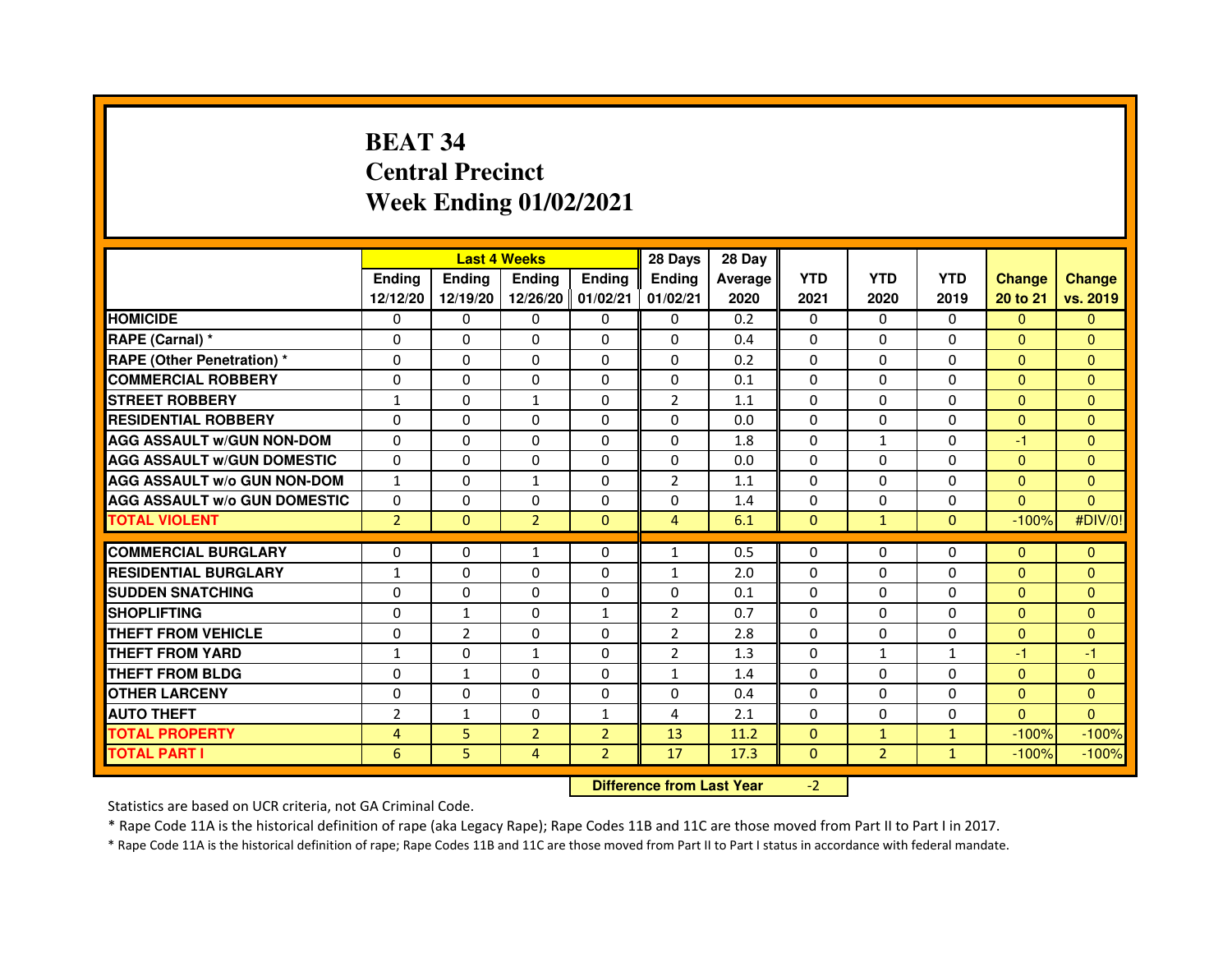# **BEAT 34 Central PrecinctWeek Ending 01/02/2021**

|                                     |                | <b>Last 4 Weeks</b> |                                  |                | 28 Days        | 28 Day  |              |                |              |               |               |
|-------------------------------------|----------------|---------------------|----------------------------------|----------------|----------------|---------|--------------|----------------|--------------|---------------|---------------|
|                                     | <b>Ending</b>  | Ending              | <b>Ending</b>                    | <b>Ending</b>  | <b>Ending</b>  | Average | <b>YTD</b>   | <b>YTD</b>     | <b>YTD</b>   | <b>Change</b> | <b>Change</b> |
|                                     | 12/12/20       | 12/19/20            | 12/26/20 01/02/21                |                | 01/02/21       | 2020    | 2021         | 2020           | 2019         | 20 to 21      | vs. 2019      |
| <b>HOMICIDE</b>                     | 0              | 0                   | $\mathbf{0}$                     | 0              | 0              | 0.2     | $\Omega$     | 0              | $\Omega$     | $\Omega$      | $\mathbf{0}$  |
| RAPE (Carnal) *                     | 0              | 0                   | 0                                | 0              | $\Omega$       | 0.4     | 0            | 0              | 0            | $\Omega$      | $\mathbf{0}$  |
| <b>RAPE (Other Penetration) *</b>   | $\Omega$       | 0                   | 0                                | $\mathbf{0}$   | $\Omega$       | 0.2     | $\Omega$     | $\Omega$       | $\Omega$     | $\Omega$      | $\mathbf{0}$  |
| <b>COMMERCIAL ROBBERY</b>           | 0              | 0                   | $\Omega$                         | $\mathbf{0}$   | $\Omega$       | 0.1     | $\Omega$     | $\Omega$       | $\Omega$     | $\Omega$      | $\mathbf{0}$  |
| <b>STREET ROBBERY</b>               | $\mathbf{1}$   | $\Omega$            | 1                                | $\Omega$       | 2              | 1.1     | $\Omega$     | $\Omega$       | $\Omega$     | $\Omega$      | $\mathbf{0}$  |
| <b>RESIDENTIAL ROBBERY</b>          | 0              | 0                   | $\Omega$                         | $\mathbf{0}$   | $\Omega$       | 0.0     | $\Omega$     | 0              | $\Omega$     | $\mathbf{0}$  | $\mathbf{0}$  |
| <b>AGG ASSAULT w/GUN NON-DOM</b>    | $\Omega$       | $\Omega$            | 0                                | $\mathbf{0}$   | $\Omega$       | 1.8     | $\Omega$     | $\mathbf{1}$   | $\Omega$     | $-1$          | $\mathbf{0}$  |
| <b>AGG ASSAULT W/GUN DOMESTIC</b>   | $\Omega$       | $\Omega$            | $\Omega$                         | $\mathbf{0}$   | $\Omega$       | 0.0     | $\Omega$     | $\Omega$       | 0            | $\Omega$      | $\Omega$      |
| <b>AGG ASSAULT W/o GUN NON-DOM</b>  | $\mathbf{1}$   | $\Omega$            | $\mathbf{1}$                     | $\Omega$       | 2              | 1.1     | $\Omega$     | $\Omega$       | $\Omega$     | $\Omega$      | $\Omega$      |
| <b>AGG ASSAULT W/o GUN DOMESTIC</b> | $\Omega$       | 0                   | 0                                | $\Omega$       | 0              | 1.4     | $\Omega$     | $\Omega$       | $\Omega$     | $\Omega$      | $\Omega$      |
| <b>TOTAL VIOLENT</b>                | $\overline{2}$ | $\mathbf{0}$        | $\overline{2}$                   | $\mathbf{0}$   | $\overline{4}$ | 6.1     | $\mathbf{0}$ | $\mathbf{1}$   | $\mathbf{0}$ | $-100%$       | #DIV/0!       |
| <b>COMMERCIAL BURGLARY</b>          | 0              | 0                   | $\mathbf{1}$                     | $\mathbf{0}$   | $\mathbf{1}$   | 0.5     | 0            | 0              | 0            | $\mathbf{0}$  | $\mathbf{0}$  |
| <b>RESIDENTIAL BURGLARY</b>         | 1              | $\mathbf 0$         | $\mathbf 0$                      | $\mathbf{0}$   | $\mathbf{1}$   | 2.0     | $\Omega$     | $\Omega$       | $\Omega$     | $\Omega$      | $\mathbf{0}$  |
| <b>SUDDEN SNATCHING</b>             | $\Omega$       | $\Omega$            | $\Omega$                         | $\Omega$       | $\Omega$       | 0.1     | $\Omega$     | $\Omega$       | $\Omega$     | $\Omega$      | $\mathbf{0}$  |
| <b>SHOPLIFTING</b>                  | $\Omega$       | $\mathbf{1}$        | 0                                | $\mathbf{1}$   | $\overline{2}$ | 0.7     | $\Omega$     | $\Omega$       | $\Omega$     | $\Omega$      | $\mathbf{0}$  |
| THEFT FROM VEHICLE                  | 0              | $\overline{2}$      | 0                                | 0              | $\overline{2}$ | 2.8     | $\Omega$     | $\Omega$       | $\Omega$     | $\mathbf{0}$  | $\mathbf{0}$  |
| <b>THEFT FROM YARD</b>              | $\mathbf{1}$   | 0                   | $\mathbf{1}$                     | $\Omega$       | $\overline{2}$ | 1.3     | $\Omega$     | $\mathbf{1}$   | $\mathbf{1}$ | $-1$          | $-1$          |
| <b>THEFT FROM BLDG</b>              | 0              | $\mathbf{1}$        | 0                                | $\Omega$       | $\mathbf{1}$   | 1.4     | $\Omega$     | $\Omega$       | $\Omega$     | $\Omega$      | $\mathbf{0}$  |
| <b>OTHER LARCENY</b>                | $\Omega$       | $\Omega$            | $\Omega$                         | $\Omega$       | $\Omega$       | 0.4     | $\Omega$     | $\Omega$       | $\Omega$     | $\Omega$      | $\mathbf{0}$  |
| <b>AUTO THEFT</b>                   | $\overline{2}$ | $\mathbf{1}$        | $\Omega$                         | $\mathbf{1}$   | 4              | 2.1     | $\Omega$     | $\Omega$       | $\Omega$     | $\Omega$      | $\Omega$      |
| <b>TOTAL PROPERTY</b>               | $\overline{4}$ | 5                   | $\overline{2}$                   | $\overline{2}$ | 13             | 11.2    | $\Omega$     | $\mathbf{1}$   | $\mathbf{1}$ | $-100%$       | $-100%$       |
| <b>TOTAL PART I</b>                 | 6              | 5                   | 4                                | $\overline{2}$ | 17             | 17.3    | $\mathbf{0}$ | $\overline{2}$ | $\mathbf{1}$ | $-100%$       | $-100%$       |
|                                     |                |                     | <b>Difference from Last Year</b> |                | $-2$           |         |              |                |              |               |               |

 **Difference from Last Year**

Statistics are based on UCR criteria, not GA Criminal Code.

\* Rape Code 11A is the historical definition of rape (aka Legacy Rape); Rape Codes 11B and 11C are those moved from Part II to Part I in 2017.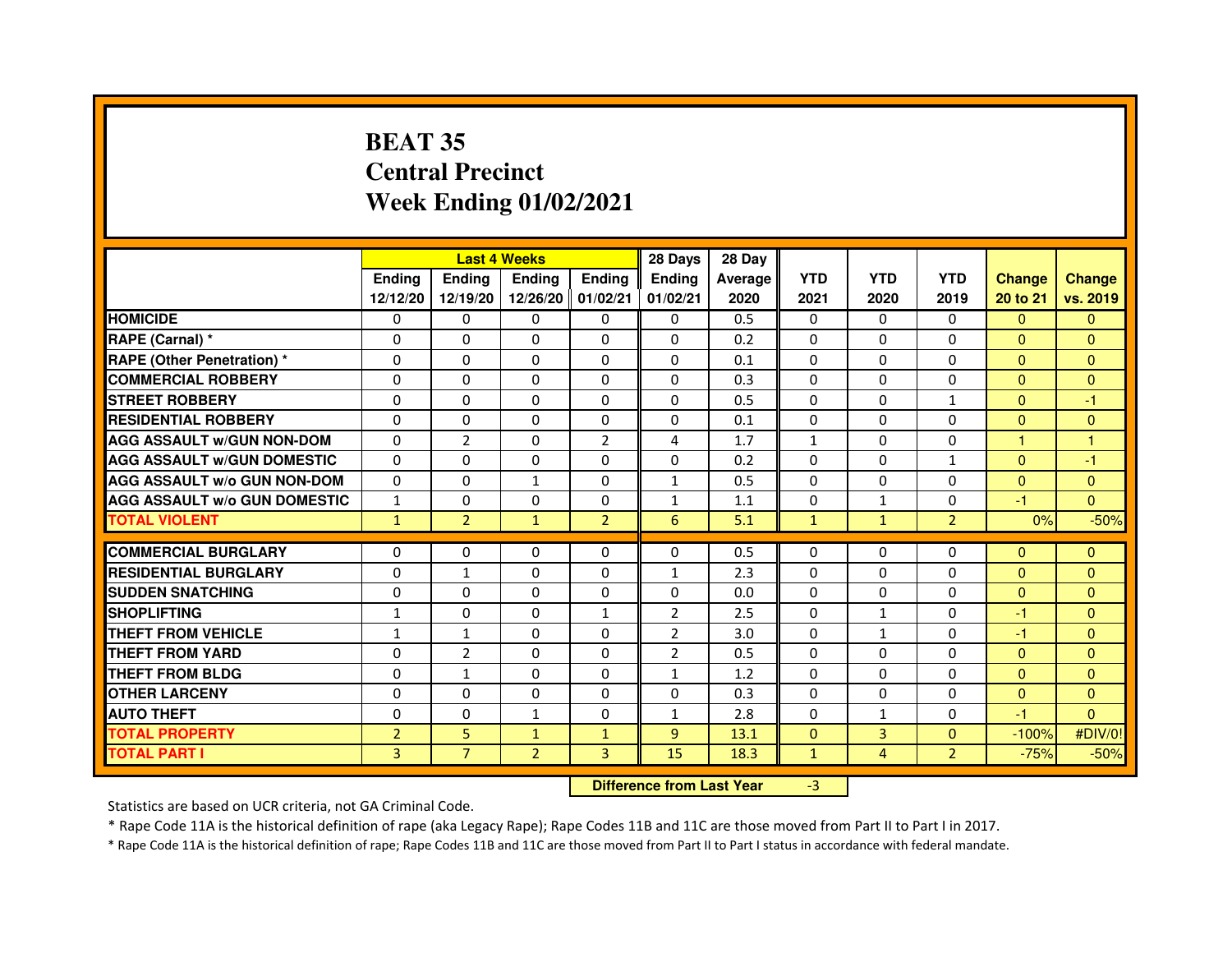# **BEAT 35 Central PrecinctWeek Ending 01/02/2021**

|                                     |                | <b>Last 4 Weeks</b>              |                   |                | 28 Days        | 28 Day  |              |                |                |               |                |
|-------------------------------------|----------------|----------------------------------|-------------------|----------------|----------------|---------|--------------|----------------|----------------|---------------|----------------|
|                                     | <b>Ending</b>  | Ending                           | <b>Ending</b>     | <b>Ending</b>  | <b>Ending</b>  | Average | <b>YTD</b>   | <b>YTD</b>     | <b>YTD</b>     | <b>Change</b> | <b>Change</b>  |
|                                     | 12/12/20       | 12/19/20                         | 12/26/20 01/02/21 |                | 01/02/21       | 2020    | 2021         | 2020           | 2019           | 20 to 21      | vs. 2019       |
| <b>HOMICIDE</b>                     | 0              | 0                                | $\mathbf{0}$      | 0              | 0              | 0.5     | $\Omega$     | $\Omega$       | 0              | $\Omega$      | $\mathbf{0}$   |
| RAPE (Carnal) *                     | 0              | $\mathbf{0}$                     | 0                 | $\mathbf{0}$   | $\Omega$       | 0.2     | 0            | $\Omega$       | $\Omega$       | $\Omega$      | $\Omega$       |
| <b>RAPE (Other Penetration) *</b>   | 0              | 0                                | 0                 | $\mathbf{0}$   | $\Omega$       | 0.1     | $\Omega$     | $\mathbf{0}$   | $\Omega$       | $\Omega$      | $\Omega$       |
| <b>COMMERCIAL ROBBERY</b>           | $\mathbf 0$    | 0                                | $\Omega$          | $\mathbf{0}$   | $\mathbf{0}$   | 0.3     | $\mathbf{0}$ | $\mathbf{0}$   | $\Omega$       | $\Omega$      | $\mathbf{0}$   |
| <b>STREET ROBBERY</b>               | 0              | $\Omega$                         | $\Omega$          | $\mathbf{0}$   | $\Omega$       | 0.5     | $\Omega$     | $\Omega$       | $\mathbf{1}$   | $\Omega$      | $-1$           |
| <b>RESIDENTIAL ROBBERY</b>          | 0              | 0                                | $\Omega$          | $\mathbf 0$    | $\Omega$       | 0.1     | $\Omega$     | $\Omega$       | $\Omega$       | $\Omega$      | $\mathbf{0}$   |
| <b>AGG ASSAULT W/GUN NON-DOM</b>    | $\Omega$       | $\overline{2}$                   | 0                 | $\overline{2}$ | 4              | 1.7     | $\mathbf{1}$ | $\Omega$       | $\Omega$       | 1             | $\mathbf{1}$   |
| <b>AGG ASSAULT W/GUN DOMESTIC</b>   | $\Omega$       | $\Omega$                         | $\Omega$          | $\Omega$       | $\Omega$       | 0.2     | $\Omega$     | $\Omega$       | $\mathbf{1}$   | $\Omega$      | $-1$           |
| <b>AGG ASSAULT W/o GUN NON-DOM</b>  | $\Omega$       | $\Omega$                         | $\mathbf{1}$      | $\Omega$       | $\mathbf{1}$   | 0.5     | $\Omega$     | $\Omega$       | $\Omega$       | $\Omega$      | $\Omega$       |
| <b>AGG ASSAULT W/o GUN DOMESTIC</b> | $\mathbf{1}$   | 0                                | 0                 | $\Omega$       | $\mathbf{1}$   | 1.1     | 0            | $\mathbf{1}$   | $\Omega$       | $-1$          | $\Omega$       |
| <b>TOTAL VIOLENT</b>                | $\mathbf{1}$   | $\overline{2}$                   | $\mathbf{1}$      | $\overline{2}$ | 6              | 5.1     | $\mathbf{1}$ | $\mathbf{1}$   | $\overline{2}$ | 0%            | $-50%$         |
| <b>COMMERCIAL BURGLARY</b>          | 0              | 0                                | 0                 | 0              | 0              | 0.5     | 0            | 0              | 0              | $\Omega$      | $\mathbf{0}$   |
| <b>RESIDENTIAL BURGLARY</b>         | $\mathbf 0$    | $\mathbf{1}$                     | $\Omega$          | $\mathbf{0}$   | $\mathbf{1}$   | 2.3     | $\Omega$     | $\Omega$       | $\Omega$       | $\Omega$      | $\mathbf{0}$   |
| <b>SUDDEN SNATCHING</b>             | 0              | $\Omega$                         | $\Omega$          | $\Omega$       | $\Omega$       | 0.0     | $\Omega$     | $\Omega$       | $\Omega$       | $\Omega$      | $\Omega$       |
| <b>SHOPLIFTING</b>                  | 1              | $\mathbf{0}$                     | 0                 | $\mathbf{1}$   | 2              | 2.5     | $\mathbf{0}$ | $\mathbf{1}$   | 0              | $-1$          | $\Omega$       |
| THEFT FROM VEHICLE                  | $\mathbf{1}$   | $\mathbf{1}$                     | 0                 | $\Omega$       | $\overline{2}$ | 3.0     | 0            | $\mathbf{1}$   | $\Omega$       | $-1$          | $\Omega$       |
| <b>THEFT FROM YARD</b>              | $\mathbf 0$    | $\overline{2}$                   | $\Omega$          | $\Omega$       | $\overline{2}$ | 0.5     | $\Omega$     | $\Omega$       | $\Omega$       | $\Omega$      | $\overline{0}$ |
| <b>THEFT FROM BLDG</b>              | 0              | $\mathbf{1}$                     | 0                 | $\Omega$       | $\mathbf{1}$   | 1.2     | $\Omega$     | $\Omega$       | $\Omega$       | $\Omega$      | $\Omega$       |
| <b>OTHER LARCENY</b>                | 0              | $\Omega$                         | $\Omega$          | $\Omega$       | $\Omega$       | 0.3     | $\Omega$     | $\Omega$       | $\Omega$       | $\Omega$      | $\Omega$       |
| <b>AUTO THEFT</b>                   | $\Omega$       | 0                                | $\mathbf{1}$      | $\Omega$       | $\mathbf{1}$   | 2.8     | $\Omega$     | $\mathbf{1}$   | $\Omega$       | $-1$          | $\Omega$       |
| <b>TOTAL PROPERTY</b>               | $\overline{2}$ | 5                                | $\mathbf{1}$      | $\mathbf{1}$   | 9              | 13.1    | $\Omega$     | 3              | $\Omega$       | $-100%$       | #DIV/0!        |
| <b>TOTAL PART I</b>                 | 3              | $\overline{7}$                   | $\overline{2}$    | 3              | 15             | 18.3    | $\mathbf{1}$ | $\overline{4}$ | $\overline{2}$ | $-75%$        | $-50%$         |
|                                     |                | <b>Difference from Last Year</b> |                   | $-3$           |                |         |              |                |                |               |                |

#### **Difference from Last Year**

Statistics are based on UCR criteria, not GA Criminal Code.

\* Rape Code 11A is the historical definition of rape (aka Legacy Rape); Rape Codes 11B and 11C are those moved from Part II to Part I in 2017.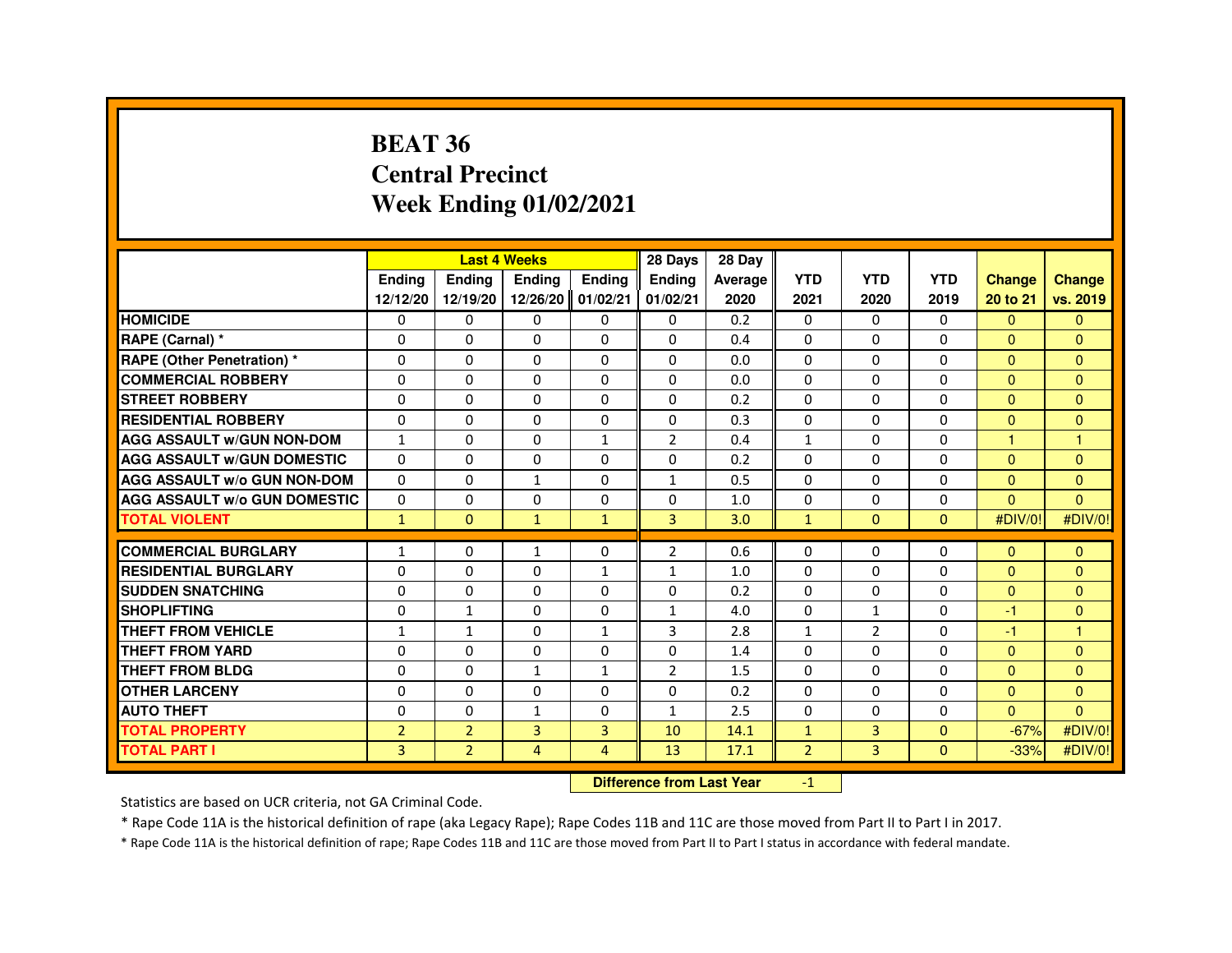### **BEAT 36 Central PrecinctWeek Ending 01/02/2021**

|                                     |                |                | <b>Last 4 Weeks</b>              |                | 28 Days        | 28 Day  |                |                |              |                |                      |
|-------------------------------------|----------------|----------------|----------------------------------|----------------|----------------|---------|----------------|----------------|--------------|----------------|----------------------|
|                                     | Ending         | <b>Ending</b>  | Ending                           | Ending         | Ending         | Average | <b>YTD</b>     | <b>YTD</b>     | <b>YTD</b>   | <b>Change</b>  | <b>Change</b>        |
|                                     | 12/12/20       | 12/19/20       | 12/26/20 01/02/21                |                | 01/02/21       | 2020    | 2021           | 2020           | 2019         | 20 to 21       | vs. 2019             |
| <b>HOMICIDE</b>                     | 0              | $\Omega$       | $\mathbf{0}$                     | $\mathbf{0}$   | $\Omega$       | 0.2     | $\Omega$       | $\Omega$       | $\Omega$     | $\Omega$       | $\Omega$             |
| RAPE (Carnal) *                     | 0              | $\mathbf{0}$   | 0                                | $\mathbf{0}$   | $\Omega$       | 0.4     | $\Omega$       | $\Omega$       | 0            | $\Omega$       | $\Omega$             |
| <b>RAPE (Other Penetration) *</b>   | $\Omega$       | $\Omega$       | $\Omega$                         | $\Omega$       | $\Omega$       | 0.0     | $\Omega$       | $\Omega$       | $\Omega$     | $\Omega$       | $\Omega$             |
| <b>COMMERCIAL ROBBERY</b>           | $\Omega$       | $\Omega$       | $\Omega$                         | $\mathbf{0}$   | $\mathbf{0}$   | 0.0     | $\Omega$       | $\Omega$       | $\Omega$     | $\Omega$       | $\Omega$             |
| <b>STREET ROBBERY</b>               | $\Omega$       | $\Omega$       | $\Omega$                         | $\mathbf{0}$   | $\Omega$       | 0.2     | $\Omega$       | $\Omega$       | $\Omega$     | $\Omega$       | $\Omega$             |
| <b>RESIDENTIAL ROBBERY</b>          | $\Omega$       | $\mathbf{0}$   | 0                                | $\mathbf 0$    | 0              | 0.3     | $\Omega$       | 0              | 0            | $\Omega$       | $\Omega$             |
| <b>AGG ASSAULT w/GUN NON-DOM</b>    | $\mathbf{1}$   | $\Omega$       | $\Omega$                         | $\mathbf{1}$   | $\overline{2}$ | 0.4     | $\mathbf{1}$   | $\Omega$       | $\Omega$     | $\overline{1}$ | $\overline{1}$       |
| <b>AGG ASSAULT w/GUN DOMESTIC</b>   | $\Omega$       | $\Omega$       | $\Omega$                         | $\mathbf 0$    | $\Omega$       | 0.2     | $\Omega$       | $\Omega$       | $\Omega$     | $\Omega$       | $\mathbf{0}$         |
| <b>AGG ASSAULT w/o GUN NON-DOM</b>  | $\Omega$       | $\Omega$       | $\mathbf{1}$                     | $\mathbf 0$    | $\mathbf{1}$   | 0.5     | $\Omega$       | 0              | $\Omega$     | $\Omega$       | $\mathbf{0}$         |
| <b>AGG ASSAULT w/o GUN DOMESTIC</b> | $\Omega$       | 0              | 0                                | 0              | 0              | 1.0     | 0              | 0              | 0            | $\Omega$       | $\Omega$             |
| <b>TOTAL VIOLENT</b>                | $\mathbf{1}$   | $\mathbf{0}$   | $\mathbf{1}$                     | $\mathbf{1}$   | 3              | 3.0     | $\mathbf{1}$   | $\mathbf{0}$   | $\mathbf{0}$ | #DIV/0!        | #DIV/0!              |
| <b>COMMERCIAL BURGLARY</b>          | 1              | 0              | 1                                | 0              | 2              | 0.6     | 0              | 0              | 0            | $\Omega$       | $\mathbf{0}$         |
| <b>RESIDENTIAL BURGLARY</b>         | $\Omega$       | $\Omega$       | 0                                | $\mathbf{1}$   | $\mathbf{1}$   | 1.0     | $\Omega$       | $\Omega$       | 0            | $\Omega$       | $\Omega$             |
| <b>SUDDEN SNATCHING</b>             | $\Omega$       | $\Omega$       | 0                                | $\mathbf 0$    | $\Omega$       | 0.2     | $\Omega$       | $\Omega$       | $\Omega$     | $\Omega$       | $\Omega$             |
| <b>SHOPLIFTING</b>                  | $\Omega$       | $\mathbf{1}$   | 0                                | $\mathbf 0$    | $\mathbf{1}$   | 4.0     | $\Omega$       | $\mathbf{1}$   | 0            | $-1$           | $\mathbf{0}$         |
| THEFT FROM VEHICLE                  | $\mathbf{1}$   | $\mathbf{1}$   | 0                                | $\mathbf{1}$   | 3              | 2.8     | $\mathbf{1}$   | $\overline{2}$ | 0            | $-1$           | $\blacktriangleleft$ |
| <b>THEFT FROM YARD</b>              | 0              | $\Omega$       | $\Omega$                         | $\mathbf 0$    | $\mathbf 0$    | 1.4     | $\Omega$       | $\Omega$       | $\Omega$     | $\overline{0}$ | $\overline{0}$       |
| <b>THEFT FROM BLDG</b>              | $\Omega$       | $\Omega$       | $\mathbf{1}$                     | $\mathbf{1}$   | $\overline{2}$ | 1.5     | $\Omega$       | $\Omega$       | $\Omega$     | $\Omega$       | $\Omega$             |
| <b>OTHER LARCENY</b>                | 0              | $\Omega$       | 0                                | $\mathbf 0$    | 0              | 0.2     | 0              | 0              | 0            | $\mathbf{0}$   | $\mathbf{0}$         |
| <b>AUTO THEFT</b>                   | $\Omega$       | $\Omega$       | $\mathbf{1}$                     | $\Omega$       | $\mathbf{1}$   | 2.5     | $\Omega$       | $\Omega$       | $\Omega$     | $\Omega$       | $\Omega$             |
| <b>TOTAL PROPERTY</b>               | $\overline{2}$ | $\overline{2}$ | $\overline{3}$                   | 3              | 10             | 14.1    | $\mathbf{1}$   | 3              | $\Omega$     | $-67%$         | #DIV/0!              |
| <b>TOTAL PART I</b>                 | 3              | $\overline{2}$ | 4                                | $\overline{4}$ | 13             | 17.1    | $\overline{2}$ | $\overline{3}$ | $\Omega$     | $-33%$         | #DIV/0!              |
|                                     |                |                | <b>Difference from Last Year</b> |                | $-1$           |         |                |                |              |                |                      |

 **Difference from Last Year**

Statistics are based on UCR criteria, not GA Criminal Code.

\* Rape Code 11A is the historical definition of rape (aka Legacy Rape); Rape Codes 11B and 11C are those moved from Part II to Part I in 2017.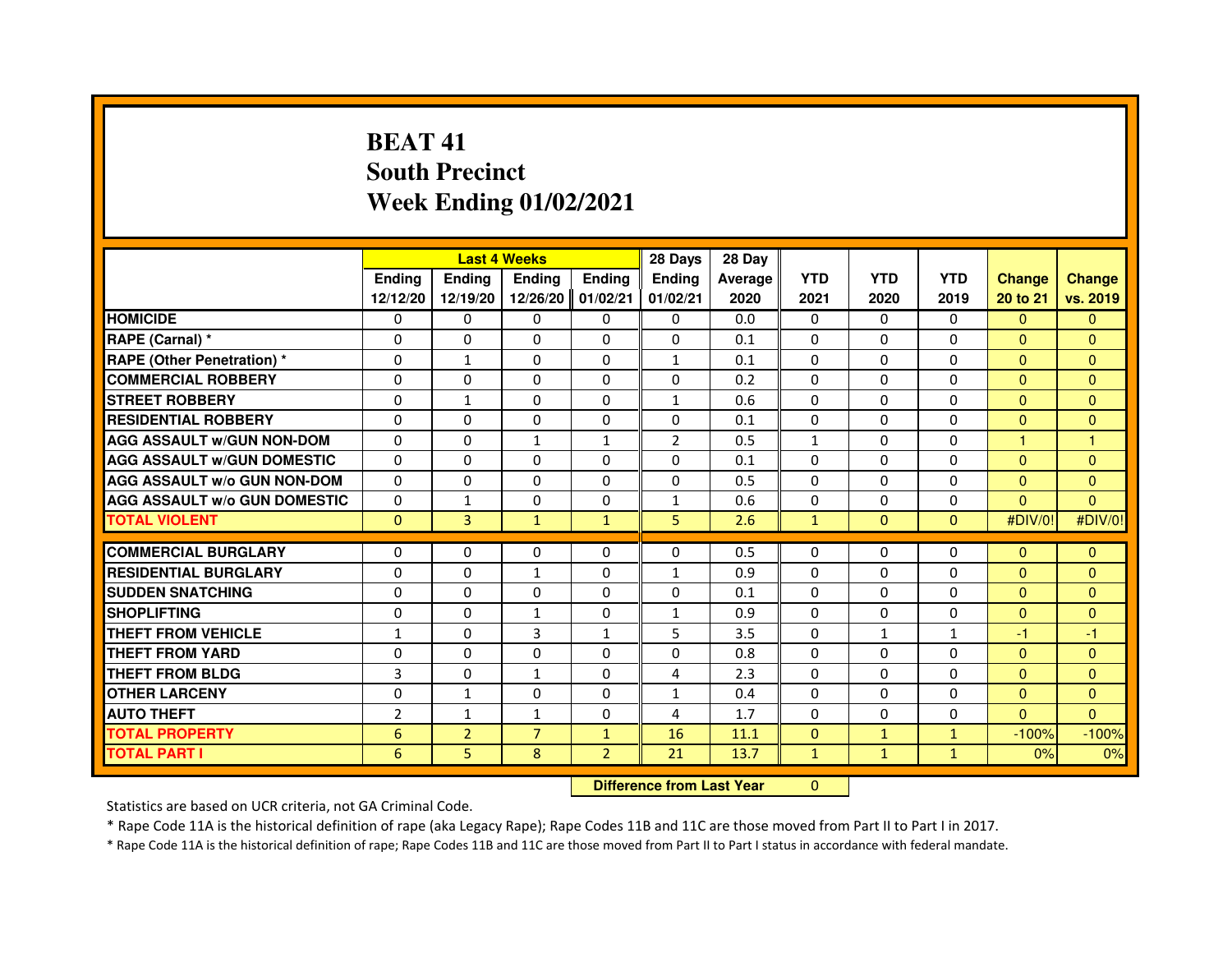# **BEAT 41 South PrecinctWeek Ending 01/02/2021**

|                                     |                 | <b>Last 4 Weeks</b>              |                |                |                | 28 Day  |              |              |              |                      |                |
|-------------------------------------|-----------------|----------------------------------|----------------|----------------|----------------|---------|--------------|--------------|--------------|----------------------|----------------|
|                                     | <b>Ending</b>   | <b>Ending</b>                    | <b>Ending</b>  | <b>Ending</b>  | Ending         | Average | <b>YTD</b>   | <b>YTD</b>   | <b>YTD</b>   | <b>Change</b>        | <b>Change</b>  |
|                                     | 12/12/20        | 12/19/20                         | 12/26/20       | 01/02/21       | 01/02/21       | 2020    | 2021         | 2020         | 2019         | 20 to 21             | vs. 2019       |
| <b>HOMICIDE</b>                     | 0               | $\Omega$                         | $\Omega$       | $\Omega$       | $\mathbf{0}$   | 0.0     | 0            | $\Omega$     | $\Omega$     | $\Omega$             | $\mathbf{0}$   |
| RAPE (Carnal) *                     | 0               | 0                                | 0              | $\mathbf{0}$   | 0              | 0.1     | 0            | 0            | 0            | $\mathbf{0}$         | $\Omega$       |
| <b>RAPE (Other Penetration)*</b>    | $\Omega$        | $\mathbf{1}$                     | 0              | $\Omega$       | $\mathbf{1}$   | 0.1     | $\Omega$     | $\Omega$     | $\Omega$     | $\Omega$             | $\Omega$       |
| <b>COMMERCIAL ROBBERY</b>           | 0               | 0                                | $\Omega$       | $\Omega$       | 0              | 0.2     | $\Omega$     | $\Omega$     | $\Omega$     | $\Omega$             | $\overline{0}$ |
| <b>STREET ROBBERY</b>               | $\Omega$        | $\mathbf{1}$                     | $\Omega$       | $\Omega$       | $\mathbf{1}$   | 0.6     | $\Omega$     | $\Omega$     | $\Omega$     | $\Omega$             | $\Omega$       |
| <b>RESIDENTIAL ROBBERY</b>          | 0               | 0                                | 0              | 0              | 0              | 0.1     | 0            | $\Omega$     | $\Omega$     | $\mathbf{0}$         | $\mathbf{0}$   |
| <b>AGG ASSAULT w/GUN NON-DOM</b>    | $\Omega$        | $\Omega$                         | 1              | 1              | $\overline{2}$ | 0.5     | $\mathbf{1}$ | $\Omega$     | $\Omega$     | $\blacktriangleleft$ | $\overline{1}$ |
| <b>AGG ASSAULT W/GUN DOMESTIC</b>   | $\Omega$        | $\Omega$                         | $\Omega$       | $\Omega$       | $\Omega$       | 0.1     | $\Omega$     | $\Omega$     | $\Omega$     | $\Omega$             | $\mathbf{0}$   |
| <b>AGG ASSAULT W/o GUN NON-DOM</b>  | $\Omega$        | $\Omega$                         | $\Omega$       | $\Omega$       | $\Omega$       | 0.5     | $\Omega$     | $\Omega$     | $\Omega$     | $\Omega$             | $\Omega$       |
| <b>AGG ASSAULT w/o GUN DOMESTIC</b> | $\Omega$        | $\mathbf{1}$                     | 0              | $\Omega$       | 1              | 0.6     | 0            | 0            | $\Omega$     | $\Omega$             | $\Omega$       |
| <b>TOTAL VIOLENT</b>                | $\mathbf{0}$    | 3                                | $\mathbf{1}$   | $\mathbf{1}$   | 5              | 2.6     | $\mathbf{1}$ | $\mathbf{0}$ | $\mathbf{0}$ | #DIV/0!              | #DIV/0!        |
| <b>COMMERCIAL BURGLARY</b>          | 0               | 0                                | 0              | $\mathbf{0}$   | 0              | 0.5     | $\Omega$     | 0            | 0            | $\Omega$             | $\mathbf{0}$   |
| <b>RESIDENTIAL BURGLARY</b>         | $\Omega$        | $\Omega$                         | $\mathbf{1}$   | $\Omega$       | $\mathbf{1}$   | 0.9     | $\Omega$     | $\Omega$     | $\Omega$     | $\Omega$             | $\Omega$       |
| <b>SUDDEN SNATCHING</b>             | $\Omega$        | $\Omega$                         | $\Omega$       | $\Omega$       | $\Omega$       | 0.1     | $\Omega$     | $\Omega$     | $\Omega$     | $\Omega$             | $\Omega$       |
| <b>SHOPLIFTING</b>                  | 0               | 0                                | 1              | 0              | 1              | 0.9     | 0            | 0            | 0            | $\mathbf{0}$         | $\mathbf{0}$   |
| THEFT FROM VEHICLE                  | $\mathbf{1}$    | $\Omega$                         | 3              | $\mathbf{1}$   | 5              | 3.5     | 0            | $\mathbf{1}$ | $\mathbf{1}$ | $-1$                 | $-1$           |
| <b>THEFT FROM YARD</b>              | 0               | $\Omega$                         | 0              | $\Omega$       | 0              | 0.8     | $\Omega$     | $\Omega$     | $\Omega$     | $\mathbf{0}$         | $\mathbf{0}$   |
| <b>THEFT FROM BLDG</b>              | $\overline{3}$  | $\Omega$                         | $\mathbf{1}$   | $\Omega$       | 4              | 2.3     | $\Omega$     | $\Omega$     | $\Omega$     | $\Omega$             | $\Omega$       |
| <b>OTHER LARCENY</b>                | 0               | $\mathbf{1}$                     | 0              | $\Omega$       | 1              | 0.4     | 0            | 0            | 0            | $\mathbf{0}$         | $\mathbf{0}$   |
| <b>AUTO THEFT</b>                   | $\overline{2}$  | $\mathbf{1}$                     | $\mathbf{1}$   | $\Omega$       | 4              | 1.7     | $\Omega$     | $\Omega$     | $\Omega$     | $\Omega$             | $\Omega$       |
| <b>TOTAL PROPERTY</b>               | $6\phantom{1}6$ | $\overline{2}$                   | $\overline{7}$ | $\mathbf{1}$   | 16             | 11.1    | $\mathbf{0}$ | $\mathbf{1}$ | $\mathbf{1}$ | $-100%$              | $-100%$        |
| <b>TOTAL PART I</b>                 | 6               | 5                                | 8              | $\overline{2}$ | 21             | 13.7    | $\mathbf{1}$ | $\mathbf{1}$ | $\mathbf{1}$ | 0%                   | 0%             |
|                                     |                 | <b>Difference from Last Year</b> |                | $\mathbf{0}$   |                |         |              |              |              |                      |                |

 **Difference from Last Year**

Statistics are based on UCR criteria, not GA Criminal Code.

\* Rape Code 11A is the historical definition of rape (aka Legacy Rape); Rape Codes 11B and 11C are those moved from Part II to Part I in 2017.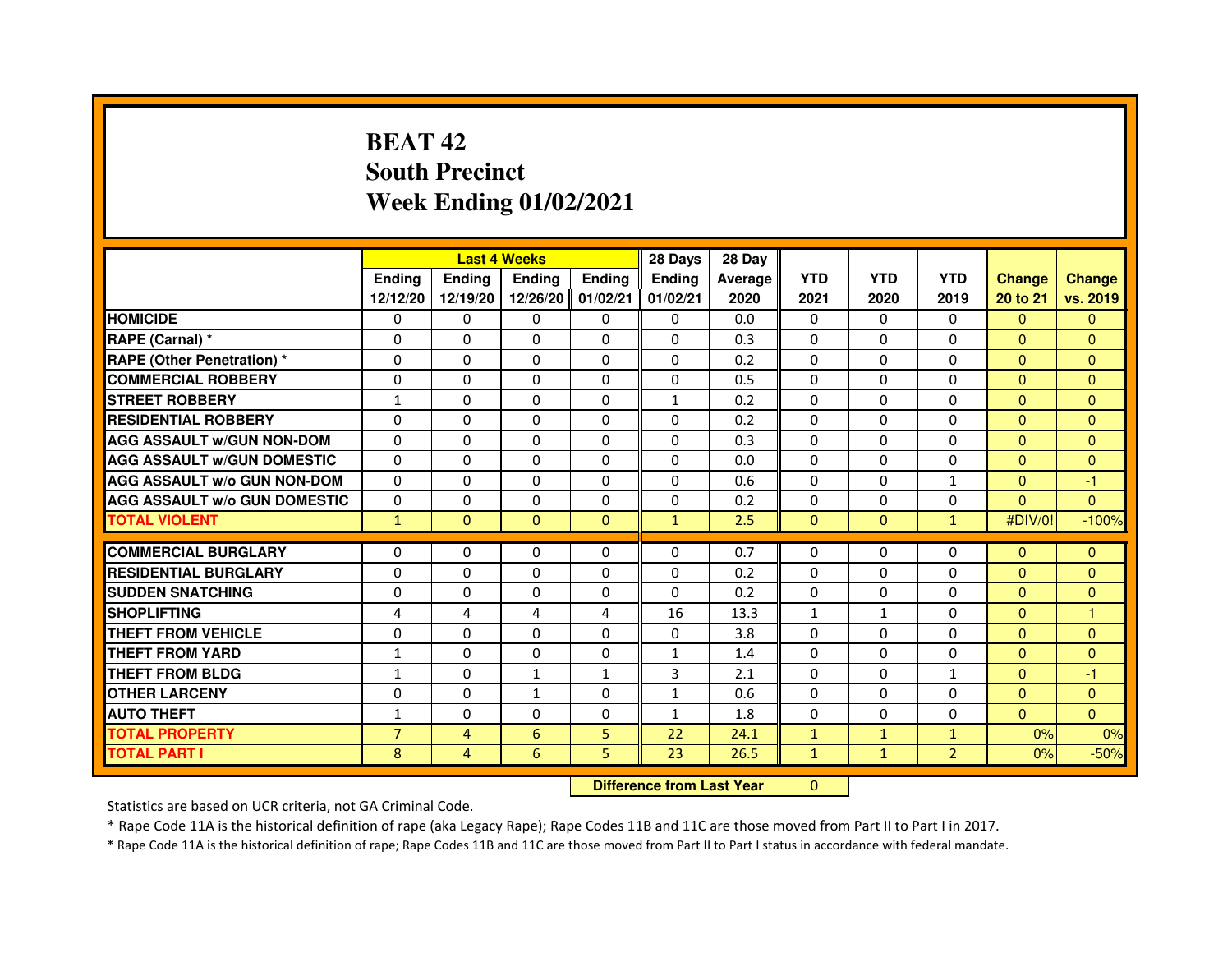# **BEAT 42 South PrecinctWeek Ending 01/02/2021**

|                                     |                | <b>Last 4 Weeks</b> |              |              | 28 Days                          | 28 Day  |              |              |                |                |               |
|-------------------------------------|----------------|---------------------|--------------|--------------|----------------------------------|---------|--------------|--------------|----------------|----------------|---------------|
|                                     | Ending         | Ending              | Ending       | Ending       | Ending                           | Average | <b>YTD</b>   | <b>YTD</b>   | <b>YTD</b>     | <b>Change</b>  | <b>Change</b> |
|                                     | 12/12/20       | 12/19/20            | 12/26/20     | 01/02/21     | 01/02/21                         | 2020    | 2021         | 2020         | 2019           | 20 to 21       | vs. 2019      |
| <b>HOMICIDE</b>                     | 0              | $\Omega$            | $\Omega$     | 0            | 0                                | 0.0     | $\Omega$     | $\Omega$     | $\Omega$       | $\Omega$       | $\mathbf{0}$  |
| RAPE (Carnal) *                     | $\Omega$       | $\Omega$            | $\Omega$     | $\Omega$     | $\Omega$                         | 0.3     | $\Omega$     | $\Omega$     | $\Omega$       | $\Omega$       | $\Omega$      |
| <b>RAPE (Other Penetration) *</b>   | $\Omega$       | $\Omega$            | $\Omega$     | $\Omega$     | $\Omega$                         | 0.2     | $\Omega$     | $\Omega$     | $\Omega$       | $\Omega$       | $\Omega$      |
| <b>COMMERCIAL ROBBERY</b>           | 0              | 0                   | 0            | 0            | 0                                | 0.5     | $\Omega$     | 0            | 0              | $\Omega$       | $\Omega$      |
| <b>STREET ROBBERY</b>               | $\mathbf{1}$   | $\Omega$            | $\Omega$     | $\Omega$     | $\mathbf{1}$                     | 0.2     | $\Omega$     | $\Omega$     | $\Omega$       | $\Omega$       | $\Omega$      |
| <b>RESIDENTIAL ROBBERY</b>          | 0              | 0                   | 0            | 0            | 0                                | 0.2     | $\Omega$     | 0            | 0              | $\Omega$       | $\mathbf{0}$  |
| <b>AGG ASSAULT W/GUN NON-DOM</b>    | $\Omega$       | $\Omega$            | $\Omega$     | $\Omega$     | $\Omega$                         | 0.3     | $\Omega$     | $\Omega$     | $\Omega$       | $\Omega$       | $\Omega$      |
| <b>AGG ASSAULT W/GUN DOMESTIC</b>   | $\Omega$       | $\Omega$            | $\Omega$     | $\Omega$     | $\Omega$                         | 0.0     | $\Omega$     | $\Omega$     | $\Omega$       | $\Omega$       | $\mathbf{0}$  |
| <b>AGG ASSAULT W/o GUN NON-DOM</b>  | $\Omega$       | $\Omega$            | $\Omega$     | $\Omega$     | $\Omega$                         | 0.6     | $\Omega$     | $\Omega$     | $\mathbf{1}$   | $\Omega$       | $-1$          |
| <b>AGG ASSAULT W/o GUN DOMESTIC</b> | $\Omega$       | 0                   | 0            | $\Omega$     | 0                                | 0.2     | $\Omega$     | 0            | $\Omega$       | $\Omega$       | $\Omega$      |
| <b>TOTAL VIOLENT</b>                | $\mathbf{1}$   | $\mathbf{0}$        | $\mathbf{0}$ | $\mathbf{0}$ | $\mathbf{1}$                     | 2.5     | $\mathbf{0}$ | $\mathbf{0}$ | $\mathbf{1}$   | #DIV/0!        | $-100%$       |
| <b>COMMERCIAL BURGLARY</b>          | 0              | 0                   | $\Omega$     | 0            | $\Omega$                         | 0.7     | $\Omega$     | $\Omega$     | $\Omega$       | $\Omega$       | $\mathbf{0}$  |
| <b>RESIDENTIAL BURGLARY</b>         | $\Omega$       | $\Omega$            | $\Omega$     | $\Omega$     | $\Omega$                         | 0.2     | $\Omega$     | $\Omega$     | $\Omega$       | $\Omega$       | $\mathbf{0}$  |
| <b>SUDDEN SNATCHING</b>             | $\Omega$       | $\Omega$            | $\Omega$     | $\Omega$     | $\Omega$                         | 0.2     | $\Omega$     | $\Omega$     | $\Omega$       | $\Omega$       | $\Omega$      |
| <b>SHOPLIFTING</b>                  | 4              | 4                   | 4            | 4            | 16                               | 13.3    | $\mathbf{1}$ | $\mathbf{1}$ | 0              | $\mathbf{0}$   | $\mathbf{1}$  |
| <b>THEFT FROM VEHICLE</b>           | $\Omega$       | $\Omega$            | $\Omega$     | $\Omega$     | $\Omega$                         | 3.8     | $\Omega$     | $\Omega$     | $\Omega$       | $\Omega$       | $\Omega$      |
| THEFT FROM YARD                     | $\mathbf{1}$   | 0                   | $\Omega$     | 0            | $\mathbf{1}$                     | 1.4     | $\Omega$     | $\Omega$     | $\Omega$       | $\mathbf{0}$   | $\mathbf{0}$  |
| <b>THEFT FROM BLDG</b>              | $\mathbf{1}$   | $\Omega$            | $\mathbf{1}$ | $\mathbf{1}$ | 3                                | 2.1     | $\Omega$     | $\Omega$     | $\mathbf{1}$   | $\Omega$       | $-1$          |
| <b>OTHER LARCENY</b>                | 0              | $\Omega$            | 1            | $\Omega$     | $\mathbf{1}$                     | 0.6     | $\Omega$     | $\Omega$     | $\Omega$       | $\overline{0}$ | $\mathbf{0}$  |
| <b>AUTO THEFT</b>                   | 1              | $\Omega$            | $\Omega$     | $\Omega$     | $\mathbf{1}$                     | 1.8     | $\Omega$     | $\Omega$     | $\Omega$       | $\Omega$       | $\Omega$      |
| <b>TOTAL PROPERTY</b>               | $\overline{7}$ | $\overline{4}$      | 6            | 5            | 22                               | 24.1    | $\mathbf{1}$ | $\mathbf{1}$ | $\mathbf{1}$   | 0%             | 0%            |
| <b>TOTAL PART I</b>                 | 8              | 4                   | 6            | 5            | 23                               | 26.5    | $\mathbf{1}$ | $\mathbf{1}$ | $\overline{2}$ | 0%             | $-50%$        |
|                                     |                |                     |              |              | <b>Difference from Last Year</b> |         | $\mathbf{0}$ |              |                |                |               |

#### **Difference from Last Year**

Statistics are based on UCR criteria, not GA Criminal Code.

\* Rape Code 11A is the historical definition of rape (aka Legacy Rape); Rape Codes 11B and 11C are those moved from Part II to Part I in 2017.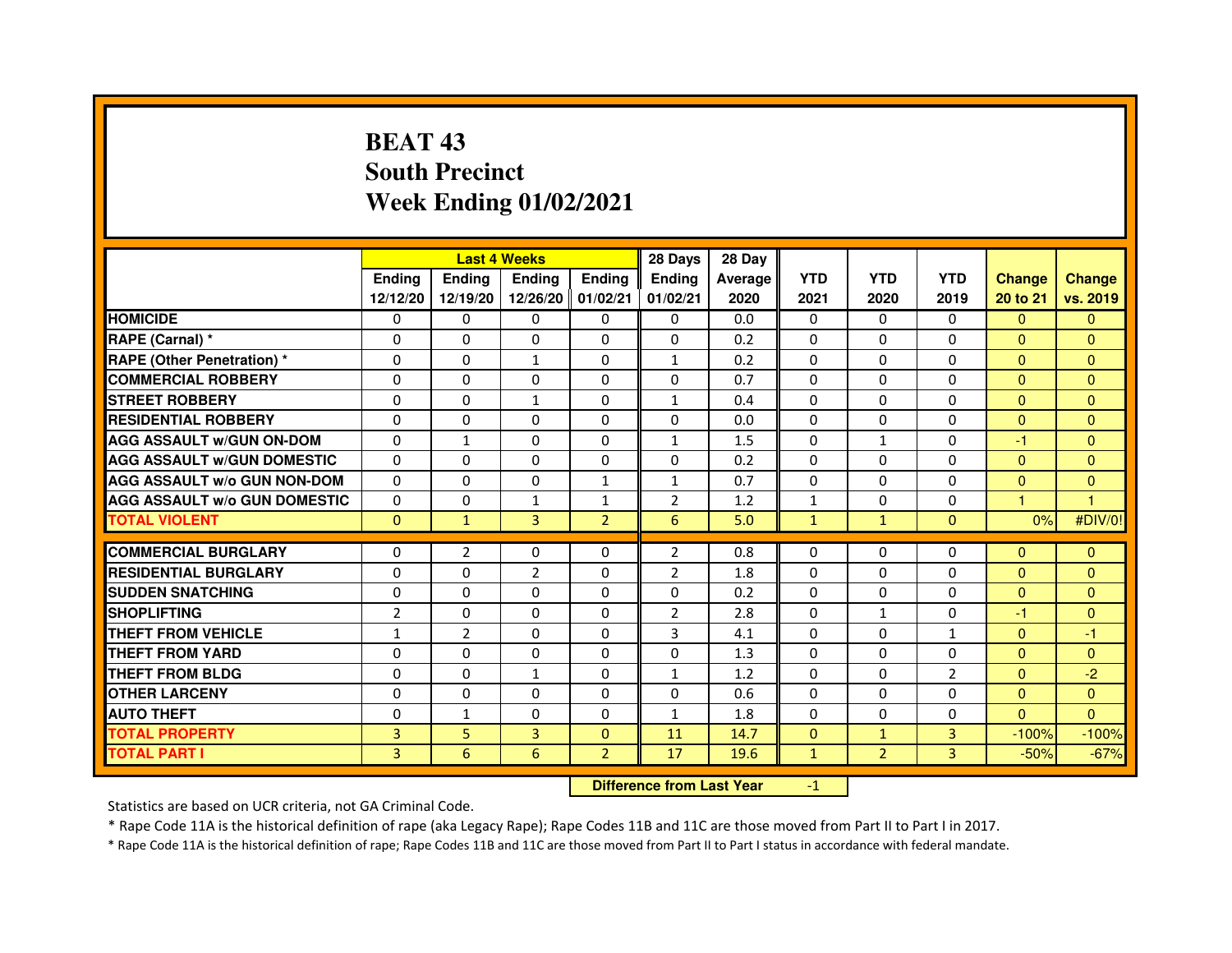# **BEAT 43 South PrecinctWeek Ending 01/02/2021**

|                                     |                | <b>Last 4 Weeks</b> |                |                   | 28 Days        | 28 Day         |              |                |                |               |               |
|-------------------------------------|----------------|---------------------|----------------|-------------------|----------------|----------------|--------------|----------------|----------------|---------------|---------------|
|                                     | <b>Endina</b>  | Ending              | <b>Endina</b>  | <b>Endina</b>     | <b>Endina</b>  | <b>Average</b> | <b>YTD</b>   | <b>YTD</b>     | <b>YTD</b>     | <b>Change</b> | <b>Change</b> |
|                                     | 12/12/20       | 12/19/20            |                | 12/26/20 01/02/21 | 01/02/21       | 2020           | 2021         | 2020           | 2019           | 20 to 21      | vs. 2019      |
| <b>HOMICIDE</b>                     | 0              | 0                   | $\Omega$       | 0                 | 0              | 0.0            | 0            | 0              | 0              | $\Omega$      | $\Omega$      |
| RAPE (Carnal) *                     | $\Omega$       | $\Omega$            | $\Omega$       | $\Omega$          | $\Omega$       | 0.2            | $\Omega$     | $\Omega$       | $\Omega$       | $\mathbf{0}$  | $\mathbf{0}$  |
| <b>RAPE (Other Penetration) *</b>   | $\Omega$       | $\Omega$            | $\mathbf{1}$   | $\Omega$          | $\mathbf{1}$   | 0.2            | $\Omega$     | $\Omega$       | $\Omega$       | $\Omega$      | $\mathbf{0}$  |
| <b>COMMERCIAL ROBBERY</b>           | $\Omega$       | 0                   | $\Omega$       | $\Omega$          | $\Omega$       | 0.7            | $\Omega$     | 0              | $\Omega$       | $\Omega$      | $\Omega$      |
| <b>STREET ROBBERY</b>               | $\mathbf 0$    | 0                   | $\mathbf{1}$   | 0                 | 1              | 0.4            | $\Omega$     | $\Omega$       | 0              | $\mathbf{0}$  | $\Omega$      |
| <b>RESIDENTIAL ROBBERY</b>          | $\mathbf 0$    | $\Omega$            | $\Omega$       | $\Omega$          | $\Omega$       | 0.0            | $\Omega$     | $\Omega$       | 0              | $\mathbf{0}$  | $\mathbf{0}$  |
| <b>AGG ASSAULT w/GUN ON-DOM</b>     | $\Omega$       | $\mathbf{1}$        | $\Omega$       | $\Omega$          | $\mathbf{1}$   | 1.5            | $\Omega$     | $\mathbf{1}$   | $\Omega$       | $-1$          | $\mathbf{0}$  |
| <b>AGG ASSAULT W/GUN DOMESTIC</b>   | $\Omega$       | 0                   | $\Omega$       | 0                 | $\Omega$       | 0.2            | $\Omega$     | $\Omega$       | $\Omega$       | $\mathbf{0}$  | $\Omega$      |
| <b>AGG ASSAULT W/o GUN NON-DOM</b>  | $\Omega$       | $\Omega$            | $\Omega$       | $\mathbf{1}$      | 1              | 0.7            | $\Omega$     | $\Omega$       | $\Omega$       | $\Omega$      | $\Omega$      |
| <b>AGG ASSAULT W/o GUN DOMESTIC</b> | $\Omega$       | $\mathbf{0}$        | 1              | $\mathbf{1}$      | $\overline{2}$ | 1.2            | 1            | $\Omega$       | 0              | 1             | -1            |
| <b>TOTAL VIOLENT</b>                | $\Omega$       | $\mathbf{1}$        | 3              | $\overline{2}$    | 6              | 5.0            | $\mathbf{1}$ | $\mathbf{1}$   | $\Omega$       | 0%            | #DIV/0!       |
|                                     |                |                     |                |                   |                |                |              |                |                |               |               |
| <b>COMMERCIAL BURGLARY</b>          | 0              | $\overline{2}$      | $\Omega$       | $\Omega$          | $\overline{2}$ | 0.8            | $\Omega$     | $\Omega$       | $\Omega$       | $\mathbf{0}$  | $\mathbf{0}$  |
| <b>RESIDENTIAL BURGLARY</b>         | $\mathbf 0$    | $\Omega$            | $\overline{2}$ | 0                 | $\overline{2}$ | 1.8            | $\Omega$     | $\Omega$       | 0              | $\mathbf{0}$  | $\mathbf{0}$  |
| <b>SUDDEN SNATCHING</b>             | $\Omega$       | 0                   | $\Omega$       | $\Omega$          | $\Omega$       | 0.2            | $\Omega$     | $\Omega$       | $\Omega$       | $\mathbf{0}$  | $\Omega$      |
| <b>SHOPLIFTING</b>                  | $\overline{2}$ | 0                   | $\mathbf 0$    | $\Omega$          | $\overline{2}$ | 2.8            | $\Omega$     | $\mathbf{1}$   | 0              | $-1$          | $\mathbf{0}$  |
| <b>THEFT FROM VEHICLE</b>           | $\mathbf{1}$   | $\overline{2}$      | $\Omega$       | $\Omega$          | 3              | 4.1            | $\Omega$     | $\Omega$       | $\mathbf{1}$   | $\mathbf{0}$  | $-1$          |
| <b>THEFT FROM YARD</b>              | $\Omega$       | $\Omega$            | $\Omega$       | $\Omega$          | $\Omega$       | 1.3            | $\Omega$     | $\Omega$       | $\Omega$       | $\mathbf{0}$  | $\mathbf{0}$  |
| <b>THEFT FROM BLDG</b>              | 0              | $\Omega$            | 1              | 0                 | 1              | 1.2            | $\Omega$     | 0              | $\overline{2}$ | $\mathbf{0}$  | $-2$          |
| <b>OTHER LARCENY</b>                | $\mathbf 0$    | 0                   | $\Omega$       | $\Omega$          | $\Omega$       | 0.6            | $\Omega$     | $\Omega$       | 0              | $\mathbf{0}$  | $\Omega$      |
| <b>AUTO THEFT</b>                   | $\mathbf 0$    | 1                   | $\Omega$       | 0                 | $\mathbf{1}$   | 1.8            | $\Omega$     | $\Omega$       | 0              | $\mathbf{0}$  | $\mathbf{0}$  |
| <b>TOTAL PROPERTY</b>               | 3              | 5                   | 3              | $\mathbf{0}$      | 11             | 14.7           | $\Omega$     | $\mathbf{1}$   | 3              | $-100%$       | $-100%$       |
| <b>TOTAL PART I</b>                 | $\overline{3}$ | 6                   | 6              | $\overline{2}$    | 17             | 19.6           | $\mathbf{1}$ | $\overline{2}$ | $\overline{3}$ | $-50%$        | $-67%$        |

### **Difference from Last Year**

-1

Statistics are based on UCR criteria, not GA Criminal Code.

\* Rape Code 11A is the historical definition of rape (aka Legacy Rape); Rape Codes 11B and 11C are those moved from Part II to Part I in 2017.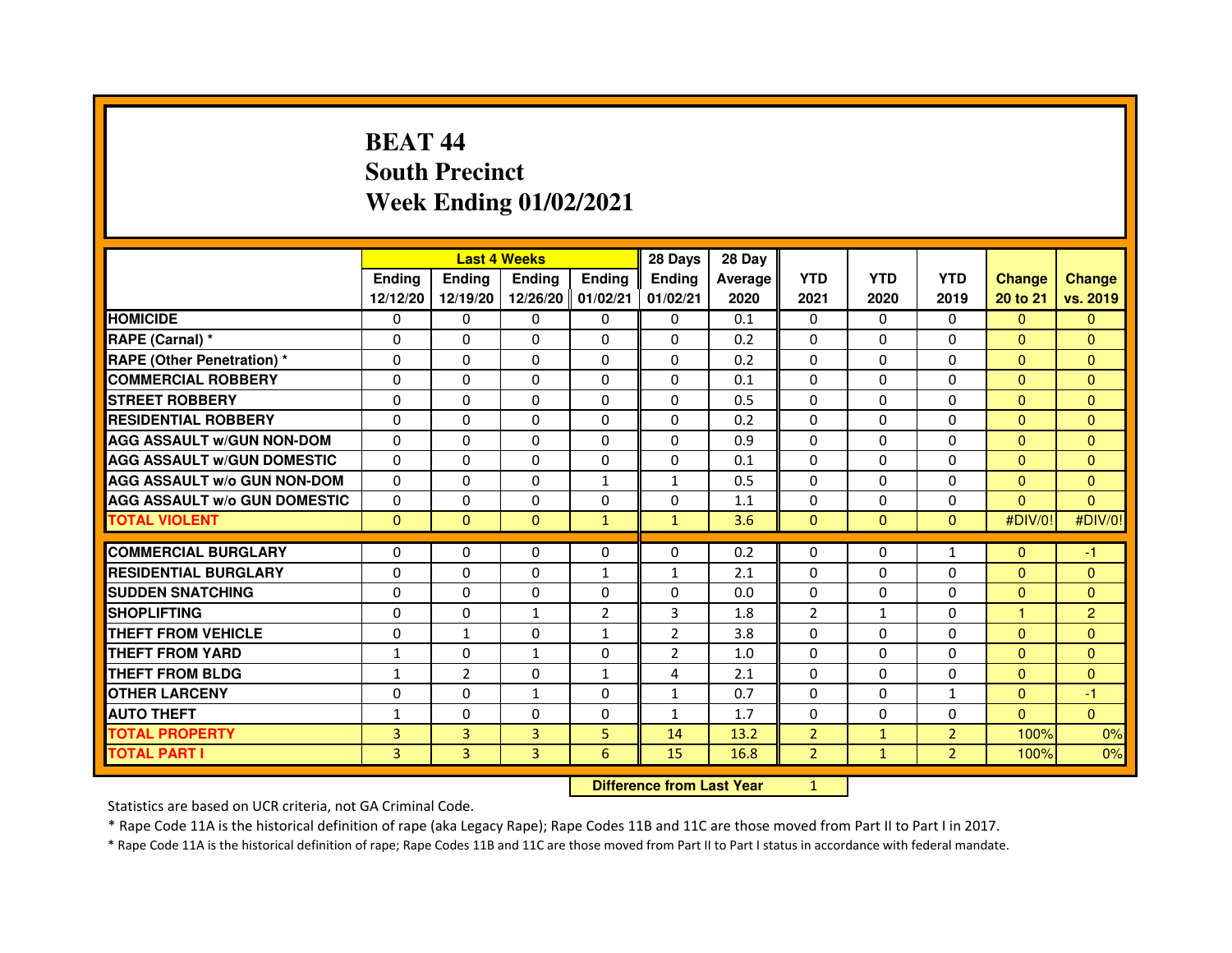# **BEAT 44 South PrecinctWeek Ending 01/02/2021**

|                                     |                | <b>Last 4 Weeks</b> |                   |                | 28 Days                          | 28 Day  |                |              |                |                |                |
|-------------------------------------|----------------|---------------------|-------------------|----------------|----------------------------------|---------|----------------|--------------|----------------|----------------|----------------|
|                                     | <b>Ending</b>  | <b>Ending</b>       | <b>Ending</b>     | <b>Ending</b>  | Ending                           | Average | <b>YTD</b>     | <b>YTD</b>   | <b>YTD</b>     | <b>Change</b>  | <b>Change</b>  |
|                                     | 12/12/20       | 12/19/20            | 12/26/20 01/02/21 |                | 01/02/21                         | 2020    | 2021           | 2020         | 2019           | 20 to 21       | vs. 2019       |
| <b>HOMICIDE</b>                     | 0              | $\Omega$            | $\Omega$          | 0              | 0                                | 0.1     | 0              | $\Omega$     | $\Omega$       | $\Omega$       | $\mathbf{0}$   |
| RAPE (Carnal) *                     | 0              | 0                   | $\Omega$          | 0              | 0                                | 0.2     | 0              | 0            | 0              | $\Omega$       | $\mathbf{0}$   |
| <b>RAPE (Other Penetration) *</b>   | 0              | 0                   | $\Omega$          | $\Omega$       | $\Omega$                         | 0.2     | $\Omega$       | $\Omega$     | $\Omega$       | $\Omega$       | $\mathbf{0}$   |
| <b>COMMERCIAL ROBBERY</b>           | $\Omega$       | $\mathbf{0}$        | $\Omega$          | $\Omega$       | 0                                | 0.1     | $\Omega$       | $\Omega$     | $\Omega$       | $\mathbf{0}$   | $\mathbf{0}$   |
| <b>STREET ROBBERY</b>               | $\Omega$       | $\Omega$            | $\Omega$          | $\Omega$       | $\Omega$                         | 0.5     | $\Omega$       | $\Omega$     | $\Omega$       | $\mathbf{0}$   | $\mathbf{0}$   |
| <b>RESIDENTIAL ROBBERY</b>          | $\Omega$       | 0                   | $\Omega$          | 0              | $\Omega$                         | 0.2     | 0              | 0            | $\Omega$       | $\overline{0}$ | $\mathbf{0}$   |
| <b>AGG ASSAULT W/GUN NON-DOM</b>    | $\Omega$       | $\Omega$            | $\Omega$          | $\Omega$       | $\Omega$                         | 0.9     | $\Omega$       | $\Omega$     | $\Omega$       | $\mathbf{0}$   | $\Omega$       |
| <b>AGG ASSAULT W/GUN DOMESTIC</b>   | $\Omega$       | $\Omega$            | $\Omega$          | $\Omega$       | $\Omega$                         | 0.1     | $\Omega$       | $\Omega$     | $\Omega$       | $\Omega$       | $\Omega$       |
| <b>AGG ASSAULT W/o GUN NON-DOM</b>  | $\Omega$       | $\Omega$            | $\Omega$          | $\mathbf{1}$   | $\mathbf{1}$                     | 0.5     | $\Omega$       | $\Omega$     | $\Omega$       | $\Omega$       | $\mathbf{0}$   |
| <b>AGG ASSAULT W/o GUN DOMESTIC</b> | $\Omega$       | 0                   | $\Omega$          | $\Omega$       | $\Omega$                         | 1.1     | $\Omega$       | $\Omega$     | 0              | $\Omega$       | $\Omega$       |
| <b>TOTAL VIOLENT</b>                | $\mathbf{0}$   | $\mathbf{0}$        | $\mathbf{0}$      | $\mathbf{1}$   | $\mathbf{1}$                     | 3.6     | $\mathbf{0}$   | $\mathbf{0}$ | $\mathbf{0}$   | #DIV/0!        | #DIV/0!        |
| <b>COMMERCIAL BURGLARY</b>          | 0              | 0                   | 0                 | 0              | 0                                | 0.2     | 0              | 0            | $\mathbf{1}$   | $\mathbf{0}$   | $-1$           |
| <b>RESIDENTIAL BURGLARY</b>         | $\Omega$       | $\mathbf{0}$        | $\Omega$          | $\mathbf{1}$   | $\mathbf{1}$                     | 2.1     | $\Omega$       | $\Omega$     | 0              | $\mathbf{0}$   | $\mathbf{0}$   |
| <b>SUDDEN SNATCHING</b>             | $\Omega$       | $\Omega$            | $\Omega$          | $\Omega$       | $\Omega$                         | 0.0     | $\Omega$       | $\Omega$     | $\Omega$       | $\mathbf{0}$   | $\Omega$       |
| <b>SHOPLIFTING</b>                  | 0              | 0                   | $\mathbf{1}$      | $\overline{2}$ | 3                                | 1.8     | 2              | $\mathbf{1}$ | 0              | $\mathbf{1}$   | $\overline{2}$ |
| THEFT FROM VEHICLE                  | $\mathbf 0$    | $\mathbf{1}$        | $\Omega$          | $\mathbf{1}$   | $\overline{2}$                   | 3.8     | $\Omega$       | $\Omega$     | $\Omega$       | $\mathbf{0}$   | $\mathbf{0}$   |
| <b>THEFT FROM YARD</b>              | $\mathbf{1}$   | $\mathbf{0}$        | $\mathbf{1}$      | $\Omega$       | $\overline{2}$                   | 1.0     | $\Omega$       | $\Omega$     | $\Omega$       | $\Omega$       | $\mathbf{0}$   |
| <b>THEFT FROM BLDG</b>              | $\mathbf{1}$   | $\overline{2}$      | $\Omega$          | $\mathbf{1}$   | 4                                | 2.1     | $\Omega$       | $\Omega$     | $\Omega$       | $\Omega$       | $\Omega$       |
| <b>OTHER LARCENY</b>                | $\Omega$       | $\Omega$            | $\mathbf{1}$      | $\Omega$       | $\mathbf{1}$                     | 0.7     | $\Omega$       | $\Omega$     | $\mathbf{1}$   | $\overline{0}$ | $-1$           |
| <b>AUTO THEFT</b>                   | 1              | $\mathbf{0}$        | $\Omega$          | $\Omega$       | $\mathbf{1}$                     | 1.7     | $\Omega$       | $\Omega$     | $\Omega$       | $\Omega$       | $\Omega$       |
| <b>TOTAL PROPERTY</b>               | 3              | 3                   | $\overline{3}$    | 5              | 14                               | 13.2    | $\overline{2}$ | $\mathbf{1}$ | $\overline{2}$ | 100%           | 0%             |
| <b>TOTAL PART I</b>                 | $\overline{3}$ | $\overline{3}$      | $\overline{3}$    | 6              | 15                               | 16.8    | $\overline{2}$ | $\mathbf{1}$ | $\overline{2}$ | 100%           | 0%             |
|                                     |                |                     |                   |                | <b>Difference from Last Year</b> |         | $\mathbf{1}$   |              |                |                |                |

 **Difference from Last Year**

Statistics are based on UCR criteria, not GA Criminal Code.

\* Rape Code 11A is the historical definition of rape (aka Legacy Rape); Rape Codes 11B and 11C are those moved from Part II to Part I in 2017.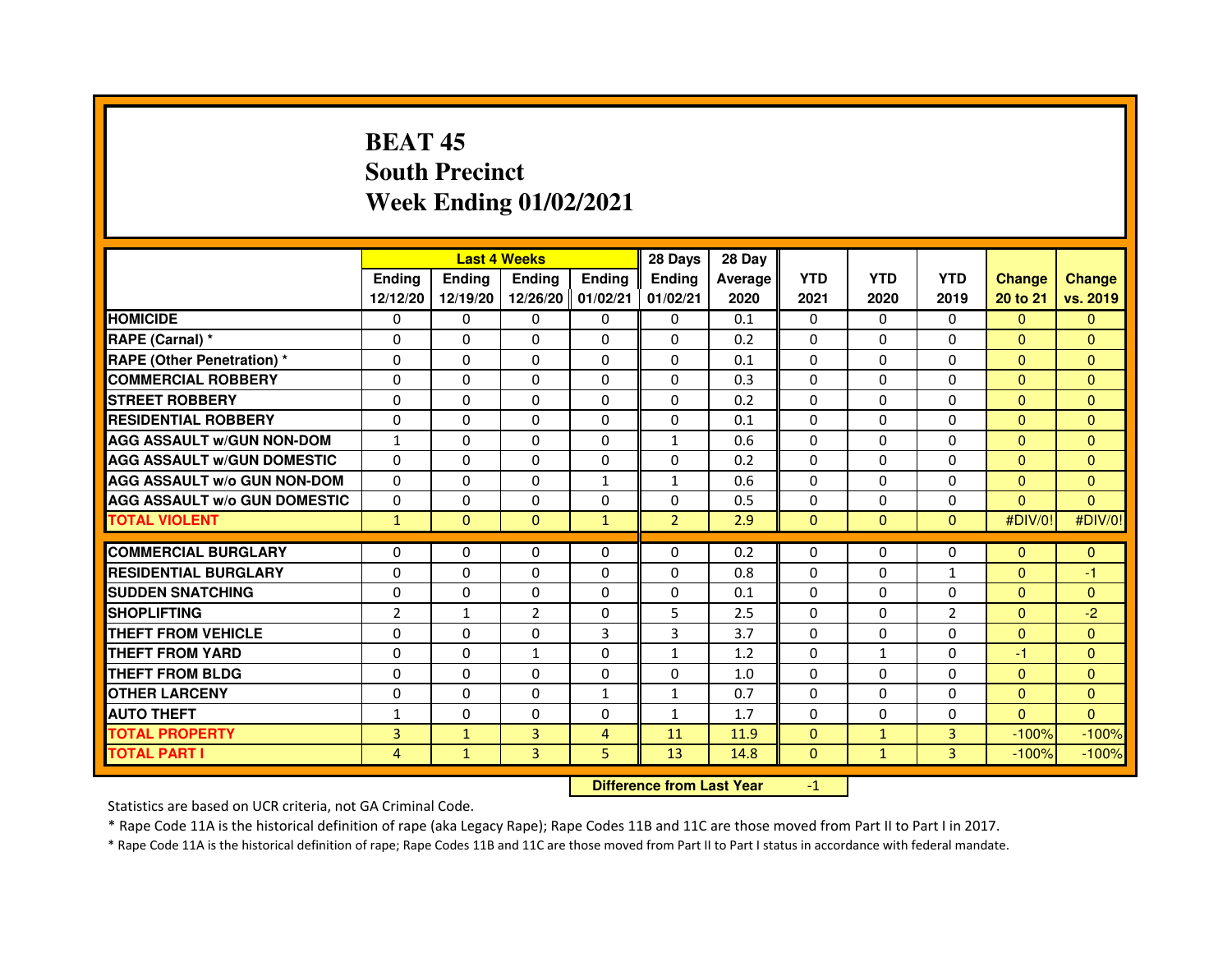# **BEAT 45 South PrecinctWeek Ending 01/02/2021**

|                                     |                | <b>Last 4 Weeks</b> |                |                   | 28 Days        | 28 Day  |              |              |                |               |               |
|-------------------------------------|----------------|---------------------|----------------|-------------------|----------------|---------|--------------|--------------|----------------|---------------|---------------|
|                                     | <b>Endina</b>  | <b>Endina</b>       | <b>Endina</b>  | <b>Endina</b>     | <b>Endina</b>  | Average | <b>YTD</b>   | <b>YTD</b>   | <b>YTD</b>     | <b>Change</b> | <b>Change</b> |
|                                     | 12/12/20       | 12/19/20            |                | 12/26/20 01/02/21 | 01/02/21       | 2020    | 2021         | 2020         | 2019           | 20 to 21      | vs. 2019      |
| <b>HOMICIDE</b>                     | $\mathbf{0}$   | 0                   | $\mathbf{0}$   | 0                 | 0              | 0.1     | $\Omega$     | $\Omega$     | $\Omega$       | $\Omega$      | $\Omega$      |
| RAPE (Carnal) *                     | $\Omega$       | $\Omega$            | $\Omega$       | $\Omega$          | $\Omega$       | 0.2     | $\Omega$     | $\Omega$     | $\Omega$       | $\Omega$      | $\Omega$      |
| <b>RAPE (Other Penetration)*</b>    | 0              | $\Omega$            | $\Omega$       | $\mathbf{0}$      | $\Omega$       | 0.1     | $\Omega$     | $\Omega$     | $\Omega$       | $\Omega$      | $\Omega$      |
| <b>COMMERCIAL ROBBERY</b>           | 0              | 0                   | 0              | 0                 | $\Omega$       | 0.3     | $\Omega$     | 0            | $\Omega$       | $\Omega$      | $\Omega$      |
| <b>STREET ROBBERY</b>               | 0              | 0                   | 0              | $\mathbf{0}$      | 0              | 0.2     | 0            | 0            | $\Omega$       | $\Omega$      | $\Omega$      |
| <b>RESIDENTIAL ROBBERY</b>          | 0              | $\Omega$            | 0              | $\Omega$          | 0              | 0.1     | $\Omega$     | 0            | 0              | $\Omega$      | $\Omega$      |
| <b>AGG ASSAULT w/GUN NON-DOM</b>    | 1              | $\Omega$            | $\Omega$       | $\Omega$          | $\mathbf{1}$   | 0.6     | $\Omega$     | $\Omega$     | $\Omega$       | $\Omega$      | $\Omega$      |
| <b>AGG ASSAULT W/GUN DOMESTIC</b>   | 0              | 0                   | $\Omega$       | 0                 | $\Omega$       | 0.2     | $\Omega$     | $\Omega$     | $\Omega$       | $\Omega$      | $\Omega$      |
| <b>AGG ASSAULT W/o GUN NON-DOM</b>  | $\Omega$       | 0                   | $\Omega$       | $\mathbf{1}$      | $\mathbf{1}$   | 0.6     | $\Omega$     | $\Omega$     | $\Omega$       | $\Omega$      | $\Omega$      |
| <b>AGG ASSAULT W/o GUN DOMESTIC</b> | $\Omega$       | 0                   | 0              | 0                 | $\Omega$       | 0.5     | 0            | $\Omega$     | $\Omega$       | $\Omega$      | $\Omega$      |
| <b>TOTAL VIOLENT</b>                | $\mathbf{1}$   | $\mathbf{0}$        | $\mathbf{0}$   | $\mathbf{1}$      | $\overline{2}$ | 2.9     | $\mathbf{0}$ | $\mathbf{0}$ | $\Omega$       | #DIV/0!       | #DIV/0!       |
|                                     |                |                     |                |                   |                |         |              |              |                |               |               |
| <b>COMMERCIAL BURGLARY</b>          | 0              | 0                   | 0              | 0                 | 0              | 0.2     | 0            | 0            | 0              | $\Omega$      | $\mathbf{0}$  |
| <b>RESIDENTIAL BURGLARY</b>         | 0              | 0                   | 0              | 0                 | 0              | 0.8     | 0            | 0            | $\mathbf{1}$   | $\Omega$      | $-1$          |
| <b>SUDDEN SNATCHING</b>             | 0              | $\Omega$            | 0              | $\Omega$          | $\Omega$       | 0.1     | $\Omega$     | $\Omega$     | $\Omega$       | $\Omega$      | $\Omega$      |
| <b>SHOPLIFTING</b>                  | $\overline{2}$ | $\mathbf{1}$        | $\overline{2}$ | $\mathbf{0}$      | 5              | 2.5     | $\mathbf{0}$ | $\Omega$     | $\overline{2}$ | $\Omega$      | $-2$          |
| THEFT FROM VEHICLE                  | $\Omega$       | 0                   | $\Omega$       | 3                 | 3              | 3.7     | $\Omega$     | $\Omega$     | $\Omega$       | $\Omega$      | $\Omega$      |
| <b>THEFT FROM YARD</b>              | 0              | 0                   | 1              | $\Omega$          | $\mathbf{1}$   | 1.2     | $\Omega$     | $\mathbf{1}$ | $\Omega$       | $-1$          | $\Omega$      |
| THEFT FROM BLDG                     | 0              | $\Omega$            | 0              | 0                 | $\Omega$       | 1.0     | $\Omega$     | 0            | $\Omega$       | $\Omega$      | $\Omega$      |
| <b>OTHER LARCENY</b>                | 0              | $\Omega$            | $\Omega$       | $\mathbf{1}$      | $\mathbf{1}$   | 0.7     | $\Omega$     | $\Omega$     | $\Omega$       | $\Omega$      | $\Omega$      |
| <b>AUTO THEFT</b>                   | $\mathbf{1}$   | $\Omega$            | $\Omega$       | $\Omega$          | $\mathbf{1}$   | 1.7     | $\Omega$     | $\Omega$     | $\Omega$       | $\Omega$      | $\Omega$      |
| <b>TOTAL PROPERTY</b>               | 3              | $\mathbf{1}$        | 3              | 4                 | 11             | 11.9    | $\Omega$     | $\mathbf{1}$ | 3              | $-100%$       | $-100%$       |
| <b>TOTAL PART I</b>                 | 4              | $\mathbf{1}$        | 3              | 5                 | 13             | 14.8    | $\Omega$     | $\mathbf{1}$ | 3              | $-100%$       | $-100%$       |

 **Difference from Last Year**

-1

Statistics are based on UCR criteria, not GA Criminal Code.

\* Rape Code 11A is the historical definition of rape (aka Legacy Rape); Rape Codes 11B and 11C are those moved from Part II to Part I in 2017.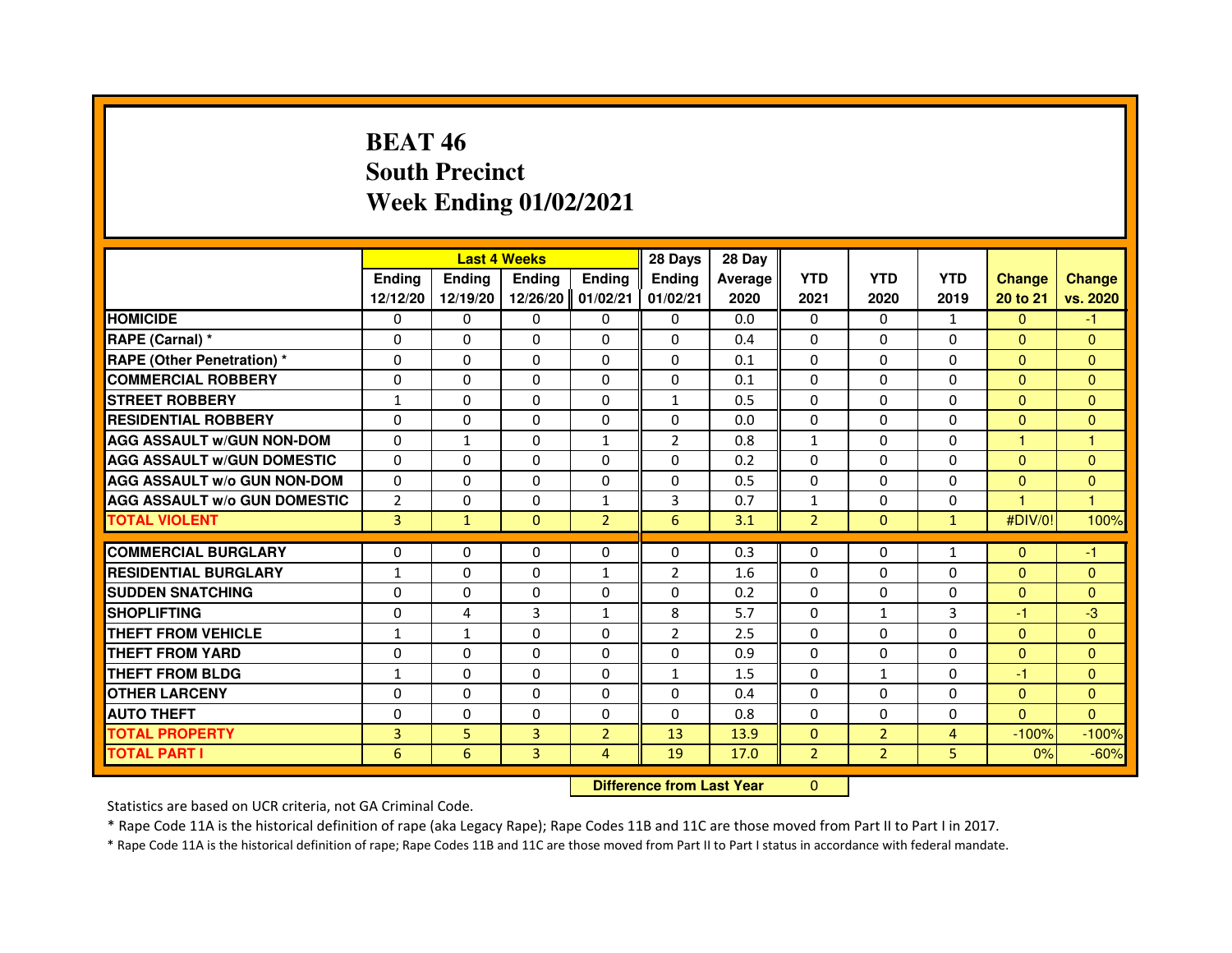# **BEAT 46 South PrecinctWeek Ending 01/02/2021**

|                                     |                | <b>Last 4 Weeks</b> |                |                | 28 Days                          | 28 Day  |                |                |              |               |                |
|-------------------------------------|----------------|---------------------|----------------|----------------|----------------------------------|---------|----------------|----------------|--------------|---------------|----------------|
|                                     | <b>Ending</b>  | Ending              | Ending         | <b>Ending</b>  | Ending                           | Average | <b>YTD</b>     | <b>YTD</b>     | <b>YTD</b>   | <b>Change</b> | <b>Change</b>  |
|                                     | 12/12/20       | 12/19/20            | 12/26/20       | 01/02/21       | 01/02/21                         | 2020    | 2021           | 2020           | 2019         | 20 to 21      | vs. 2020       |
| <b>HOMICIDE</b>                     | 0              | $\Omega$            | $\Omega$       | $\Omega$       | 0                                | 0.0     | $\Omega$       | $\Omega$       | $\mathbf{1}$ | $\Omega$      | $-1$           |
| RAPE (Carnal) *                     | 0              | 0                   | 0              | 0              | 0                                | 0.4     | 0              | $\Omega$       | $\Omega$     | $\Omega$      | $\mathbf{0}$   |
| <b>RAPE (Other Penetration) *</b>   | $\Omega$       | $\Omega$            | $\Omega$       | $\Omega$       | $\Omega$                         | 0.1     | $\Omega$       | $\Omega$       | $\Omega$     | $\Omega$      | $\Omega$       |
| <b>COMMERCIAL ROBBERY</b>           | $\Omega$       | $\Omega$            | $\Omega$       | $\Omega$       | 0                                | 0.1     | $\Omega$       | $\Omega$       | $\Omega$     | $\Omega$      | $\mathbf{0}$   |
| <b>STREET ROBBERY</b>               | $\mathbf{1}$   | $\Omega$            | $\Omega$       | $\Omega$       | $\mathbf{1}$                     | 0.5     | $\Omega$       | $\Omega$       | $\Omega$     | $\Omega$      | $\Omega$       |
| <b>RESIDENTIAL ROBBERY</b>          | $\Omega$       | 0                   | $\Omega$       | 0              | 0                                | 0.0     | 0              | $\Omega$       | $\Omega$     | $\mathbf{0}$  | $\mathbf{0}$   |
| <b>AGG ASSAULT W/GUN NON-DOM</b>    | $\Omega$       | 1                   | $\Omega$       | 1              | $\overline{2}$                   | 0.8     | $\mathbf{1}$   | $\Omega$       | $\Omega$     | 1             | $\overline{1}$ |
| <b>AGG ASSAULT W/GUN DOMESTIC</b>   | $\Omega$       | 0                   | $\Omega$       | $\Omega$       | $\Omega$                         | 0.2     | $\Omega$       | $\Omega$       | $\Omega$     | $\Omega$      | $\mathbf{0}$   |
| <b>AGG ASSAULT W/o GUN NON-DOM</b>  | $\Omega$       | $\Omega$            | $\Omega$       | $\Omega$       | $\Omega$                         | 0.5     | $\Omega$       | $\Omega$       | $\Omega$     | $\Omega$      | $\Omega$       |
| <b>AGG ASSAULT W/o GUN DOMESTIC</b> | $\overline{2}$ | 0                   | 0              | 1              | 3                                | 0.7     | $\mathbf{1}$   | $\Omega$       | $\Omega$     | 1             | 1              |
| <b>TOTAL VIOLENT</b>                | $\overline{3}$ | $\mathbf{1}$        | $\mathbf{0}$   | $\overline{2}$ | 6                                | 3.1     | $\overline{2}$ | $\mathbf{0}$   | $\mathbf{1}$ | #DIV/0!       | 100%           |
| <b>COMMERCIAL BURGLARY</b>          | 0              | 0                   | 0              | 0              | 0                                | 0.3     | $\Omega$       | 0              | 1            | $\Omega$      | $-1$           |
| <b>RESIDENTIAL BURGLARY</b>         | $\mathbf{1}$   | $\Omega$            | $\Omega$       | $\mathbf{1}$   | $\overline{2}$                   | 1.6     | $\Omega$       | $\Omega$       | $\Omega$     | $\Omega$      | $\Omega$       |
| <b>SUDDEN SNATCHING</b>             | $\Omega$       | $\Omega$            | $\Omega$       | $\Omega$       | $\Omega$                         | 0.2     | $\Omega$       | $\Omega$       | $\Omega$     | $\Omega$      | $\Omega$       |
| <b>SHOPLIFTING</b>                  | 0              | 4                   | 3              | 1              | 8                                | 5.7     | 0              | $\mathbf{1}$   | 3            | $-1$          | $-3$           |
| THEFT FROM VEHICLE                  | $\mathbf{1}$   | $\mathbf{1}$        | $\Omega$       | $\Omega$       | 2                                | 2.5     | $\Omega$       | $\Omega$       | $\Omega$     | $\Omega$      | $\Omega$       |
| THEFT FROM YARD                     | 0              | $\Omega$            | $\Omega$       | $\Omega$       | 0                                | 0.9     | $\Omega$       | $\Omega$       | $\Omega$     | $\mathbf{0}$  | $\overline{0}$ |
| <b>THEFT FROM BLDG</b>              | $\mathbf{1}$   | $\Omega$            | $\Omega$       | $\Omega$       | $\mathbf{1}$                     | 1.5     | $\Omega$       | $\mathbf{1}$   | $\Omega$     | $-1$          | $\Omega$       |
| <b>OTHER LARCENY</b>                | 0              | $\Omega$            | 0              | 0              | 0                                | 0.4     | $\Omega$       | 0              | 0            | $\mathbf{0}$  | $\mathbf{0}$   |
| <b>AUTO THEFT</b>                   | $\Omega$       | $\Omega$            | $\Omega$       | $\Omega$       | $\Omega$                         | 0.8     | $\Omega$       | $\Omega$       | $\Omega$     | $\Omega$      | $\Omega$       |
| <b>TOTAL PROPERTY</b>               | 3              | 5                   | $\overline{3}$ | $\overline{2}$ | 13                               | 13.9    | $\Omega$       | $\overline{2}$ | 4            | $-100%$       | $-100%$        |
| <b>TOTAL PART I</b>                 | 6              | 6                   | 3              | 4              | 19                               | 17.0    | $\overline{2}$ | $\overline{2}$ | 5            | 0%            | $-60%$         |
|                                     |                |                     |                |                | <b>Difference from Last Year</b> |         | $\mathbf{0}$   |                |              |               |                |

#### **Difference from Last Year**

Statistics are based on UCR criteria, not GA Criminal Code.

\* Rape Code 11A is the historical definition of rape (aka Legacy Rape); Rape Codes 11B and 11C are those moved from Part II to Part I in 2017.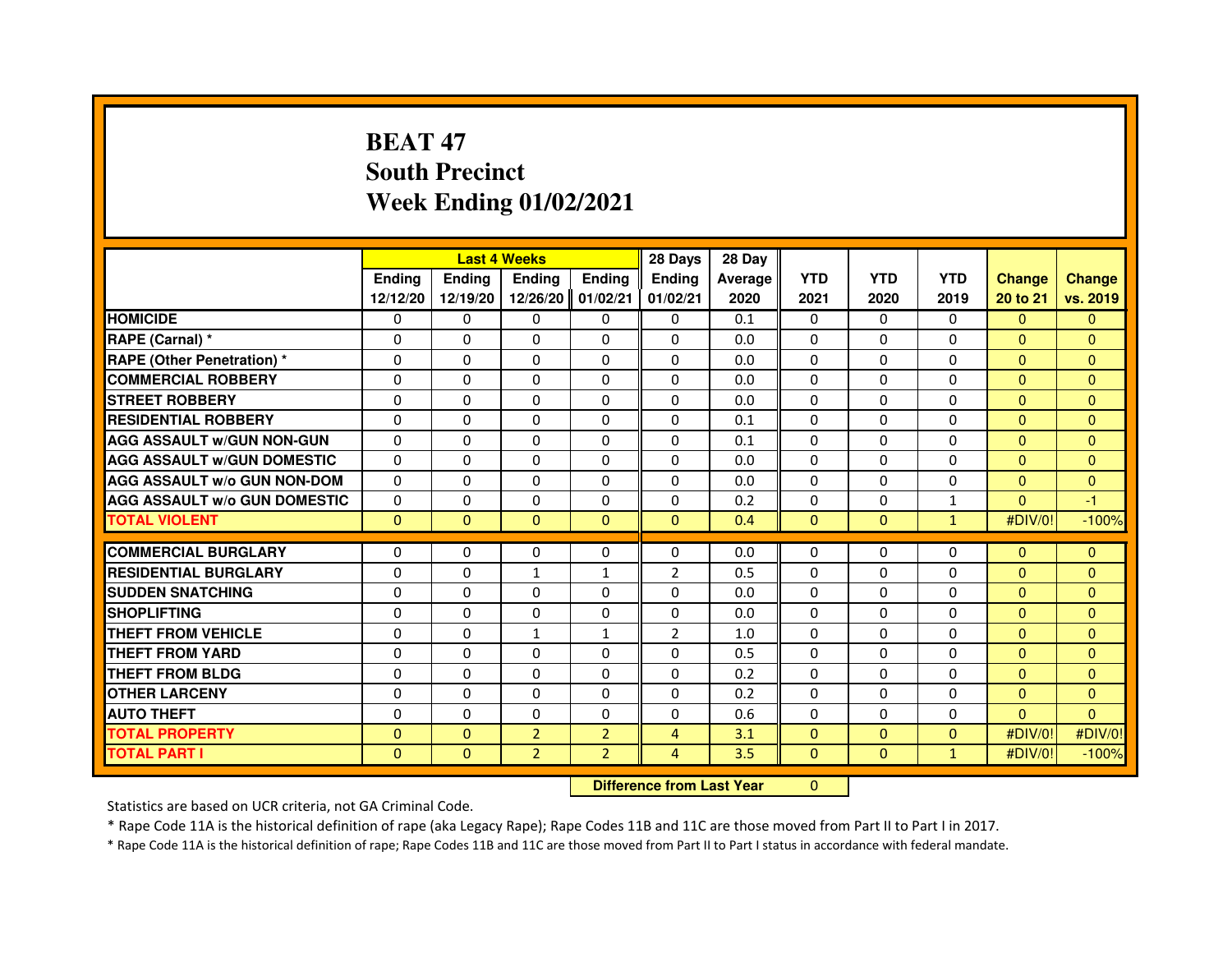# **BEAT 47 South PrecinctWeek Ending 01/02/2021**

|                                     |               | <b>Last 4 Weeks</b>              |                |                | 28 Days        | 28 Day  |              |              |              |                |                |
|-------------------------------------|---------------|----------------------------------|----------------|----------------|----------------|---------|--------------|--------------|--------------|----------------|----------------|
|                                     | <b>Ending</b> | Ending                           | <b>Ending</b>  | Ending         | Ending         | Average | <b>YTD</b>   | <b>YTD</b>   | <b>YTD</b>   | <b>Change</b>  | <b>Change</b>  |
|                                     | 12/12/20      | 12/19/20                         | 12/26/20       | 01/02/21       | 01/02/21       | 2020    | 2021         | 2020         | 2019         | 20 to 21       | vs. 2019       |
| <b>HOMICIDE</b>                     | 0             | $\mathbf{0}$                     | $\mathbf{0}$   | $\Omega$       | 0              | 0.1     | $\Omega$     | $\Omega$     | $\Omega$     | $\mathbf{0}$   | $\mathbf{0}$   |
| RAPE (Carnal) *                     | $\Omega$      | $\Omega$                         | $\Omega$       | $\Omega$       | $\Omega$       | 0.0     | $\Omega$     | $\Omega$     | $\Omega$     | $\Omega$       | $\mathbf{0}$   |
| <b>RAPE (Other Penetration) *</b>   | $\Omega$      | $\Omega$                         | $\Omega$       | $\Omega$       | $\Omega$       | 0.0     | $\Omega$     | $\Omega$     | $\Omega$     | $\Omega$       | $\mathbf{0}$   |
| <b>COMMERCIAL ROBBERY</b>           | 0             | 0                                | 0              | 0              | $\Omega$       | 0.0     | $\Omega$     | $\mathbf{0}$ | 0            | $\mathbf{0}$   | $\mathbf{0}$   |
| <b>STREET ROBBERY</b>               | $\Omega$      | $\Omega$                         | $\Omega$       | $\Omega$       | $\Omega$       | 0.0     | $\Omega$     | $\Omega$     | $\Omega$     | $\Omega$       | $\Omega$       |
| <b>RESIDENTIAL ROBBERY</b>          | 0             | 0                                | 0              | 0              | 0              | 0.1     | 0            | 0            | 0            | $\mathbf{0}$   | $\mathbf{0}$   |
| <b>AGG ASSAULT w/GUN NON-GUN</b>    | $\Omega$      | $\Omega$                         | $\Omega$       | $\Omega$       | $\Omega$       | 0.1     | $\Omega$     | $\Omega$     | 0            | $\Omega$       | $\overline{0}$ |
| <b>AGG ASSAULT W/GUN DOMESTIC</b>   | $\Omega$      | $\Omega$                         | $\Omega$       | $\Omega$       | $\Omega$       | 0.0     | $\Omega$     | $\Omega$     | $\Omega$     | $\overline{0}$ | $\mathbf{0}$   |
| <b>AGG ASSAULT W/o GUN NON-DOM</b>  | $\Omega$      | $\Omega$                         | $\Omega$       | $\Omega$       | $\Omega$       | 0.0     | $\Omega$     | $\Omega$     | $\Omega$     | $\Omega$       | $\mathbf{0}$   |
| <b>AGG ASSAULT W/o GUN DOMESTIC</b> | $\Omega$      | 0                                | $\Omega$       | $\Omega$       | $\Omega$       | 0.2     | $\Omega$     | 0            | $\mathbf{1}$ | $\Omega$       | -1             |
| <b>TOTAL VIOLENT</b>                | $\mathbf{0}$  | $\mathbf{0}$                     | $\mathbf{0}$   | $\mathbf{0}$   | $\mathbf{0}$   | 0.4     | $\mathbf{0}$ | $\mathbf{0}$ | $\mathbf{1}$ | #DIV/0!        | $-100%$        |
| <b>COMMERCIAL BURGLARY</b>          | 0             | 0                                | 0              | 0              | 0              | 0.0     | 0            | 0            | $\Omega$     | $\overline{0}$ | $\mathbf{0}$   |
| <b>RESIDENTIAL BURGLARY</b>         | 0             | $\Omega$                         | $\mathbf{1}$   | $\mathbf{1}$   | 2              | 0.5     | $\Omega$     | $\Omega$     | $\Omega$     | $\Omega$       | $\overline{0}$ |
| <b>SUDDEN SNATCHING</b>             | $\Omega$      | $\Omega$                         | $\Omega$       | $\Omega$       | $\Omega$       | 0.0     | $\Omega$     | $\Omega$     | $\Omega$     | $\Omega$       | $\Omega$       |
| <b>SHOPLIFTING</b>                  | 0             | 0                                | 0              | 0              | 0              | 0.0     | 0            | 0            | $\Omega$     | $\overline{0}$ | $\mathbf{0}$   |
| <b>THEFT FROM VEHICLE</b>           | $\Omega$      | $\Omega$                         | $\mathbf{1}$   | $\mathbf{1}$   | $\overline{2}$ | 1.0     | $\Omega$     | $\Omega$     | 0            | $\Omega$       | $\Omega$       |
| <b>THEFT FROM YARD</b>              | 0             | 0                                | 0              | 0              | 0              | 0.5     | $\mathbf 0$  | 0            | 0            | $\overline{0}$ | $\mathbf{0}$   |
| <b>THEFT FROM BLDG</b>              | $\Omega$      | $\Omega$                         | $\Omega$       | $\Omega$       | $\Omega$       | 0.2     | $\Omega$     | $\Omega$     | $\Omega$     | $\Omega$       | $\mathbf{0}$   |
| <b>OTHER LARCENY</b>                | 0             | 0                                | $\Omega$       | 0              | 0              | 0.2     | 0            | 0            | 0            | $\overline{0}$ | $\mathbf{0}$   |
| <b>AUTO THEFT</b>                   | $\Omega$      | $\Omega$                         | $\Omega$       | $\Omega$       | $\Omega$       | 0.6     | $\Omega$     | $\Omega$     | $\Omega$     | $\Omega$       | $\mathbf{0}$   |
| <b>TOTAL PROPERTY</b>               | $\Omega$      | $\mathbf{0}$                     | $\overline{2}$ | $\overline{2}$ | $\overline{4}$ | 3.1     | $\mathbf{0}$ | $\mathbf{0}$ | $\mathbf{0}$ | #DIV/0!        | #DIV/0!        |
| <b>TOTAL PART I</b>                 | $\mathbf{0}$  | $\mathbf{0}$                     | $\overline{2}$ | $\overline{2}$ | $\overline{4}$ | 3.5     | $\mathbf{0}$ | $\mathbf{0}$ | $\mathbf{1}$ | #DIV/0!        | $-100%$        |
|                                     |               | <b>Difference from Last Year</b> |                | $\mathbf{0}$   |                |         |              |              |              |                |                |

#### **Difference from Last Year**

Statistics are based on UCR criteria, not GA Criminal Code.

\* Rape Code 11A is the historical definition of rape (aka Legacy Rape); Rape Codes 11B and 11C are those moved from Part II to Part I in 2017.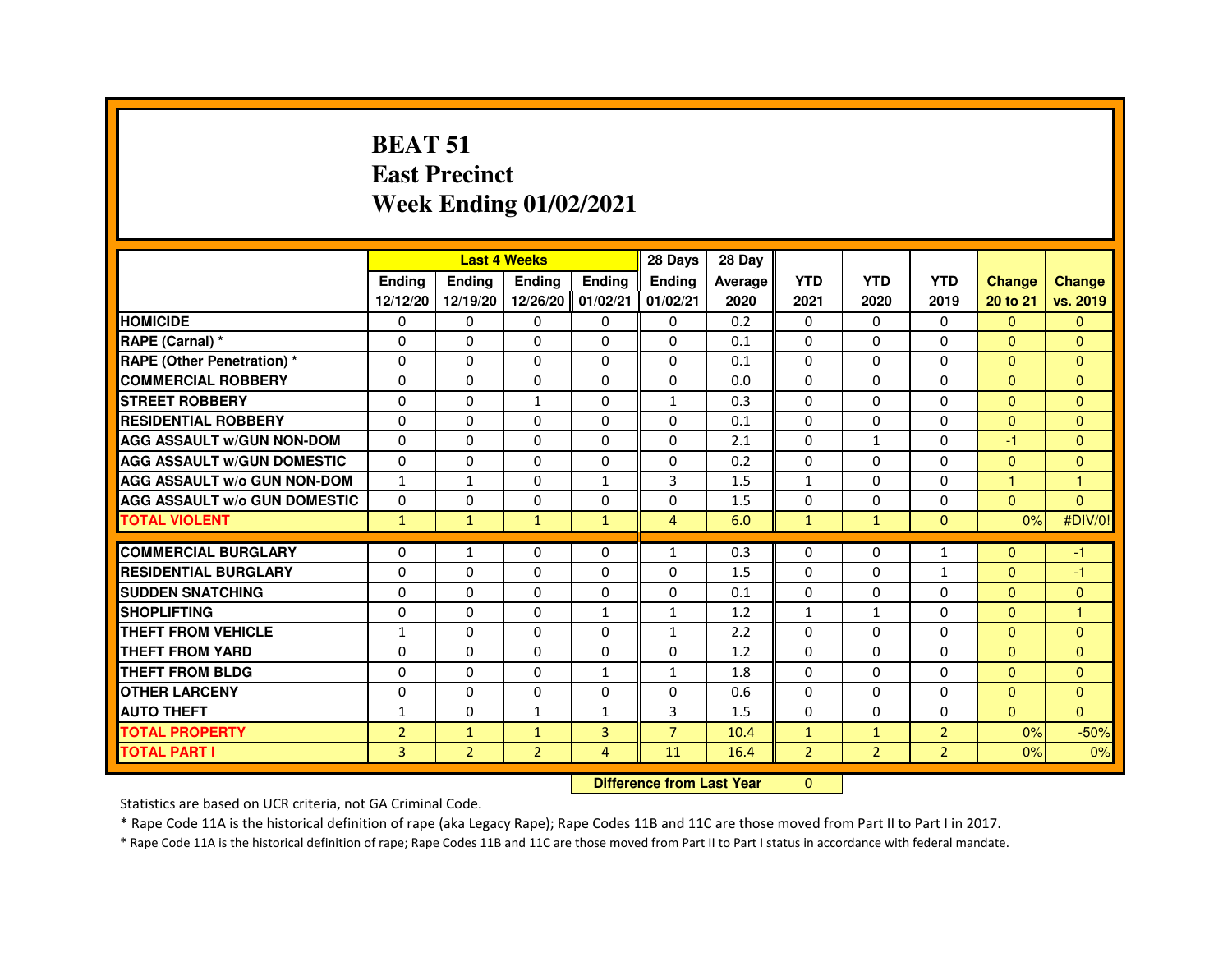### **BEAT 51 East PrecinctWeek Ending 01/02/2021**

|                                     |                |                | <b>Last 4 Weeks</b> |                | 28 Days                          | 28 Day  |                |                |                |                |                      |
|-------------------------------------|----------------|----------------|---------------------|----------------|----------------------------------|---------|----------------|----------------|----------------|----------------|----------------------|
|                                     | <b>Ending</b>  | Ending         | Ending              | <b>Ending</b>  | Ending                           | Average | <b>YTD</b>     | <b>YTD</b>     | <b>YTD</b>     | <b>Change</b>  | <b>Change</b>        |
|                                     | 12/12/20       | 12/19/20       | 12/26/20 01/02/21   |                | 01/02/21                         | 2020    | 2021           | 2020           | 2019           | 20 to 21       | vs. 2019             |
| <b>HOMICIDE</b>                     | 0              | $\Omega$       | $\Omega$            | $\mathbf{0}$   | 0                                | 0.2     | 0              | 0              | $\Omega$       | $\mathbf{0}$   | $\Omega$             |
| RAPE (Carnal) *                     | 0              | 0              | $\Omega$            | 0              | 0                                | 0.1     | 0              | 0              | 0              | $\mathbf{0}$   | $\Omega$             |
| <b>RAPE (Other Penetration) *</b>   | $\Omega$       | $\Omega$       | 0                   | $\Omega$       | $\Omega$                         | 0.1     | $\Omega$       | $\Omega$       | $\Omega$       | $\Omega$       | $\Omega$             |
| <b>COMMERCIAL ROBBERY</b>           | $\Omega$       | $\Omega$       | $\Omega$            | $\Omega$       | $\Omega$                         | 0.0     | $\Omega$       | $\Omega$       | $\Omega$       | $\Omega$       | $\Omega$             |
| <b>STREET ROBBERY</b>               | 0              | 0              | $\mathbf{1}$        | 0              | $\mathbf{1}$                     | 0.3     | $\Omega$       | $\Omega$       | 0              | $\Omega$       | $\Omega$             |
| <b>RESIDENTIAL ROBBERY</b>          | 0              | 0              | 0                   | 0              | 0                                | 0.1     | 0              | 0              | 0              | $\mathbf{0}$   | $\Omega$             |
| <b>AGG ASSAULT w/GUN NON-DOM</b>    | $\Omega$       | $\Omega$       | $\Omega$            | $\Omega$       | $\Omega$                         | 2.1     | $\Omega$       | $\mathbf{1}$   | $\Omega$       | $-1$           | $\Omega$             |
| <b>AGG ASSAULT W/GUN DOMESTIC</b>   | $\Omega$       | $\Omega$       | $\Omega$            | $\Omega$       | $\Omega$                         | 0.2     | $\Omega$       | $\Omega$       | $\Omega$       | $\Omega$       | $\Omega$             |
| <b>AGG ASSAULT W/o GUN NON-DOM</b>  | $\mathbf{1}$   | $\mathbf{1}$   | 0                   | $\mathbf{1}$   | 3                                | 1.5     | $\mathbf{1}$   | 0              | 0              | $\overline{1}$ | 1                    |
| <b>AGG ASSAULT W/o GUN DOMESTIC</b> | $\Omega$       | $\Omega$       | 0                   | $\Omega$       | $\Omega$                         | 1.5     | $\Omega$       | $\Omega$       | $\Omega$       | $\Omega$       | $\Omega$             |
| <b>TOTAL VIOLENT</b>                | $\mathbf{1}$   | $\mathbf{1}$   | $\mathbf{1}$        | $\mathbf{1}$   | $\overline{4}$                   | 6.0     | $\mathbf{1}$   | $\mathbf{1}$   | $\Omega$       | 0%             | #DIV/0!              |
| <b>COMMERCIAL BURGLARY</b>          | 0              | $\mathbf{1}$   | 0                   | 0              | $\mathbf{1}$                     | 0.3     | $\Omega$       | 0              | $\mathbf{1}$   | $\Omega$       | $-1$                 |
| <b>RESIDENTIAL BURGLARY</b>         | $\Omega$       | $\Omega$       | $\Omega$            | $\Omega$       | $\Omega$                         | 1.5     | $\Omega$       | $\Omega$       | $\mathbf{1}$   | $\Omega$       | $-1$                 |
| <b>SUDDEN SNATCHING</b>             | 0              | $\Omega$       | $\Omega$            | $\Omega$       | $\Omega$                         | 0.1     | $\Omega$       | $\Omega$       | $\Omega$       | $\Omega$       | $\mathbf{0}$         |
| <b>SHOPLIFTING</b>                  | $\Omega$       | $\Omega$       | $\Omega$            | $\mathbf{1}$   | $\mathbf{1}$                     | 1.2     | $\mathbf{1}$   | $\mathbf{1}$   | $\Omega$       | $\Omega$       | $\blacktriangleleft$ |
| <b>THEFT FROM VEHICLE</b>           | $\mathbf{1}$   | $\Omega$       | $\Omega$            | $\Omega$       | $\mathbf{1}$                     | 2.2     | $\Omega$       | $\Omega$       | $\Omega$       | $\mathbf{0}$   | $\Omega$             |
| <b>THEFT FROM YARD</b>              | 0              | $\Omega$       | $\Omega$            | $\Omega$       | $\Omega$                         | 1.2     | $\Omega$       | $\Omega$       | $\Omega$       | $\Omega$       | $\Omega$             |
| THEFT FROM BLDG                     | 0              | 0              | $\Omega$            | $\mathbf{1}$   | $\mathbf{1}$                     | 1.8     | 0              | 0              | 0              | $\Omega$       | $\Omega$             |
| <b>OTHER LARCENY</b>                | 0              | 0              | $\Omega$            | 0              | 0                                | 0.6     | $\Omega$       | $\Omega$       | $\Omega$       | $\Omega$       | $\Omega$             |
| <b>AUTO THEFT</b>                   | $\mathbf{1}$   | 0              | $\mathbf{1}$        | $\mathbf{1}$   | 3                                | 1.5     | $\Omega$       | $\Omega$       | 0              | $\overline{0}$ | $\Omega$             |
| <b>TOTAL PROPERTY</b>               | $\overline{2}$ | $\mathbf{1}$   | $\mathbf{1}$        | $\overline{3}$ | $\overline{7}$                   | 10.4    | $\mathbf{1}$   | $\mathbf{1}$   | $\overline{2}$ | 0%             | $-50%$               |
| <b>TOTAL PART I</b>                 | $\overline{3}$ | $\overline{2}$ | $\overline{2}$      | $\overline{4}$ | 11                               | 16.4    | $\overline{2}$ | $\overline{2}$ | $\overline{2}$ | 0%             | 0%                   |
|                                     |                |                |                     |                | <b>Difference from Last Year</b> |         | $\Omega$       |                |                |                |                      |

Statistics are based on UCR criteria, not GA Criminal Code.

\* Rape Code 11A is the historical definition of rape (aka Legacy Rape); Rape Codes 11B and 11C are those moved from Part II to Part I in 2017.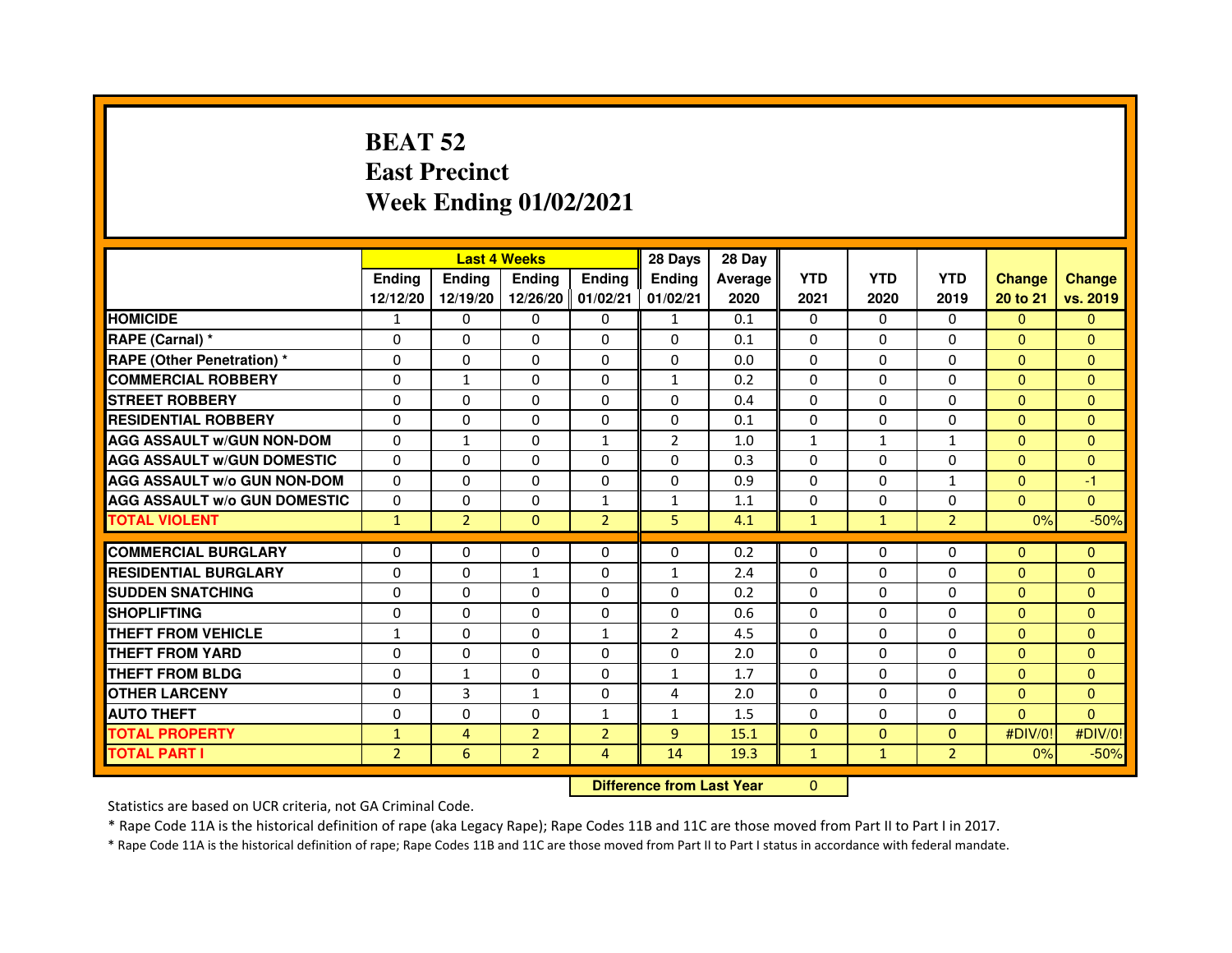# **BEAT 52 East PrecinctWeek Ending 01/02/2021**

|                                     |                | <b>Last 4 Weeks</b> |                   |                | 28 Days                          | 28 Day  |              |              |                |               |                |
|-------------------------------------|----------------|---------------------|-------------------|----------------|----------------------------------|---------|--------------|--------------|----------------|---------------|----------------|
|                                     | <b>Ending</b>  | Ending              | <b>Ending</b>     | <b>Ending</b>  | Ending                           | Average | <b>YTD</b>   | <b>YTD</b>   | <b>YTD</b>     | <b>Change</b> | <b>Change</b>  |
|                                     | 12/12/20       | 12/19/20            | 12/26/20 01/02/21 |                | 01/02/21                         | 2020    | 2021         | 2020         | 2019           | 20 to 21      | vs. 2019       |
| <b>HOMICIDE</b>                     | $\mathbf{1}$   | $\Omega$            | $\Omega$          | $\Omega$       | $\mathbf{1}$                     | 0.1     | $\Omega$     | $\Omega$     | $\Omega$       | $\Omega$      | $\mathbf{0}$   |
| RAPE (Carnal) *                     | 0              | $\mathbf{0}$        | 0                 | $\mathbf{0}$   | $\Omega$                         | 0.1     | $\Omega$     | $\Omega$     | $\Omega$       | $\Omega$      | $\Omega$       |
| <b>RAPE (Other Penetration) *</b>   | 0              | 0                   | 0                 | $\mathbf{0}$   | $\Omega$                         | 0.0     | 0            | 0            | $\Omega$       | $\Omega$      | $\Omega$       |
| <b>COMMERCIAL ROBBERY</b>           | $\mathbf 0$    | $\mathbf{1}$        | $\Omega$          | $\mathbf{0}$   | $\mathbf{1}$                     | 0.2     | $\Omega$     | $\Omega$     | $\Omega$       | $\Omega$      | $\mathbf{0}$   |
| <b>STREET ROBBERY</b>               | $\Omega$       | $\Omega$            | $\Omega$          | $\Omega$       | $\Omega$                         | 0.4     | $\Omega$     | $\Omega$     | $\Omega$       | $\Omega$      | $\Omega$       |
| <b>RESIDENTIAL ROBBERY</b>          | 0              | 0                   | 0                 | 0              | $\Omega$                         | 0.1     | $\Omega$     | 0            | $\Omega$       | $\mathbf{0}$  | $\mathbf{0}$   |
| <b>AGG ASSAULT W/GUN NON-DOM</b>    | 0              | $\mathbf{1}$        | 0                 | $\mathbf{1}$   | $\overline{2}$                   | 1.0     | $\mathbf{1}$ | $\mathbf{1}$ | $\mathbf{1}$   | $\Omega$      | $\mathbf{0}$   |
| <b>AGG ASSAULT W/GUN DOMESTIC</b>   | $\mathbf 0$    | 0                   | $\Omega$          | $\mathbf{0}$   | $\Omega$                         | 0.3     | $\Omega$     | $\Omega$     | $\Omega$       | $\Omega$      | $\overline{0}$ |
| <b>AGG ASSAULT W/o GUN NON-DOM</b>  | $\Omega$       | $\Omega$            | 0                 | $\Omega$       | 0                                | 0.9     | $\Omega$     | $\Omega$     | $\mathbf{1}$   | $\Omega$      | $-1$           |
| <b>AGG ASSAULT W/o GUN DOMESTIC</b> | 0              | 0                   | 0                 | $\mathbf{1}$   | $\mathbf{1}$                     | 1.1     | 0            | 0            | $\Omega$       | $\mathbf{0}$  | $\Omega$       |
| <b>TOTAL VIOLENT</b>                | $\mathbf{1}$   | $\overline{2}$      | $\mathbf{0}$      | $\overline{2}$ | 5                                | 4.1     | $\mathbf{1}$ | $\mathbf{1}$ | $\overline{2}$ | 0%            | $-50%$         |
| <b>COMMERCIAL BURGLARY</b>          | 0              | 0                   | 0                 | $\mathbf{0}$   | 0                                | 0.2     | 0            | 0            | 0              | $\mathbf{0}$  | $\Omega$       |
| <b>RESIDENTIAL BURGLARY</b>         | $\mathbf 0$    | $\Omega$            | $\mathbf{1}$      | $\mathbf{0}$   | $\mathbf{1}$                     | 2.4     | $\Omega$     | $\Omega$     | $\Omega$       | $\Omega$      | $\Omega$       |
| <b>SUDDEN SNATCHING</b>             | 0              | $\Omega$            | $\Omega$          | $\Omega$       | $\Omega$                         | 0.2     | $\Omega$     | $\Omega$     | $\Omega$       | $\Omega$      | $\Omega$       |
| <b>SHOPLIFTING</b>                  | 0              | 0                   | 0                 | $\mathbf{0}$   | $\mathbf{0}$                     | 0.6     | $\mathbf{0}$ | 0            | $\Omega$       | $\mathbf{0}$  | $\Omega$       |
| THEFT FROM VEHICLE                  | 1              | $\Omega$            | $\Omega$          | $\mathbf{1}$   | $\overline{2}$                   | 4.5     | $\Omega$     | $\Omega$     | $\Omega$       | $\Omega$      | $\Omega$       |
| THEFT FROM YARD                     | $\mathbf 0$    | 0                   | $\Omega$          | $\Omega$       | $\Omega$                         | 2.0     | $\Omega$     | $\Omega$     | $\Omega$       | $\Omega$      | $\overline{0}$ |
| <b>THEFT FROM BLDG</b>              | 0              | $\mathbf{1}$        | $\Omega$          | $\Omega$       | $\mathbf{1}$                     | 1.7     | $\Omega$     | $\Omega$     | $\Omega$       | $\Omega$      | $\Omega$       |
| <b>OTHER LARCENY</b>                | 0              | 3                   | 1                 | $\Omega$       | 4                                | 2.0     | $\Omega$     | 0            | 0              | $\Omega$      | $\Omega$       |
| <b>AUTO THEFT</b>                   | $\mathbf 0$    | $\mathbf 0$         | $\Omega$          | $\mathbf{1}$   | $\mathbf{1}$                     | 1.5     | $\Omega$     | $\Omega$     | $\Omega$       | $\Omega$      | $\Omega$       |
| <b>TOTAL PROPERTY</b>               | $\mathbf{1}$   | 4                   | $\overline{2}$    | $\overline{2}$ | 9                                | 15.1    | $\Omega$     | $\mathbf{0}$ | $\Omega$       | #DIV/0!       | #DIV/0!        |
| <b>TOTAL PART I</b>                 | $\overline{2}$ | 6                   | $\overline{2}$    | $\overline{4}$ | 14                               | 19.3    | $\mathbf{1}$ | $\mathbf{1}$ | $\overline{2}$ | 0%            | $-50%$         |
|                                     |                |                     |                   |                | <b>Difference from Last Year</b> |         | $\Omega$     |              |                |               |                |

 **Difference from Last Year**

Statistics are based on UCR criteria, not GA Criminal Code.

\* Rape Code 11A is the historical definition of rape (aka Legacy Rape); Rape Codes 11B and 11C are those moved from Part II to Part I in 2017.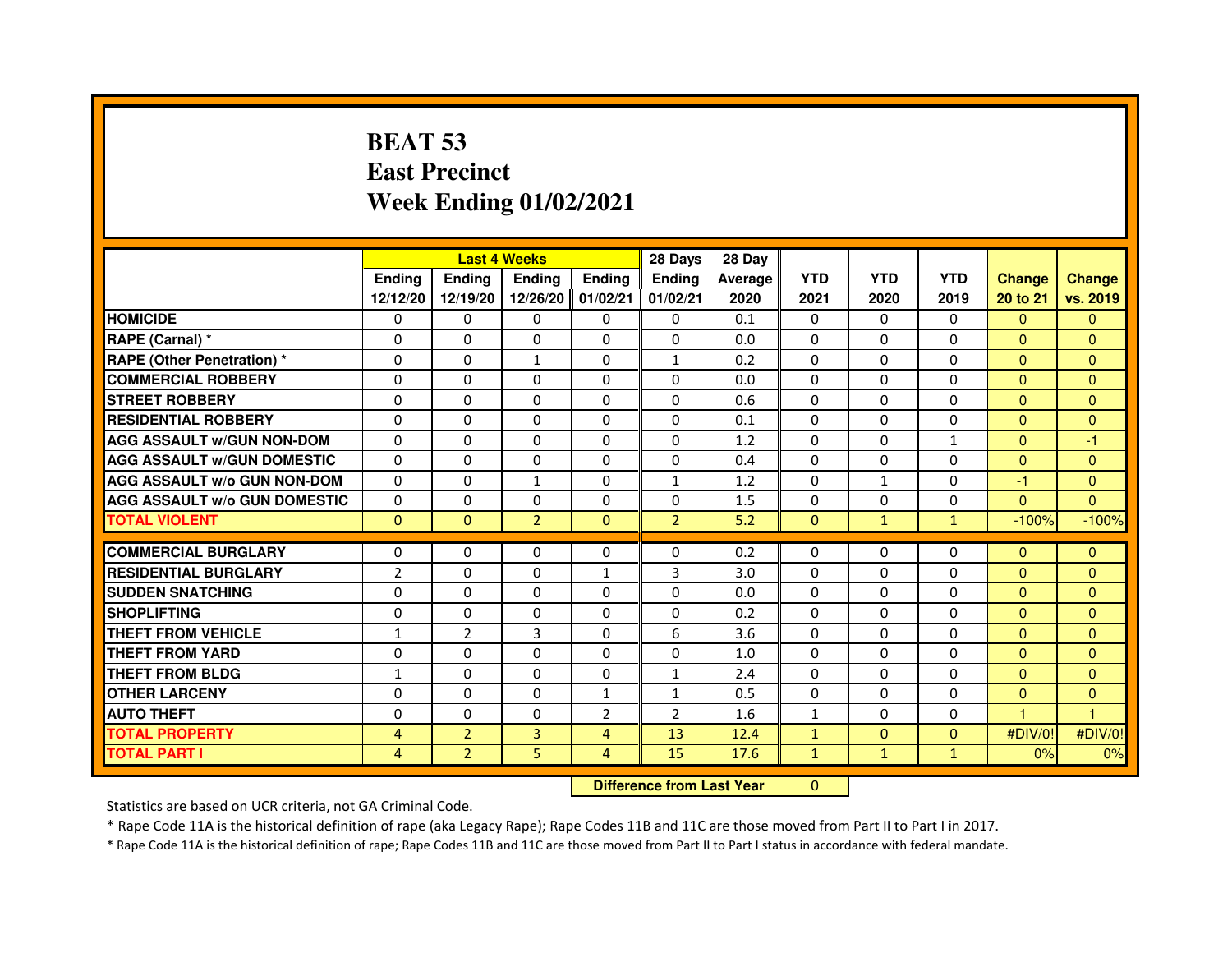# **BEAT 53 East PrecinctWeek Ending 01/02/2021**

|                                     |                |                                  | <b>Last 4 Weeks</b> |                | 28 Days        | 28 Day  |              |              |              |                |                |
|-------------------------------------|----------------|----------------------------------|---------------------|----------------|----------------|---------|--------------|--------------|--------------|----------------|----------------|
|                                     | <b>Ending</b>  | <b>Ending</b>                    | <b>Ending</b>       | Ending         | Ending         | Average | <b>YTD</b>   | <b>YTD</b>   | <b>YTD</b>   | <b>Change</b>  | <b>Change</b>  |
|                                     | 12/12/20       | 12/19/20                         | 12/26/20            | 01/02/21       | 01/02/21       | 2020    | 2021         | 2020         | 2019         | 20 to 21       | vs. 2019       |
| <b>HOMICIDE</b>                     | 0              | $\Omega$                         | $\mathbf{0}$        | 0              | $\mathbf{0}$   | 0.1     | $\Omega$     | $\Omega$     | $\mathbf{0}$ | $\mathbf{0}$   | $\mathbf{0}$   |
| RAPE (Carnal) *                     | $\Omega$       | $\Omega$                         | $\Omega$            | $\Omega$       | $\Omega$       | 0.0     | $\Omega$     | $\Omega$     | $\Omega$     | $\Omega$       | $\Omega$       |
| <b>RAPE (Other Penetration)*</b>    | 0              | 0                                | 1                   | 0              | 1              | 0.2     | $\mathbf{0}$ | $\mathbf{0}$ | 0            | $\Omega$       | $\Omega$       |
| <b>COMMERCIAL ROBBERY</b>           | $\Omega$       | $\Omega$                         | $\Omega$            | $\Omega$       | 0              | 0.0     | $\Omega$     | $\mathbf{0}$ | $\Omega$     | $\Omega$       | $\mathbf{0}$   |
| <b>STREET ROBBERY</b>               | $\Omega$       | $\Omega$                         | $\Omega$            | $\Omega$       | $\Omega$       | 0.6     | $\Omega$     | $\Omega$     | $\Omega$     | $\Omega$       | $\Omega$       |
| <b>RESIDENTIAL ROBBERY</b>          | 0              | 0                                | 0                   | 0              | 0              | 0.1     | $\mathbf{0}$ | $\mathbf{0}$ | 0            | $\mathbf{0}$   | $\mathbf{0}$   |
| <b>AGG ASSAULT W/GUN NON-DOM</b>    | $\Omega$       | $\Omega$                         | 0                   | $\Omega$       | $\Omega$       | 1.2     | $\Omega$     | $\Omega$     | $\mathbf{1}$ | $\Omega$       | $-1$           |
| <b>AGG ASSAULT w/GUN DOMESTIC</b>   | $\Omega$       | $\Omega$                         | $\Omega$            | $\Omega$       | $\Omega$       | 0.4     | $\mathbf{0}$ | $\mathbf{0}$ | $\mathbf 0$  | $\Omega$       | $\mathbf{0}$   |
| <b>AGG ASSAULT W/o GUN NON-DOM</b>  | $\Omega$       | $\Omega$                         | $\mathbf{1}$        | $\Omega$       | $\mathbf{1}$   | 1.2     | $\Omega$     | $\mathbf{1}$ | $\Omega$     | $-1$           | $\Omega$       |
| <b>AGG ASSAULT W/o GUN DOMESTIC</b> | $\Omega$       | 0                                | 0                   | $\Omega$       | $\Omega$       | 1.5     | $\Omega$     | 0            | 0            | $\Omega$       | $\Omega$       |
| <b>TOTAL VIOLENT</b>                | $\mathbf{0}$   | $\mathbf{0}$                     | $\overline{2}$      | $\mathbf{0}$   | $\overline{2}$ | 5.2     | $\mathbf{0}$ | $\mathbf{1}$ | $\mathbf{1}$ | $-100%$        | $-100%$        |
| <b>COMMERCIAL BURGLARY</b>          | 0              | 0                                | 0                   | 0              | $\Omega$       | 0.2     | $\Omega$     | 0            | 0            | $\overline{0}$ | $\mathbf{0}$   |
| <b>RESIDENTIAL BURGLARY</b>         | $\overline{2}$ | $\Omega$                         | $\Omega$            | $\mathbf{1}$   | 3              | 3.0     | $\mathbf{0}$ | $\mathbf{0}$ | 0            | $\Omega$       | $\mathbf{0}$   |
| <b>SUDDEN SNATCHING</b>             | $\Omega$       | $\Omega$                         | $\Omega$            | $\Omega$       | $\Omega$       | 0.0     | $\Omega$     | $\Omega$     | $\Omega$     | $\Omega$       | $\Omega$       |
| <b>SHOPLIFTING</b>                  | 0              | 0                                | 0                   | $\Omega$       | $\Omega$       | 0.2     | $\Omega$     | $\Omega$     | 0            | $\mathbf{0}$   | $\mathbf{0}$   |
| THEFT FROM VEHICLE                  | $\mathbf{1}$   | $\overline{2}$                   | 3                   | $\Omega$       | 6              | 3.6     | $\Omega$     | $\Omega$     | 0            | $\Omega$       | $\Omega$       |
| <b>THEFT FROM YARD</b>              | 0              | 0                                | $\Omega$            | $\Omega$       | 0              | 1.0     | $\Omega$     | 0            | 0            | $\mathbf{0}$   | $\mathbf{0}$   |
| <b>THEFT FROM BLDG</b>              | $\mathbf{1}$   | $\Omega$                         | $\Omega$            | $\Omega$       | $\mathbf{1}$   | 2.4     | $\Omega$     | $\Omega$     | $\Omega$     | $\Omega$       | $\Omega$       |
| <b>OTHER LARCENY</b>                | 0              | 0                                | 0                   | 1              | 1              | 0.5     | $\Omega$     | $\Omega$     | 0            | $\overline{0}$ | $\mathbf{0}$   |
| <b>AUTO THEFT</b>                   | $\Omega$       | 0                                | $\Omega$            | $\overline{2}$ | $\overline{2}$ | 1.6     | $\mathbf{1}$ | $\mathbf{0}$ | 0            | 1              | $\overline{1}$ |
| <b>TOTAL PROPERTY</b>               | $\overline{4}$ | $\overline{2}$                   | 3                   | $\overline{4}$ | 13             | 12.4    | $\mathbf{1}$ | $\mathbf{0}$ | $\Omega$     | #DIV/0!        | #DIV/0!        |
| <b>TOTAL PART I</b>                 | $\overline{4}$ | $\overline{2}$                   | 5                   | 4              | 15             | 17.6    | $\mathbf{1}$ | $\mathbf{1}$ | $\mathbf{1}$ | 0%             | 0%             |
|                                     |                | <b>Difference from Last Year</b> |                     | $\Omega$       |                |         |              |              |              |                |                |

 **Difference from Last Year**

Statistics are based on UCR criteria, not GA Criminal Code.

\* Rape Code 11A is the historical definition of rape (aka Legacy Rape); Rape Codes 11B and 11C are those moved from Part II to Part I in 2017.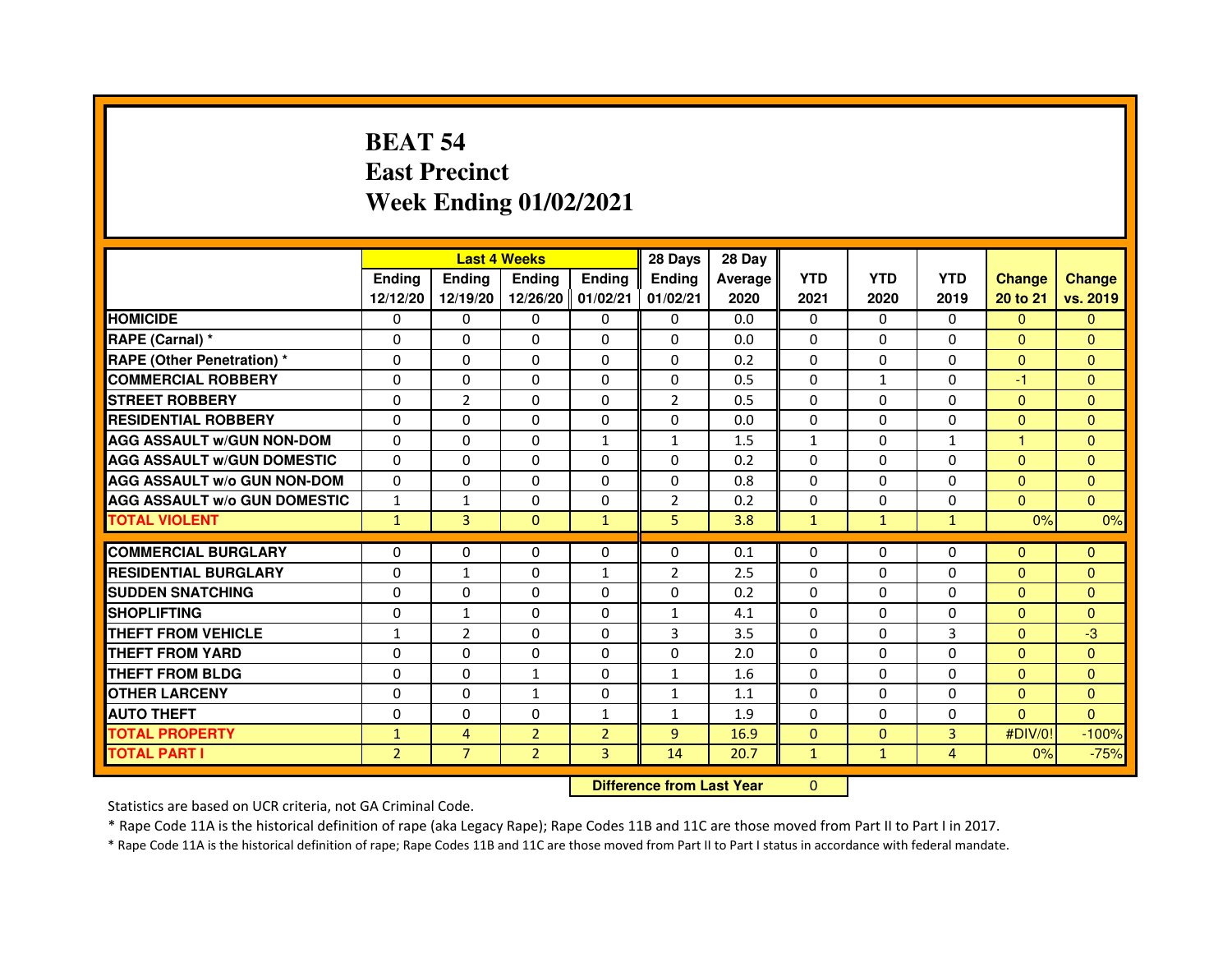# **BEAT 54 East PrecinctWeek Ending 01/02/2021**

|                                     |                | <b>Last 4 Weeks</b> |                   |                | 28 Days                          | 28 Day  |              |              |                |               |                |
|-------------------------------------|----------------|---------------------|-------------------|----------------|----------------------------------|---------|--------------|--------------|----------------|---------------|----------------|
|                                     | <b>Ending</b>  | Ending              | <b>Ending</b>     | <b>Ending</b>  | Ending                           | Average | <b>YTD</b>   | <b>YTD</b>   | <b>YTD</b>     | <b>Change</b> | <b>Change</b>  |
|                                     | 12/12/20       | 12/19/20            | 12/26/20 01/02/21 |                | 01/02/21                         | 2020    | 2021         | 2020         | 2019           | 20 to 21      | vs. 2019       |
| <b>HOMICIDE</b>                     | $\Omega$       | $\Omega$            | $\Omega$          | $\Omega$       | $\Omega$                         | 0.0     | $\Omega$     | $\Omega$     | $\Omega$       | $\Omega$      | $\mathbf{0}$   |
| RAPE (Carnal) *                     | 0              | $\mathbf{0}$        | 0                 | $\mathbf{0}$   | $\Omega$                         | 0.0     | $\Omega$     | $\Omega$     | $\Omega$       | $\Omega$      | $\Omega$       |
| <b>RAPE (Other Penetration) *</b>   | 0              | 0                   | 0                 | $\mathbf{0}$   | $\Omega$                         | 0.2     | 0            | 0            | $\Omega$       | $\Omega$      | $\Omega$       |
| <b>COMMERCIAL ROBBERY</b>           | $\mathbf 0$    | 0                   | $\Omega$          | $\mathbf{0}$   | $\Omega$                         | 0.5     | $\Omega$     | $\mathbf{1}$ | $\Omega$       | $-1$          | $\mathbf{0}$   |
| <b>STREET ROBBERY</b>               | $\Omega$       | $\overline{2}$      | $\Omega$          | $\Omega$       | $\overline{2}$                   | 0.5     | $\Omega$     | $\Omega$     | $\Omega$       | $\Omega$      | $\Omega$       |
| <b>RESIDENTIAL ROBBERY</b>          | 0              | 0                   | 0                 | 0              | $\Omega$                         | 0.0     | $\Omega$     | 0            | $\Omega$       | $\mathbf{0}$  | $\mathbf{0}$   |
| <b>AGG ASSAULT W/GUN NON-DOM</b>    | 0              | $\mathbf 0$         | 0                 | $\mathbf{1}$   | $\mathbf{1}$                     | 1.5     | $\mathbf{1}$ | 0            | $\mathbf{1}$   | 1             | $\mathbf{0}$   |
| <b>AGG ASSAULT W/GUN DOMESTIC</b>   | $\mathbf 0$    | $\mathbf 0$         | $\mathbf 0$       | $\mathbf{0}$   | $\Omega$                         | 0.2     | $\Omega$     | $\Omega$     | $\Omega$       | $\Omega$      | $\overline{0}$ |
| <b>AGG ASSAULT W/o GUN NON-DOM</b>  | $\Omega$       | $\Omega$            | 0                 | $\Omega$       | $\Omega$                         | 0.8     | $\Omega$     | $\Omega$     | $\Omega$       | $\Omega$      | $\Omega$       |
| <b>AGG ASSAULT W/o GUN DOMESTIC</b> | $\mathbf{1}$   | $\mathbf{1}$        | 0                 | 0              | $\overline{2}$                   | 0.2     | 0            | 0            | $\Omega$       | $\mathbf{0}$  | $\Omega$       |
| <b>TOTAL VIOLENT</b>                | $\mathbf{1}$   | 3                   | $\mathbf{0}$      | $\mathbf{1}$   | 5                                | 3.8     | $\mathbf{1}$ | $\mathbf{1}$ | $\mathbf{1}$   | 0%            | 0%             |
| <b>COMMERCIAL BURGLARY</b>          | 0              | 0                   | 0                 | $\mathbf{0}$   | 0                                | 0.1     | 0            | 0            | 0              | $\Omega$      | $\Omega$       |
| <b>RESIDENTIAL BURGLARY</b>         | $\mathbf 0$    | $\mathbf{1}$        | $\Omega$          | $\mathbf{1}$   | $\overline{2}$                   | 2.5     | $\Omega$     | $\Omega$     | $\Omega$       | $\Omega$      | $\Omega$       |
| <b>SUDDEN SNATCHING</b>             | 0              | $\Omega$            | $\Omega$          | $\Omega$       | $\Omega$                         | 0.2     | $\Omega$     | $\Omega$     | $\Omega$       | $\Omega$      | $\Omega$       |
| <b>SHOPLIFTING</b>                  | 0              | 1                   | 0                 | $\mathbf{0}$   | $\mathbf{1}$                     | 4.1     | $\Omega$     | 0            | $\Omega$       | $\Omega$      | $\Omega$       |
| THEFT FROM VEHICLE                  | 1              | $\overline{2}$      | $\Omega$          | $\Omega$       | 3                                | 3.5     | $\Omega$     | $\Omega$     | 3              | $\Omega$      | $-3$           |
| THEFT FROM YARD                     | $\mathbf 0$    | 0                   | $\Omega$          | $\Omega$       | $\Omega$                         | 2.0     | $\Omega$     | $\Omega$     | $\Omega$       | $\Omega$      | $\overline{0}$ |
| <b>THEFT FROM BLDG</b>              | 0              | $\Omega$            | $\mathbf{1}$      | $\Omega$       | $\mathbf{1}$                     | 1.6     | $\Omega$     | $\Omega$     | $\Omega$       | $\Omega$      | $\Omega$       |
| <b>OTHER LARCENY</b>                | 0              | $\Omega$            | 1                 | $\Omega$       | 1                                | 1.1     | $\Omega$     | 0            | 0              | $\Omega$      | $\Omega$       |
| <b>AUTO THEFT</b>                   | $\mathbf 0$    | 0                   | $\Omega$          | $\mathbf{1}$   | $\mathbf{1}$                     | 1.9     | $\Omega$     | $\Omega$     | $\Omega$       | $\Omega$      | $\Omega$       |
| <b>TOTAL PROPERTY</b>               | $\mathbf{1}$   | 4                   | $\overline{2}$    | $\overline{2}$ | 9                                | 16.9    | $\mathbf{0}$ | $\mathbf{0}$ | $\overline{3}$ | #DIV/0!       | $-100%$        |
| <b>TOTAL PART I</b>                 | $\overline{2}$ | $\overline{7}$      | $\overline{2}$    | 3              | 14                               | 20.7    | $\mathbf{1}$ | $\mathbf{1}$ | $\overline{4}$ | 0%            | $-75%$         |
|                                     |                |                     |                   |                | <b>Difference from Last Year</b> |         | $\Omega$     |              |                |               |                |

 **Difference from Last Year**

Statistics are based on UCR criteria, not GA Criminal Code.

\* Rape Code 11A is the historical definition of rape (aka Legacy Rape); Rape Codes 11B and 11C are those moved from Part II to Part I in 2017.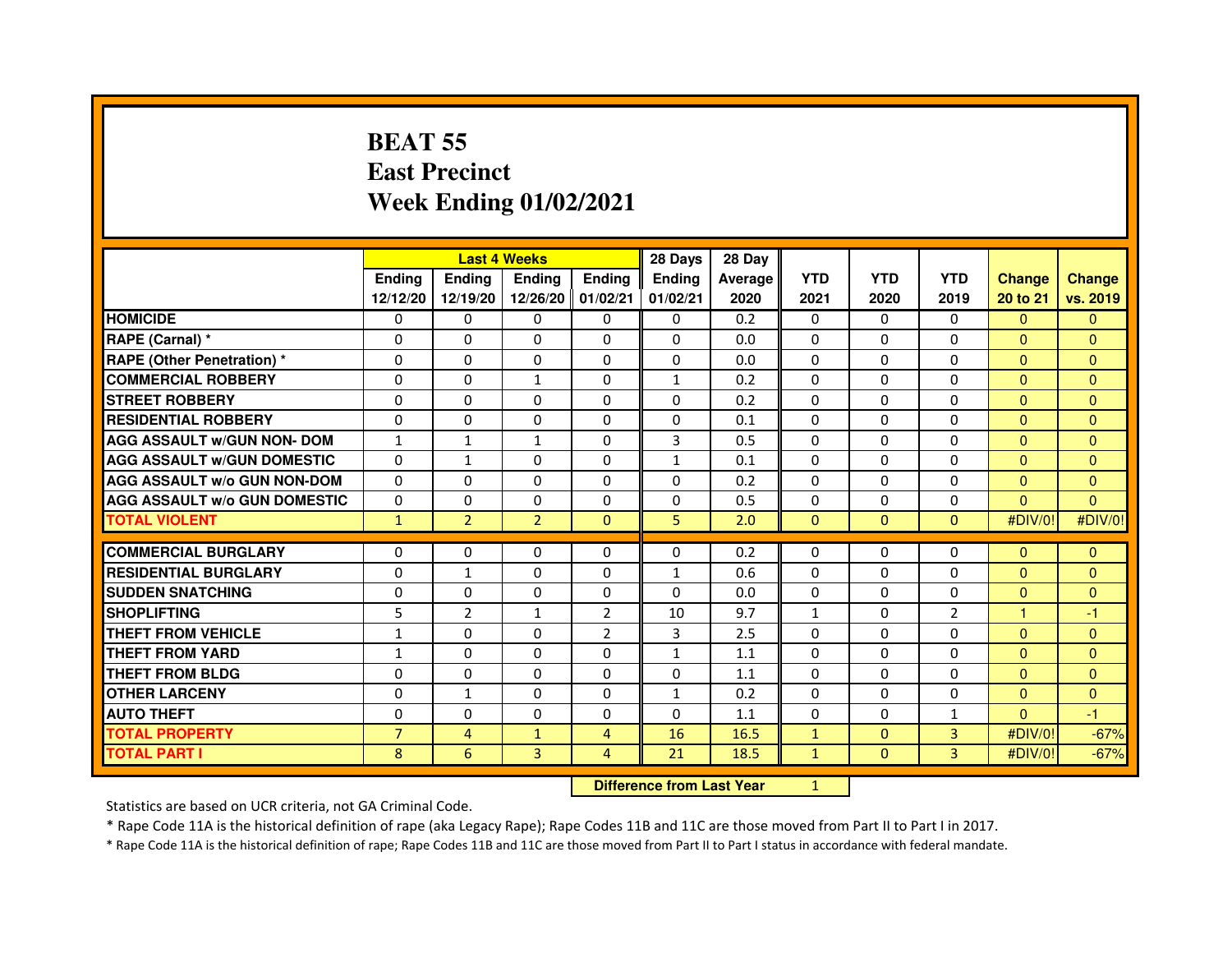# **BEAT 55 East PrecinctWeek Ending 01/02/2021**

|                                     | <b>Last 4 Weeks</b><br><b>Endina</b><br><b>Ending</b><br><b>Endina</b><br><b>Ending</b> |                |                   |                | 28 Days       | 28 Day  |              |              |                |                |                |
|-------------------------------------|-----------------------------------------------------------------------------------------|----------------|-------------------|----------------|---------------|---------|--------------|--------------|----------------|----------------|----------------|
|                                     |                                                                                         |                |                   |                | <b>Endina</b> | Average | <b>YTD</b>   | <b>YTD</b>   | <b>YTD</b>     | <b>Change</b>  | <b>Change</b>  |
|                                     | 12/12/20                                                                                | 12/19/20       | 12/26/20 01/02/21 |                | 01/02/21      | 2020    | 2021         | 2020         | 2019           | 20 to 21       | vs. 2019       |
| <b>HOMICIDE</b>                     | $\Omega$                                                                                | $\Omega$       | $\Omega$          | 0              | 0             | 0.2     | $\mathbf{0}$ | $\mathbf{0}$ | $\Omega$       | $\Omega$       | $\Omega$       |
| RAPE (Carnal) *                     | $\Omega$                                                                                | $\Omega$       | $\Omega$          | $\Omega$       | $\Omega$      | 0.0     | $\Omega$     | $\Omega$     | $\Omega$       | $\Omega$       | $\mathbf{0}$   |
| <b>RAPE (Other Penetration) *</b>   | $\Omega$                                                                                | $\Omega$       | $\Omega$          | $\Omega$       | $\Omega$      | 0.0     | $\Omega$     | $\Omega$     | 0              | $\Omega$       | $\Omega$       |
| <b>COMMERCIAL ROBBERY</b>           | $\Omega$                                                                                | $\Omega$       | 1                 | $\Omega$       | $\mathbf{1}$  | 0.2     | $\Omega$     | 0            | $\Omega$       | $\Omega$       | $\Omega$       |
| <b>STREET ROBBERY</b>               | $\Omega$                                                                                | $\Omega$       | $\Omega$          | $\Omega$       | $\Omega$      | 0.2     | $\Omega$     | $\Omega$     | 0              | $\Omega$       | $\Omega$       |
| <b>RESIDENTIAL ROBBERY</b>          | $\Omega$                                                                                | $\Omega$       | 0                 | $\Omega$       | 0             | 0.1     | 0            | 0            | 0              | $\Omega$       | $\overline{0}$ |
| <b>AGG ASSAULT w/GUN NON- DOM</b>   | $\mathbf{1}$                                                                            | $\mathbf{1}$   | $\mathbf{1}$      | $\Omega$       | 3             | 0.5     | $\Omega$     | $\Omega$     | 0              | $\Omega$       | $\mathbf{0}$   |
| <b>AGG ASSAULT w/GUN DOMESTIC</b>   | $\Omega$                                                                                | $\mathbf{1}$   | $\Omega$          | $\Omega$       | $\mathbf{1}$  | 0.1     | $\Omega$     | $\Omega$     | 0              | $\Omega$       | $\Omega$       |
| <b>AGG ASSAULT w/o GUN NON-DOM</b>  | $\Omega$                                                                                | $\Omega$       | 0                 | $\Omega$       | $\Omega$      | 0.2     | $\Omega$     | 0            | 0              | $\Omega$       | $\Omega$       |
| <b>AGG ASSAULT w/o GUN DOMESTIC</b> | 0                                                                                       | 0              | $\Omega$          | $\Omega$       | $\Omega$      | 0.5     | 0            | 0            | 0              | $\overline{0}$ | $\overline{0}$ |
| <b>TOTAL VIOLENT</b>                | $\mathbf{1}$                                                                            | $\overline{2}$ | $\overline{2}$    | $\mathbf{0}$   | 5             | 2.0     | $\mathbf{0}$ | $\mathbf{0}$ | $\mathbf{0}$   | #DIV/0!        | #DIV/0!        |
| <b>COMMERCIAL BURGLARY</b>          | $\Omega$                                                                                | $\Omega$       | 0                 | $\Omega$       | $\Omega$      | 0.2     | 0            | 0            | 0              | $\Omega$       | $\Omega$       |
| <b>RESIDENTIAL BURGLARY</b>         | $\Omega$                                                                                | 1              | $\Omega$          | $\Omega$       | 1             | 0.6     | $\Omega$     | $\Omega$     | 0              | $\Omega$       | $\Omega$       |
| <b>SUDDEN SNATCHING</b>             | 0                                                                                       | $\Omega$       | 0                 | $\Omega$       | $\Omega$      | 0.0     | 0            | 0            | 0              | $\overline{0}$ | $\overline{0}$ |
| <b>SHOPLIFTING</b>                  | 5                                                                                       | $\overline{2}$ | $\mathbf{1}$      | $\overline{2}$ | 10            | 9.7     | $\mathbf{1}$ | $\Omega$     | $\overline{2}$ | 1              | -1             |
| THEFT FROM VEHICLE                  | $\mathbf{1}$                                                                            | $\Omega$       | $\Omega$          | $\overline{2}$ | 3             | 2.5     | $\Omega$     | $\Omega$     | 0              | $\Omega$       | $\Omega$       |
| <b>THEFT FROM YARD</b>              | $\mathbf{1}$                                                                            | $\Omega$       | $\Omega$          | $\Omega$       | $\mathbf{1}$  | 1.1     | $\Omega$     | $\Omega$     | $\Omega$       | $\Omega$       | $\overline{0}$ |
| <b>THEFT FROM BLDG</b>              | 0                                                                                       | 0              | 0                 | 0              | 0             | 1.1     | $\Omega$     | 0            | 0              | $\Omega$       | $\Omega$       |
| <b>OTHER LARCENY</b>                | 0                                                                                       | $\mathbf{1}$   | 0                 | 0              | $\mathbf{1}$  | 0.2     | 0            | 0            | 0              | $\overline{0}$ | $\Omega$       |
| <b>AUTO THEFT</b>                   | 0                                                                                       | 0              | $\Omega$          | $\Omega$       | $\Omega$      | 1.1     | $\Omega$     | 0            | $\mathbf{1}$   | $\Omega$       | $-1$           |
| <b>TOTAL PROPERTY</b>               | $\overline{7}$                                                                          | $\overline{4}$ | $\mathbf{1}$      | $\overline{4}$ | 16            | 16.5    | $\mathbf{1}$ | $\mathbf{0}$ | 3              | #DIV/0!        | $-67%$         |
| <b>TOTAL PART I</b>                 | 8                                                                                       | 6              | 3                 | 4              | 21            | 18.5    | $\mathbf{1}$ | $\mathbf{0}$ | $\overline{3}$ | #DIV/0!        | $-67%$         |

 **Difference from Last Year**

<sup>1</sup>

Statistics are based on UCR criteria, not GA Criminal Code.

\* Rape Code 11A is the historical definition of rape (aka Legacy Rape); Rape Codes 11B and 11C are those moved from Part II to Part I in 2017.